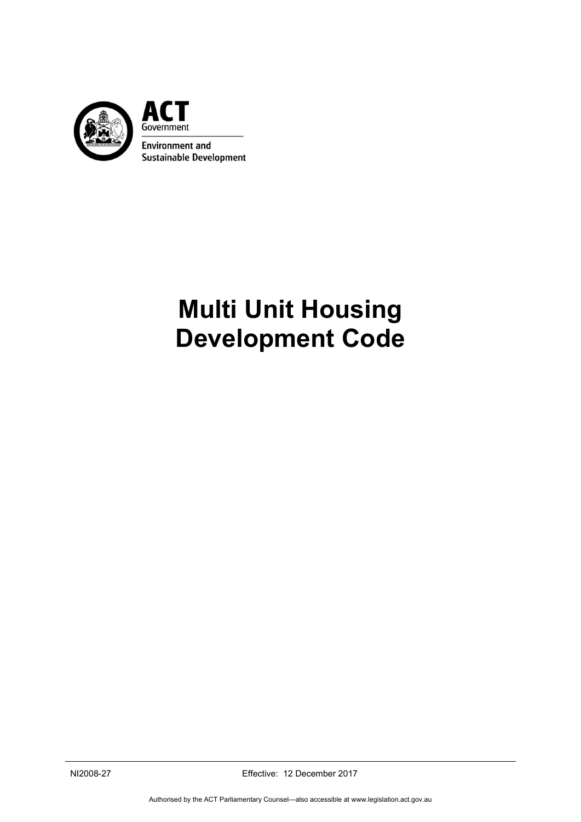

# **Multi Unit Housing Development Code**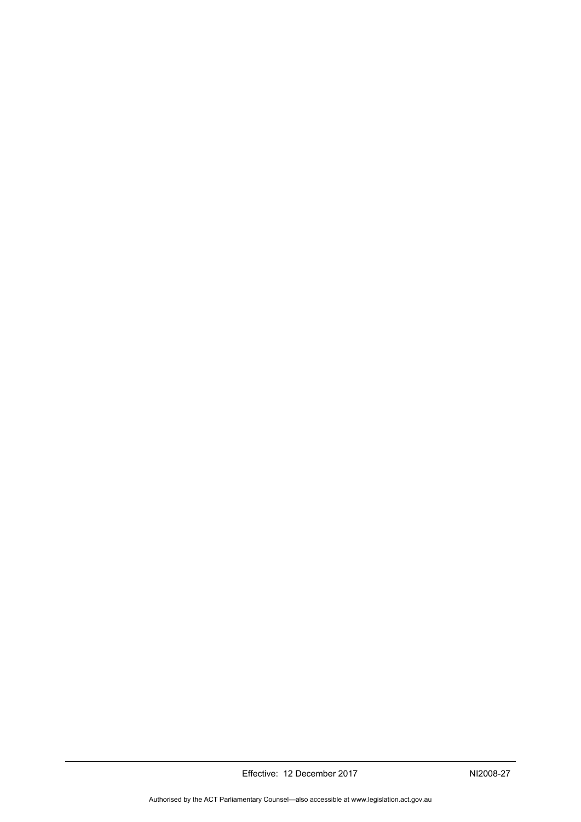Effective: 12 December 2017 NI2008-27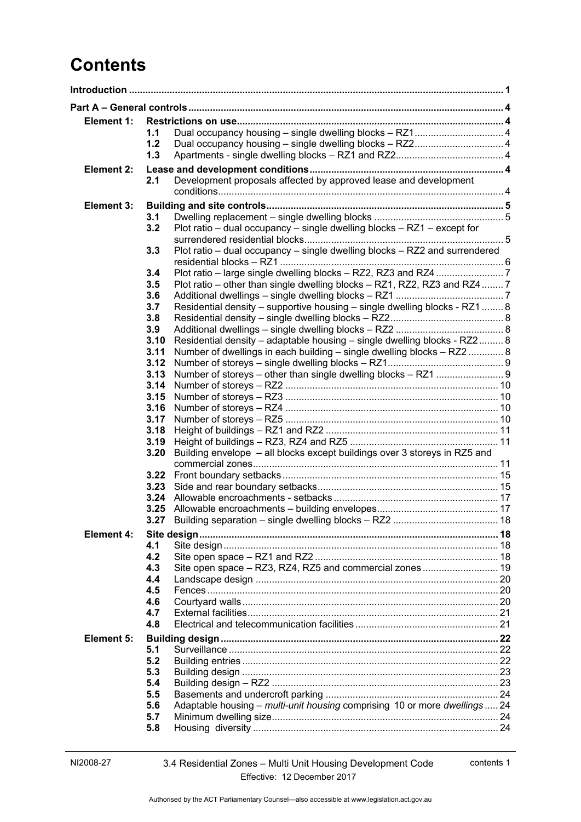# **Contents**

| Element 1:        |             |                                                                            |  |  |
|-------------------|-------------|----------------------------------------------------------------------------|--|--|
|                   | 1.1         |                                                                            |  |  |
|                   | 1.2         | Dual occupancy housing - single dwelling blocks - RZ2 4                    |  |  |
|                   | 1.3         |                                                                            |  |  |
| <b>Element 2:</b> |             |                                                                            |  |  |
|                   | 2.1         | Development proposals affected by approved lease and development           |  |  |
| Element 3:        |             |                                                                            |  |  |
|                   | 3.1         |                                                                            |  |  |
|                   | 3.2         | Plot ratio – dual occupancy – single dwelling blocks – RZ1 – except for    |  |  |
|                   | 3.3         | Plot ratio - dual occupancy - single dwelling blocks - RZ2 and surrendered |  |  |
|                   | 3.4         |                                                                            |  |  |
|                   | 3.5         | Plot ratio – other than single dwelling blocks – RZ1, RZ2, RZ3 and RZ47    |  |  |
|                   | 3.6         |                                                                            |  |  |
|                   | 3.7         | Residential density - supportive housing - single dwelling blocks - RZ1  8 |  |  |
|                   | 3.8         |                                                                            |  |  |
|                   | 3.9<br>3.10 | Residential density - adaptable housing - single dwelling blocks - RZ2 8   |  |  |
|                   | 3.11        | Number of dwellings in each building - single dwelling blocks - RZ2  8     |  |  |
|                   | 3.12        |                                                                            |  |  |
|                   | 3.13        |                                                                            |  |  |
|                   | 3.14        |                                                                            |  |  |
|                   | 3.15        |                                                                            |  |  |
|                   | 3.16        |                                                                            |  |  |
|                   | 3.17        |                                                                            |  |  |
|                   | 3.18        |                                                                            |  |  |
|                   | 3.19        |                                                                            |  |  |
|                   | 3.20        | Building envelope - all blocks except buildings over 3 storeys in RZ5 and  |  |  |
|                   | 3.22        |                                                                            |  |  |
|                   | 3.23        |                                                                            |  |  |
|                   |             |                                                                            |  |  |
|                   | 3.25        |                                                                            |  |  |
|                   | 3.27        |                                                                            |  |  |
| <b>Element 4:</b> |             |                                                                            |  |  |
|                   | 4.1         |                                                                            |  |  |
|                   | 4.2         |                                                                            |  |  |
|                   | 4.3         | Site open space - RZ3, RZ4, RZ5 and commercial zones  19                   |  |  |
|                   | 4.4         |                                                                            |  |  |
|                   | 4.5         |                                                                            |  |  |
|                   | 4.6<br>4.7  |                                                                            |  |  |
|                   | 4.8         |                                                                            |  |  |
|                   |             |                                                                            |  |  |
| Element 5:        | 5.1         |                                                                            |  |  |
|                   | 5.2         |                                                                            |  |  |
|                   | 5.3         |                                                                            |  |  |
|                   | 5.4         |                                                                            |  |  |
|                   | 5.5         |                                                                            |  |  |
|                   | 5.6         | Adaptable housing - multi-unit housing comprising 10 or more dwellings  24 |  |  |
|                   | 5.7         |                                                                            |  |  |
|                   | 5.8         |                                                                            |  |  |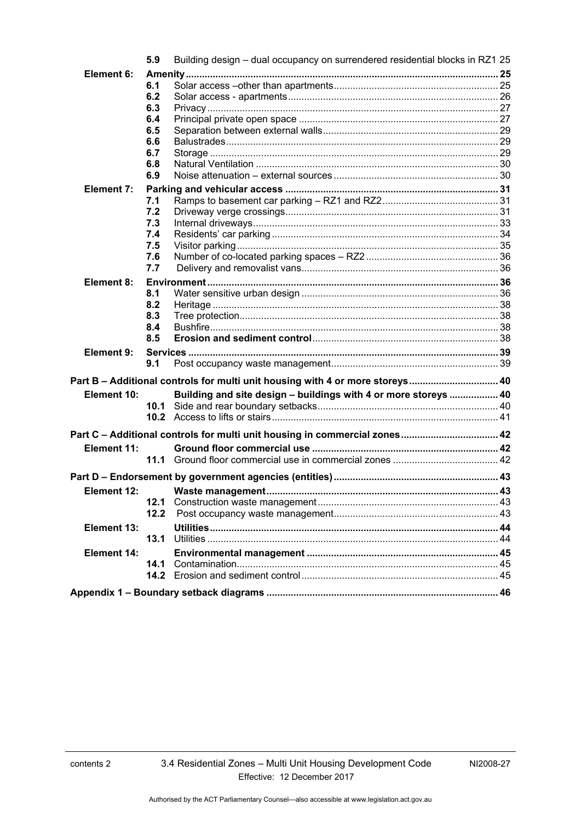|                    | 5.9        | Building design - dual occupancy on surrendered residential blocks in RZ1 25  |  |
|--------------------|------------|-------------------------------------------------------------------------------|--|
| Element 6:         |            |                                                                               |  |
|                    | 6.1        |                                                                               |  |
|                    | 6.2        |                                                                               |  |
|                    | 6.3        |                                                                               |  |
|                    | 6.4        |                                                                               |  |
|                    | 6.5        |                                                                               |  |
|                    | 6.6        |                                                                               |  |
|                    | 6.7        |                                                                               |  |
|                    | 6.8<br>6.9 |                                                                               |  |
|                    |            |                                                                               |  |
| Element 7:         |            |                                                                               |  |
|                    | 7.1<br>7.2 |                                                                               |  |
|                    | 7.3        |                                                                               |  |
|                    | 7.4        |                                                                               |  |
|                    | 7.5        |                                                                               |  |
|                    | 7.6        |                                                                               |  |
|                    | 7.7        |                                                                               |  |
| Element 8:         |            |                                                                               |  |
|                    | 8.1        |                                                                               |  |
|                    | 8.2        |                                                                               |  |
|                    | 8.3        |                                                                               |  |
|                    | 8.4        |                                                                               |  |
|                    | 8.5        |                                                                               |  |
| Element 9:         |            |                                                                               |  |
|                    | 9.1        |                                                                               |  |
|                    |            | Part B - Additional controls for multi unit housing with 4 or more storeys 40 |  |
| Element 10:        |            | Building and site design - buildings with 4 or more storeys  40               |  |
|                    | 10.1       |                                                                               |  |
|                    |            |                                                                               |  |
|                    |            | Part C - Additional controls for multi unit housing in commercial zones 42    |  |
| Element 11:        |            |                                                                               |  |
|                    |            |                                                                               |  |
|                    |            |                                                                               |  |
|                    |            |                                                                               |  |
|                    |            |                                                                               |  |
|                    | 12.2       |                                                                               |  |
|                    |            |                                                                               |  |
| Element 13:        |            |                                                                               |  |
|                    | 13.1       |                                                                               |  |
| <b>Element 14:</b> |            |                                                                               |  |
|                    | 14.1       |                                                                               |  |
|                    |            |                                                                               |  |
|                    |            |                                                                               |  |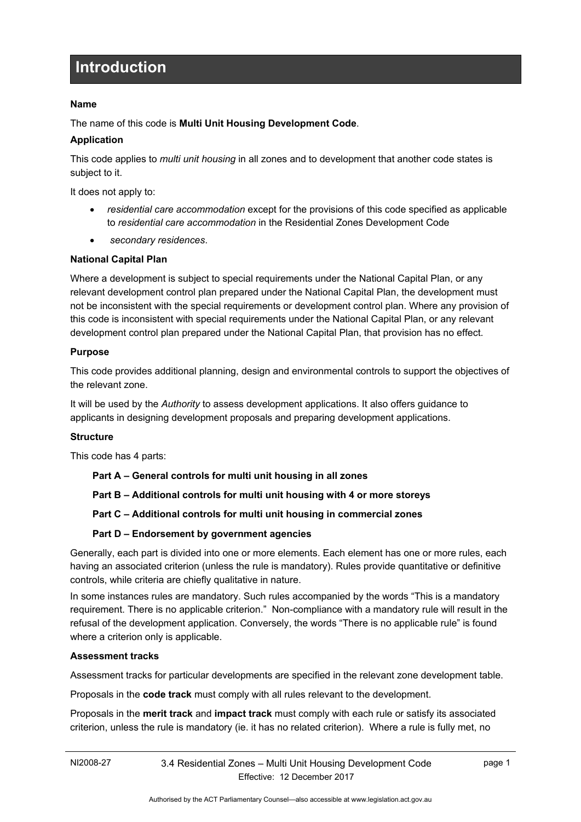# <span id="page-4-0"></span>**Introduction**

#### **Name**

The name of this code is **Multi Unit Housing Development Code**.

#### **Application**

This code applies to *multi unit housing* in all zones and to development that another code states is subject to it.

It does not apply to:

- *residential care accommodation* except for the provisions of this code specified as applicable to *residential care accommodation* in the Residential Zones Development Code
- *secondary residences*.

#### **National Capital Plan**

Where a development is subject to special requirements under the National Capital Plan, or any relevant development control plan prepared under the National Capital Plan, the development must not be inconsistent with the special requirements or development control plan. Where any provision of this code is inconsistent with special requirements under the National Capital Plan, or any relevant development control plan prepared under the National Capital Plan, that provision has no effect.

#### **Purpose**

This code provides additional planning, design and environmental controls to support the objectives of the relevant zone.

It will be used by the *Authority* to assess development applications. It also offers guidance to applicants in designing development proposals and preparing development applications.

#### **Structure**

This code has 4 parts:

**Part A – General controls for multi unit housing in all zones**

**Part B – Additional controls for multi unit housing with 4 or more storeys**

**Part C – Additional controls for multi unit housing in commercial zones** 

#### **Part D – Endorsement by government agencies**

Generally, each part is divided into one or more elements. Each element has one or more rules, each having an associated criterion (unless the rule is mandatory). Rules provide quantitative or definitive controls, while criteria are chiefly qualitative in nature.

In some instances rules are mandatory. Such rules accompanied by the words "This is a mandatory requirement. There is no applicable criterion." Non-compliance with a mandatory rule will result in the refusal of the development application. Conversely, the words "There is no applicable rule" is found where a criterion only is applicable.

#### **Assessment tracks**

Assessment tracks for particular developments are specified in the relevant zone development table.

Proposals in the **code track** must comply with all rules relevant to the development.

Proposals in the **merit track** and **impact track** must comply with each rule or satisfy its associated criterion, unless the rule is mandatory (ie. it has no related criterion). Where a rule is fully met, no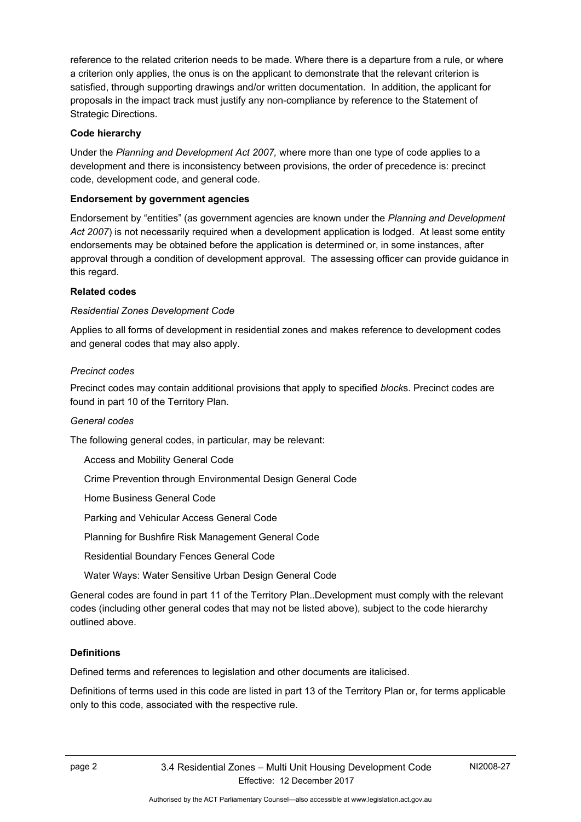reference to the related criterion needs to be made. Where there is a departure from a rule, or where a criterion only applies, the onus is on the applicant to demonstrate that the relevant criterion is satisfied, through supporting drawings and/or written documentation. In addition, the applicant for proposals in the impact track must justify any non-compliance by reference to the Statement of Strategic Directions.

#### **Code hierarchy**

Under the *Planning and Development Act 2007,* where more than one type of code applies to a development and there is inconsistency between provisions, the order of precedence is: precinct code, development code, and general code.

#### **Endorsement by government agencies**

Endorsement by "entities" (as government agencies are known under the *Planning and Development Act 2007*) is not necessarily required when a development application is lodged. At least some entity endorsements may be obtained before the application is determined or, in some instances, after approval through a condition of development approval. The assessing officer can provide guidance in this regard.

#### **Related codes**

#### *Residential Zones Development Code*

Applies to all forms of development in residential zones and makes reference to development codes and general codes that may also apply.

#### *Precinct codes*

Precinct codes may contain additional provisions that apply to specified *block*s. Precinct codes are found in part 10 of the Territory Plan.

#### *General codes*

The following general codes, in particular, may be relevant:

Access and Mobility General Code

Crime Prevention through Environmental Design General Code

Home Business General Code

Parking and Vehicular Access General Code

Planning for Bushfire Risk Management General Code

Residential Boundary Fences General Code

Water Ways: Water Sensitive Urban Design General Code

General codes are found in part 11 of the Territory Plan..Development must comply with the relevant codes (including other general codes that may not be listed above), subject to the code hierarchy outlined above.

#### **Definitions**

Defined terms and references to legislation and other documents are italicised.

Definitions of terms used in this code are listed in part 13 of the Territory Plan or, for terms applicable only to this code, associated with the respective rule.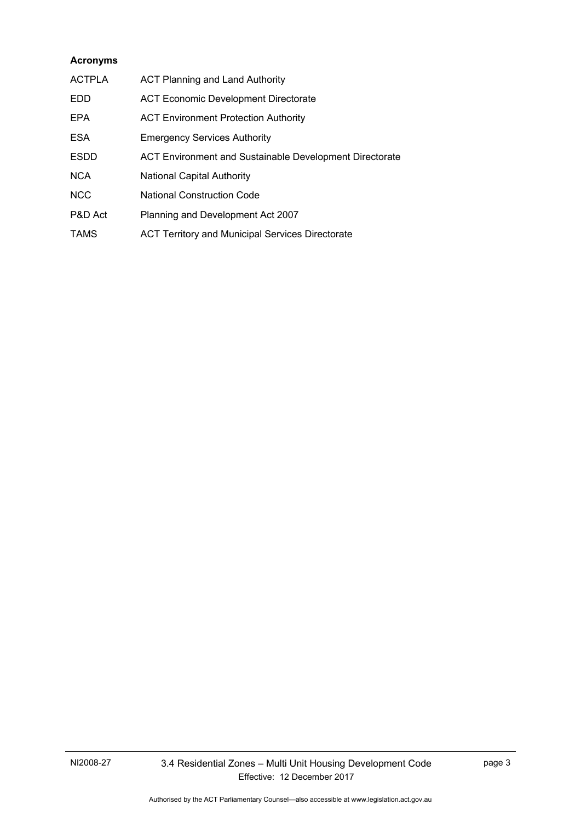## **Acronyms**

| <b>ACTPLA</b> | <b>ACT Planning and Land Authority</b>                  |
|---------------|---------------------------------------------------------|
| EDD           | <b>ACT Economic Development Directorate</b>             |
| <b>EPA</b>    | <b>ACT Environment Protection Authority</b>             |
| <b>ESA</b>    | <b>Emergency Services Authority</b>                     |
| <b>ESDD</b>   | ACT Environment and Sustainable Development Directorate |
| <b>NCA</b>    | <b>National Capital Authority</b>                       |
| <b>NCC</b>    | <b>National Construction Code</b>                       |
| P&D Act       | Planning and Development Act 2007                       |
| <b>TAMS</b>   | <b>ACT Territory and Municipal Services Directorate</b> |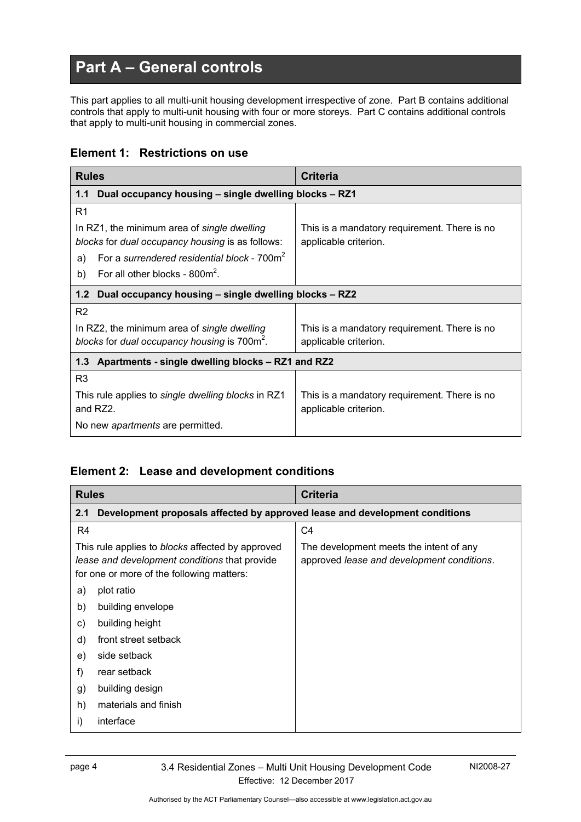# <span id="page-7-0"></span>**Part A – General controls**

This part applies to all multi-unit housing development irrespective of zone. Part B contains additional controls that apply to multi-unit housing with four or more storeys. Part C contains additional controls that apply to multi-unit housing in commercial zones.

#### <span id="page-7-1"></span>**Element 1: Restrictions on use**

<span id="page-7-3"></span><span id="page-7-2"></span>

| <b>Rules</b>                                                                                            | <b>Criteria</b>                                                       |  |  |
|---------------------------------------------------------------------------------------------------------|-----------------------------------------------------------------------|--|--|
| Dual occupancy housing - single dwelling blocks - RZ1<br>1.1                                            |                                                                       |  |  |
| R <sub>1</sub>                                                                                          |                                                                       |  |  |
| In RZ1, the minimum area of single dwelling<br>blocks for dual occupancy housing is as follows:         | This is a mandatory requirement. There is no<br>applicable criterion. |  |  |
| For a surrendered residential block - 700m <sup>2</sup><br>a)                                           |                                                                       |  |  |
| For all other blocks - $800m^2$ .<br>b)                                                                 |                                                                       |  |  |
| Dual occupancy housing – single dwelling blocks – RZ2<br>1.2 <sub>2</sub>                               |                                                                       |  |  |
| R <sub>2</sub>                                                                                          |                                                                       |  |  |
| In RZ2, the minimum area of single dwelling<br>blocks for dual occupancy housing is 700m <sup>2</sup> . | This is a mandatory requirement. There is no<br>applicable criterion. |  |  |
| Apartments - single dwelling blocks - RZ1 and RZ2<br>1.3                                                |                                                                       |  |  |
| R <sub>3</sub>                                                                                          |                                                                       |  |  |
| This rule applies to single dwelling blocks in RZ1<br>and RZ2.                                          | This is a mandatory requirement. There is no<br>applicable criterion. |  |  |
| No new <i>apartments</i> are permitted.                                                                 |                                                                       |  |  |

### <span id="page-7-5"></span><span id="page-7-4"></span>**Element 2: Lease and development conditions**

<span id="page-7-6"></span>

| <b>Rules</b>                                                                                                                                          |                                                                             | <b>Criteria</b>                                                                       |  |  |
|-------------------------------------------------------------------------------------------------------------------------------------------------------|-----------------------------------------------------------------------------|---------------------------------------------------------------------------------------|--|--|
| 2.1                                                                                                                                                   | Development proposals affected by approved lease and development conditions |                                                                                       |  |  |
| R4                                                                                                                                                    |                                                                             | C4                                                                                    |  |  |
| This rule applies to <i>blocks</i> affected by approved<br>lease and development conditions that provide<br>for one or more of the following matters: |                                                                             | The development meets the intent of any<br>approved lease and development conditions. |  |  |
| a)                                                                                                                                                    | plot ratio                                                                  |                                                                                       |  |  |
| b)                                                                                                                                                    | building envelope                                                           |                                                                                       |  |  |
| C)                                                                                                                                                    | building height                                                             |                                                                                       |  |  |
| front street setback<br>d)                                                                                                                            |                                                                             |                                                                                       |  |  |
| side setback<br>e)                                                                                                                                    |                                                                             |                                                                                       |  |  |
| f)                                                                                                                                                    | rear setback                                                                |                                                                                       |  |  |
| building design<br>g)                                                                                                                                 |                                                                             |                                                                                       |  |  |
| h)<br>materials and finish                                                                                                                            |                                                                             |                                                                                       |  |  |
| i)<br>interface                                                                                                                                       |                                                                             |                                                                                       |  |  |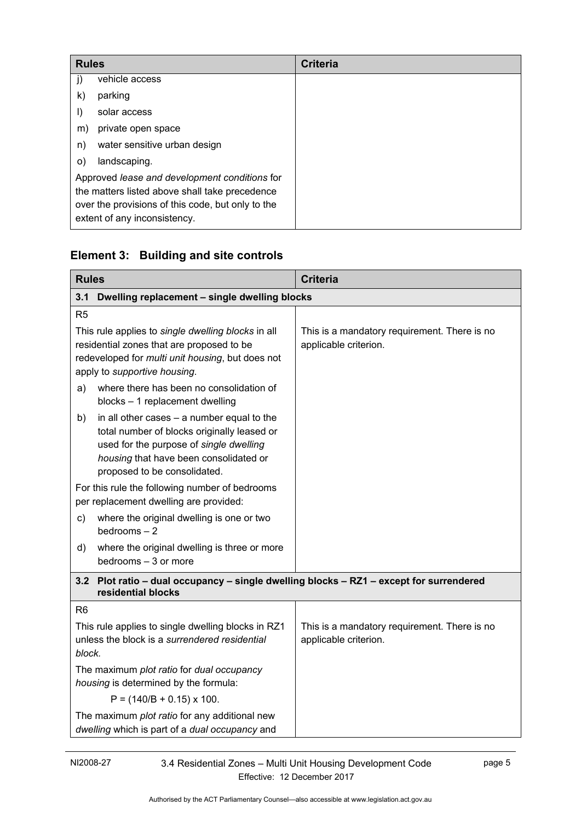| <b>Rules</b>                                                                                                                                                                         |                              | <b>Criteria</b> |
|--------------------------------------------------------------------------------------------------------------------------------------------------------------------------------------|------------------------------|-----------------|
| J)                                                                                                                                                                                   | vehicle access               |                 |
| $\mathsf{k}$                                                                                                                                                                         | parking                      |                 |
| I)                                                                                                                                                                                   | solar access                 |                 |
| m)                                                                                                                                                                                   | private open space           |                 |
| n)                                                                                                                                                                                   | water sensitive urban design |                 |
| $\circ$                                                                                                                                                                              | landscaping.                 |                 |
| Approved lease and development conditions for<br>the matters listed above shall take precedence<br>over the provisions of this code, but only to the<br>extent of any inconsistency. |                              |                 |

# <span id="page-8-0"></span>**Element 3: Building and site controls**

<span id="page-8-2"></span><span id="page-8-1"></span>

| <b>Rules</b>                                                                                                                                                                                                           | <b>Criteria</b>                                                       |  |  |
|------------------------------------------------------------------------------------------------------------------------------------------------------------------------------------------------------------------------|-----------------------------------------------------------------------|--|--|
| 3.1<br>Dwelling replacement - single dwelling blocks                                                                                                                                                                   |                                                                       |  |  |
| R <sub>5</sub>                                                                                                                                                                                                         |                                                                       |  |  |
| This rule applies to single dwelling blocks in all<br>residential zones that are proposed to be<br>redeveloped for multi unit housing, but does not<br>apply to supportive housing.                                    | This is a mandatory requirement. There is no<br>applicable criterion. |  |  |
| where there has been no consolidation of<br>a)<br>blocks - 1 replacement dwelling                                                                                                                                      |                                                                       |  |  |
| in all other cases $-$ a number equal to the<br>b)<br>total number of blocks originally leased or<br>used for the purpose of single dwelling<br>housing that have been consolidated or<br>proposed to be consolidated. |                                                                       |  |  |
| For this rule the following number of bedrooms<br>per replacement dwelling are provided:                                                                                                                               |                                                                       |  |  |
| where the original dwelling is one or two<br>$\mathsf{c})$<br>bedrooms $-2$                                                                                                                                            |                                                                       |  |  |
| d)<br>where the original dwelling is three or more<br>bedrooms - 3 or more                                                                                                                                             |                                                                       |  |  |
| Plot ratio – dual occupancy – single dwelling blocks – RZ1 – except for surrendered<br>3.2<br>residential blocks                                                                                                       |                                                                       |  |  |
| R <sub>6</sub>                                                                                                                                                                                                         |                                                                       |  |  |
| This rule applies to single dwelling blocks in RZ1<br>unless the block is a surrendered residential<br>block.                                                                                                          | This is a mandatory requirement. There is no<br>applicable criterion. |  |  |
| The maximum plot ratio for dual occupancy<br>housing is determined by the formula:                                                                                                                                     |                                                                       |  |  |
| $P = (140/B + 0.15) \times 100.$                                                                                                                                                                                       |                                                                       |  |  |
| The maximum plot ratio for any additional new<br>dwelling which is part of a dual occupancy and                                                                                                                        |                                                                       |  |  |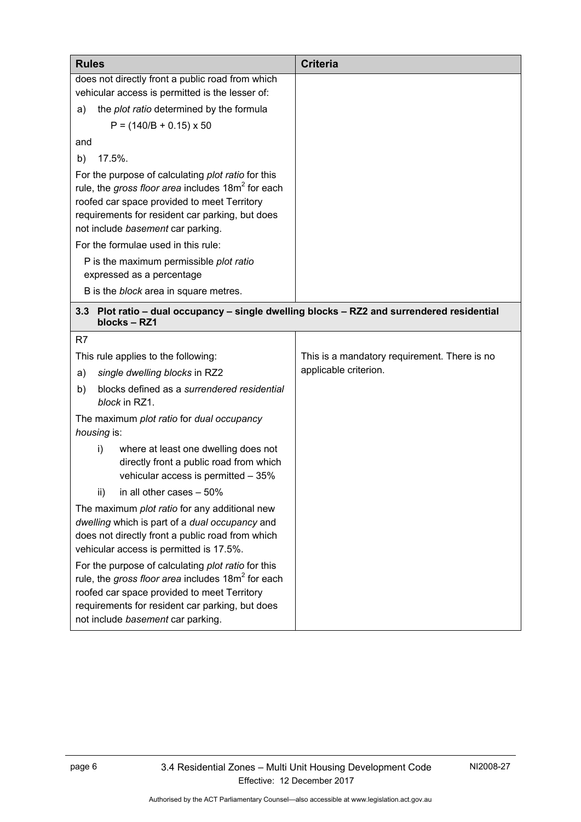<span id="page-9-0"></span>

| <b>Rules</b>                                                                                                                                                                                                                                               | <b>Criteria</b>                              |
|------------------------------------------------------------------------------------------------------------------------------------------------------------------------------------------------------------------------------------------------------------|----------------------------------------------|
| does not directly front a public road from which                                                                                                                                                                                                           |                                              |
| vehicular access is permitted is the lesser of:                                                                                                                                                                                                            |                                              |
| the plot ratio determined by the formula<br>a)                                                                                                                                                                                                             |                                              |
| $P = (140/B + 0.15) \times 50$                                                                                                                                                                                                                             |                                              |
| and                                                                                                                                                                                                                                                        |                                              |
| 17.5%.<br>b)                                                                                                                                                                                                                                               |                                              |
| For the purpose of calculating plot ratio for this<br>rule, the gross floor area includes 18m <sup>2</sup> for each<br>roofed car space provided to meet Territory<br>requirements for resident car parking, but does<br>not include basement car parking. |                                              |
| For the formulae used in this rule:                                                                                                                                                                                                                        |                                              |
| P is the maximum permissible plot ratio<br>expressed as a percentage                                                                                                                                                                                       |                                              |
| B is the <i>block</i> area in square metres.                                                                                                                                                                                                               |                                              |
| 3.3 Plot ratio – dual occupancy – single dwelling blocks – RZ2 and surrendered residential<br>blocks - RZ1                                                                                                                                                 |                                              |
| R7                                                                                                                                                                                                                                                         |                                              |
| This rule applies to the following:                                                                                                                                                                                                                        | This is a mandatory requirement. There is no |
| single dwelling blocks in RZ2<br>a)                                                                                                                                                                                                                        | applicable criterion.                        |
| blocks defined as a surrendered residential<br>b)<br>block in RZ1.                                                                                                                                                                                         |                                              |
| The maximum plot ratio for dual occupancy<br>housing is:                                                                                                                                                                                                   |                                              |
| i)<br>where at least one dwelling does not<br>directly front a public road from which<br>vehicular access is permitted - 35%                                                                                                                               |                                              |
| in all other cases - 50%<br>ii)                                                                                                                                                                                                                            |                                              |
| The maximum plot ratio for any additional new<br>dwelling which is part of a dual occupancy and<br>does not directly front a public road from which<br>vehicular access is permitted is 17.5%.<br>For the purpose of calculating plot ratio for this       |                                              |
| rule, the gross floor area includes 18m <sup>2</sup> for each<br>roofed car space provided to meet Territory<br>requirements for resident car parking, but does<br>not include basement car parking.                                                       |                                              |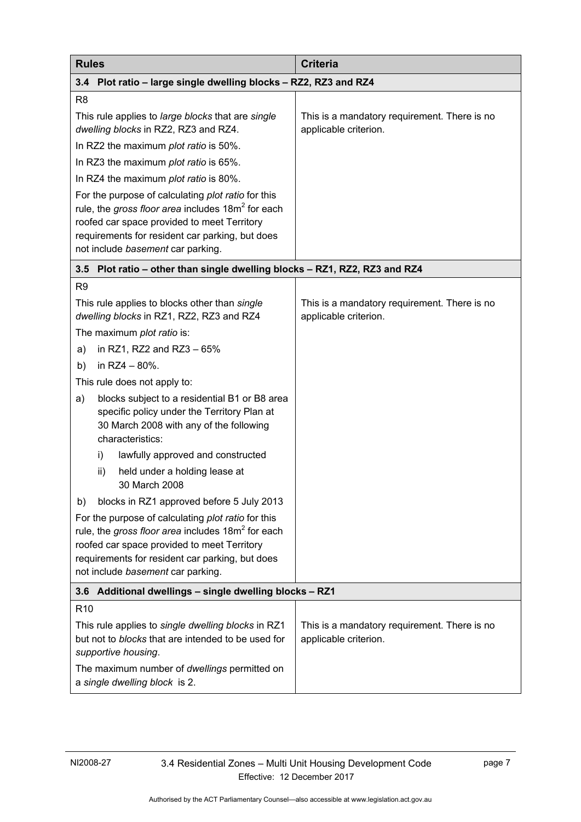<span id="page-10-2"></span><span id="page-10-1"></span><span id="page-10-0"></span>

| <b>Rules</b>                                                                                                                                                                                                                                               | <b>Criteria</b>                                                       |  |  |  |
|------------------------------------------------------------------------------------------------------------------------------------------------------------------------------------------------------------------------------------------------------------|-----------------------------------------------------------------------|--|--|--|
| Plot ratio - large single dwelling blocks - RZ2, RZ3 and RZ4<br>3.4                                                                                                                                                                                        |                                                                       |  |  |  |
| R <sub>8</sub>                                                                                                                                                                                                                                             |                                                                       |  |  |  |
| This rule applies to large blocks that are single<br>dwelling blocks in RZ2, RZ3 and RZ4.                                                                                                                                                                  | This is a mandatory requirement. There is no<br>applicable criterion. |  |  |  |
| In RZ2 the maximum plot ratio is 50%.                                                                                                                                                                                                                      |                                                                       |  |  |  |
| In RZ3 the maximum plot ratio is 65%.                                                                                                                                                                                                                      |                                                                       |  |  |  |
| In RZ4 the maximum plot ratio is 80%.                                                                                                                                                                                                                      |                                                                       |  |  |  |
| For the purpose of calculating plot ratio for this<br>rule, the gross floor area includes 18m <sup>2</sup> for each<br>roofed car space provided to meet Territory<br>requirements for resident car parking, but does<br>not include basement car parking. |                                                                       |  |  |  |
| Plot ratio – other than single dwelling blocks – RZ1, RZ2, RZ3 and RZ4<br>3.5                                                                                                                                                                              |                                                                       |  |  |  |
| R <sub>9</sub>                                                                                                                                                                                                                                             |                                                                       |  |  |  |
| This rule applies to blocks other than single<br>dwelling blocks in RZ1, RZ2, RZ3 and RZ4                                                                                                                                                                  | This is a mandatory requirement. There is no<br>applicable criterion. |  |  |  |
| The maximum plot ratio is:                                                                                                                                                                                                                                 |                                                                       |  |  |  |
| in RZ1, RZ2 and RZ3 - 65%<br>a)                                                                                                                                                                                                                            |                                                                       |  |  |  |
| in $RZ4 - 80%$ .<br>b)                                                                                                                                                                                                                                     |                                                                       |  |  |  |
| This rule does not apply to:                                                                                                                                                                                                                               |                                                                       |  |  |  |
| blocks subject to a residential B1 or B8 area<br>a)<br>specific policy under the Territory Plan at<br>30 March 2008 with any of the following<br>characteristics:                                                                                          |                                                                       |  |  |  |
| i)<br>lawfully approved and constructed                                                                                                                                                                                                                    |                                                                       |  |  |  |
| held under a holding lease at<br>ii)<br>30 March 2008                                                                                                                                                                                                      |                                                                       |  |  |  |
| blocks in RZ1 approved before 5 July 2013<br>b)                                                                                                                                                                                                            |                                                                       |  |  |  |
| For the purpose of calculating plot ratio for this<br>rule, the gross floor area includes 18m <sup>2</sup> for each<br>roofed car space provided to meet Territory<br>requirements for resident car parking, but does<br>not include basement car parking. |                                                                       |  |  |  |
| 3.6 Additional dwellings - single dwelling blocks - RZ1                                                                                                                                                                                                    |                                                                       |  |  |  |
| R <sub>10</sub>                                                                                                                                                                                                                                            |                                                                       |  |  |  |
| This rule applies to single dwelling blocks in RZ1<br>but not to blocks that are intended to be used for<br>supportive housing.                                                                                                                            | This is a mandatory requirement. There is no<br>applicable criterion. |  |  |  |
| The maximum number of dwellings permitted on<br>a single dwelling block is 2.                                                                                                                                                                              |                                                                       |  |  |  |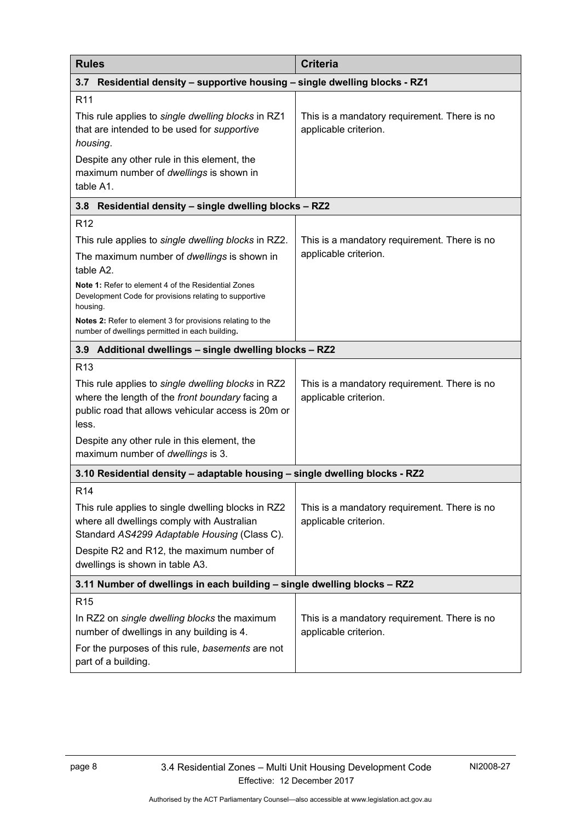<span id="page-11-4"></span><span id="page-11-3"></span><span id="page-11-2"></span><span id="page-11-1"></span><span id="page-11-0"></span>

| <b>Rules</b>                                                                                                                                                         | <b>Criteria</b>                                                       |  |  |
|----------------------------------------------------------------------------------------------------------------------------------------------------------------------|-----------------------------------------------------------------------|--|--|
| Residential density - supportive housing - single dwelling blocks - RZ1<br>3.7                                                                                       |                                                                       |  |  |
| R <sub>11</sub><br>This rule applies to single dwelling blocks in RZ1                                                                                                | This is a mandatory requirement. There is no                          |  |  |
| that are intended to be used for supportive<br>housing.                                                                                                              | applicable criterion.                                                 |  |  |
| Despite any other rule in this element, the<br>maximum number of dwellings is shown in<br>table A1.                                                                  |                                                                       |  |  |
| 3.8 Residential density - single dwelling blocks - RZ2                                                                                                               |                                                                       |  |  |
| R <sub>12</sub>                                                                                                                                                      |                                                                       |  |  |
| This rule applies to single dwelling blocks in RZ2.                                                                                                                  | This is a mandatory requirement. There is no                          |  |  |
| The maximum number of dwellings is shown in<br>table A2.                                                                                                             | applicable criterion.                                                 |  |  |
| <b>Note 1:</b> Refer to element 4 of the Residential Zones<br>Development Code for provisions relating to supportive<br>housing.                                     |                                                                       |  |  |
| Notes 2: Refer to element 3 for provisions relating to the<br>number of dwellings permitted in each building.                                                        |                                                                       |  |  |
| 3.9 Additional dwellings - single dwelling blocks - RZ2                                                                                                              |                                                                       |  |  |
| R <sub>13</sub>                                                                                                                                                      |                                                                       |  |  |
| This rule applies to single dwelling blocks in RZ2<br>where the length of the front boundary facing a<br>public road that allows vehicular access is 20m or<br>less. | This is a mandatory requirement. There is no<br>applicable criterion. |  |  |
| Despite any other rule in this element, the<br>maximum number of dwellings is 3.                                                                                     |                                                                       |  |  |
| 3.10 Residential density - adaptable housing - single dwelling blocks - RZ2                                                                                          |                                                                       |  |  |
| R <sub>14</sub>                                                                                                                                                      |                                                                       |  |  |
| This rule applies to single dwelling blocks in RZ2<br>where all dwellings comply with Australian<br>Standard AS4299 Adaptable Housing (Class C).                     | This is a mandatory requirement. There is no<br>applicable criterion. |  |  |
| Despite R2 and R12, the maximum number of<br>dwellings is shown in table A3.                                                                                         |                                                                       |  |  |
| 3.11 Number of dwellings in each building - single dwelling blocks - RZ2                                                                                             |                                                                       |  |  |
| R <sub>15</sub>                                                                                                                                                      |                                                                       |  |  |
| In RZ2 on single dwelling blocks the maximum<br>number of dwellings in any building is 4.                                                                            | This is a mandatory requirement. There is no<br>applicable criterion. |  |  |
| For the purposes of this rule, basements are not<br>part of a building.                                                                                              |                                                                       |  |  |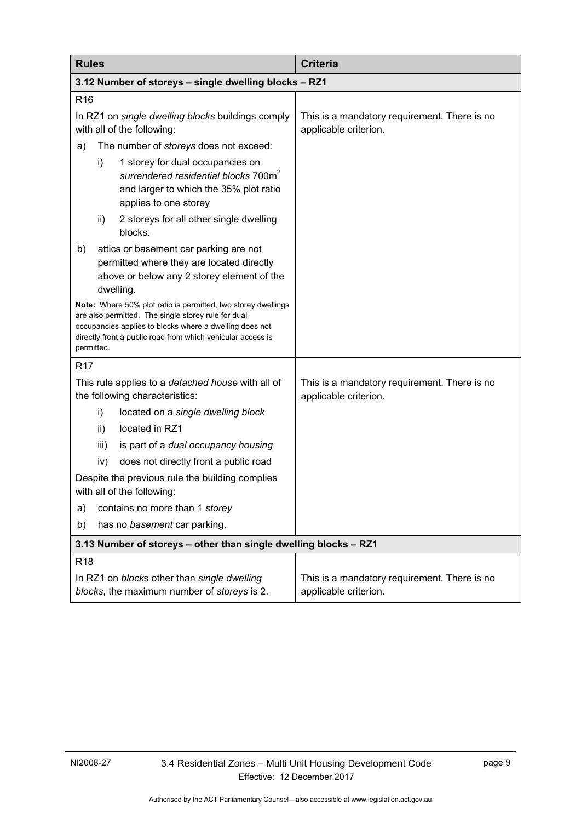<span id="page-12-1"></span><span id="page-12-0"></span>

| <b>Rules</b>                                                                                                                                                                                                                                                 | <b>Criteria</b>                                                       |  |
|--------------------------------------------------------------------------------------------------------------------------------------------------------------------------------------------------------------------------------------------------------------|-----------------------------------------------------------------------|--|
| 3.12 Number of storeys - single dwelling blocks - RZ1                                                                                                                                                                                                        |                                                                       |  |
| R <sub>16</sub>                                                                                                                                                                                                                                              |                                                                       |  |
| In RZ1 on single dwelling blocks buildings comply<br>with all of the following:                                                                                                                                                                              | This is a mandatory requirement. There is no<br>applicable criterion. |  |
| The number of storeys does not exceed:<br>a)                                                                                                                                                                                                                 |                                                                       |  |
| 1 storey for dual occupancies on<br>i)<br>surrendered residential blocks 700m <sup>2</sup><br>and larger to which the 35% plot ratio<br>applies to one storey                                                                                                |                                                                       |  |
| 2 storeys for all other single dwelling<br>ii)<br>blocks.                                                                                                                                                                                                    |                                                                       |  |
| attics or basement car parking are not<br>b)<br>permitted where they are located directly<br>above or below any 2 storey element of the<br>dwelling.                                                                                                         |                                                                       |  |
| Note: Where 50% plot ratio is permitted, two storey dwellings<br>are also permitted. The single storey rule for dual<br>occupancies applies to blocks where a dwelling does not<br>directly front a public road from which vehicular access is<br>permitted. |                                                                       |  |
| R <sub>17</sub>                                                                                                                                                                                                                                              |                                                                       |  |
| This rule applies to a detached house with all of<br>the following characteristics:                                                                                                                                                                          | This is a mandatory requirement. There is no<br>applicable criterion. |  |
| i)<br>located on a single dwelling block                                                                                                                                                                                                                     |                                                                       |  |
| located in RZ1<br>ii)                                                                                                                                                                                                                                        |                                                                       |  |
| iii)<br>is part of a dual occupancy housing                                                                                                                                                                                                                  |                                                                       |  |
| does not directly front a public road<br>iv)                                                                                                                                                                                                                 |                                                                       |  |
| Despite the previous rule the building complies<br>with all of the following:                                                                                                                                                                                |                                                                       |  |
| contains no more than 1 storey<br>a)                                                                                                                                                                                                                         |                                                                       |  |
| has no basement car parking.<br>b)                                                                                                                                                                                                                           |                                                                       |  |
| 3.13 Number of storeys - other than single dwelling blocks - RZ1                                                                                                                                                                                             |                                                                       |  |
| R <sub>18</sub>                                                                                                                                                                                                                                              |                                                                       |  |
| In RZ1 on blocks other than single dwelling<br>blocks, the maximum number of storeys is 2.                                                                                                                                                                   | This is a mandatory requirement. There is no<br>applicable criterion. |  |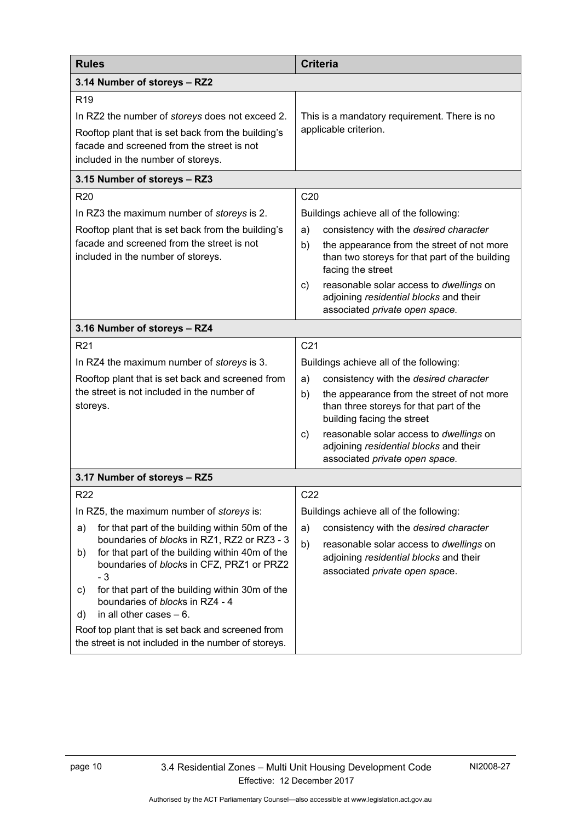<span id="page-13-3"></span><span id="page-13-2"></span><span id="page-13-1"></span><span id="page-13-0"></span>

| <b>Rules</b>                                                                                                                                                                              | <b>Criteria</b>                                                                                                                                                                                                                                                                                                  |  |  |  |
|-------------------------------------------------------------------------------------------------------------------------------------------------------------------------------------------|------------------------------------------------------------------------------------------------------------------------------------------------------------------------------------------------------------------------------------------------------------------------------------------------------------------|--|--|--|
| 3.14 Number of storeys - RZ2                                                                                                                                                              |                                                                                                                                                                                                                                                                                                                  |  |  |  |
| R <sub>19</sub>                                                                                                                                                                           |                                                                                                                                                                                                                                                                                                                  |  |  |  |
| In RZ2 the number of storeys does not exceed 2.<br>Rooftop plant that is set back from the building's<br>facade and screened from the street is not<br>included in the number of storeys. | This is a mandatory requirement. There is no<br>applicable criterion.                                                                                                                                                                                                                                            |  |  |  |
| 3.15 Number of storeys - RZ3                                                                                                                                                              |                                                                                                                                                                                                                                                                                                                  |  |  |  |
| <b>R20</b>                                                                                                                                                                                | C <sub>20</sub>                                                                                                                                                                                                                                                                                                  |  |  |  |
| In RZ3 the maximum number of storeys is 2.                                                                                                                                                | Buildings achieve all of the following:                                                                                                                                                                                                                                                                          |  |  |  |
| Rooftop plant that is set back from the building's<br>facade and screened from the street is not<br>included in the number of storeys.                                                    | consistency with the desired character<br>a)<br>the appearance from the street of not more<br>b)<br>than two storeys for that part of the building<br>facing the street<br>reasonable solar access to dwellings on<br>$\mathsf{c}$ )<br>adjoining residential blocks and their<br>associated private open space. |  |  |  |
| 3.16 Number of storeys - RZ4                                                                                                                                                              |                                                                                                                                                                                                                                                                                                                  |  |  |  |
| R <sub>21</sub>                                                                                                                                                                           | C <sub>21</sub>                                                                                                                                                                                                                                                                                                  |  |  |  |
| In RZ4 the maximum number of storeys is 3.                                                                                                                                                | Buildings achieve all of the following:                                                                                                                                                                                                                                                                          |  |  |  |
| Rooftop plant that is set back and screened from                                                                                                                                          | consistency with the desired character<br>a)                                                                                                                                                                                                                                                                     |  |  |  |
| the street is not included in the number of<br>storeys.                                                                                                                                   | the appearance from the street of not more<br>b)<br>than three storeys for that part of the<br>building facing the street                                                                                                                                                                                        |  |  |  |
|                                                                                                                                                                                           | reasonable solar access to dwellings on<br>C)<br>adjoining residential blocks and their<br>associated private open space.                                                                                                                                                                                        |  |  |  |
| 3.17 Number of storeys - RZ5                                                                                                                                                              |                                                                                                                                                                                                                                                                                                                  |  |  |  |
| R22                                                                                                                                                                                       | C <sub>22</sub>                                                                                                                                                                                                                                                                                                  |  |  |  |
| In RZ5, the maximum number of storeys is:                                                                                                                                                 | Buildings achieve all of the following:                                                                                                                                                                                                                                                                          |  |  |  |
| for that part of the building within 50m of the<br>a)                                                                                                                                     | a)<br>consistency with the desired character                                                                                                                                                                                                                                                                     |  |  |  |
| boundaries of blocks in RZ1, RZ2 or RZ3 - 3<br>for that part of the building within 40m of the<br>b)<br>boundaries of blocks in CFZ, PRZ1 or PRZ2<br>$-3$                                 | b)<br>reasonable solar access to dwellings on<br>adjoining residential blocks and their<br>associated private open space.                                                                                                                                                                                        |  |  |  |
| for that part of the building within 30m of the<br>C)<br>boundaries of blocks in RZ4 - 4<br>in all other cases $-6$ .<br>d)                                                               |                                                                                                                                                                                                                                                                                                                  |  |  |  |
| Roof top plant that is set back and screened from<br>the street is not included in the number of storeys.                                                                                 |                                                                                                                                                                                                                                                                                                                  |  |  |  |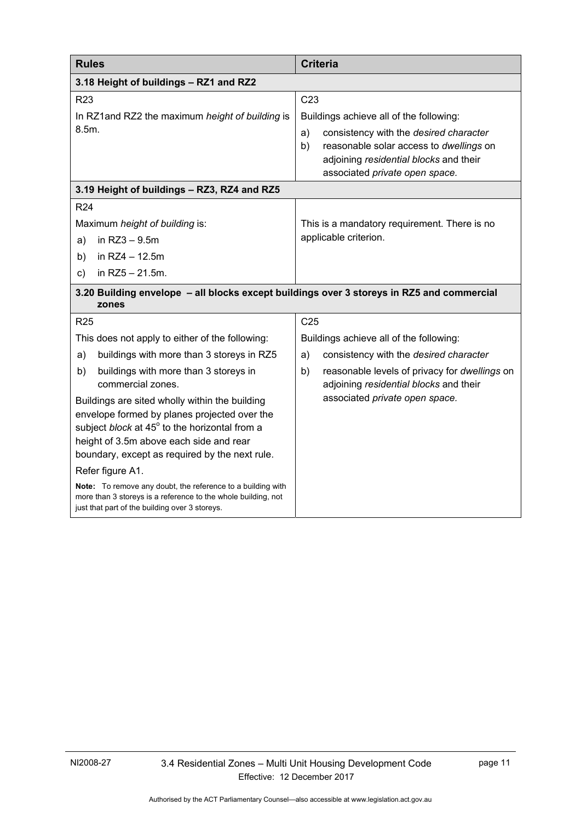<span id="page-14-2"></span><span id="page-14-1"></span><span id="page-14-0"></span>

| <b>Rules</b>                                                                                                                                                                                                                                                     | <b>Criteria</b>                                                                                                                                                           |
|------------------------------------------------------------------------------------------------------------------------------------------------------------------------------------------------------------------------------------------------------------------|---------------------------------------------------------------------------------------------------------------------------------------------------------------------------|
| 3.18 Height of buildings - RZ1 and RZ2                                                                                                                                                                                                                           |                                                                                                                                                                           |
| R <sub>23</sub>                                                                                                                                                                                                                                                  | C <sub>23</sub>                                                                                                                                                           |
| In RZ1 and RZ2 the maximum height of building is                                                                                                                                                                                                                 | Buildings achieve all of the following:                                                                                                                                   |
| 8.5m.                                                                                                                                                                                                                                                            | a)<br>consistency with the desired character<br>b)<br>reasonable solar access to dwellings on<br>adjoining residential blocks and their<br>associated private open space. |
| 3.19 Height of buildings - RZ3, RZ4 and RZ5                                                                                                                                                                                                                      |                                                                                                                                                                           |
| <b>R24</b>                                                                                                                                                                                                                                                       |                                                                                                                                                                           |
| Maximum height of building is:                                                                                                                                                                                                                                   | This is a mandatory requirement. There is no                                                                                                                              |
| in $RZ3 - 9.5m$<br>a)                                                                                                                                                                                                                                            | applicable criterion.                                                                                                                                                     |
| in RZ4 - 12.5m<br>b)                                                                                                                                                                                                                                             |                                                                                                                                                                           |
| in RZ5 - 21.5m.<br>$\mathsf{c}$                                                                                                                                                                                                                                  |                                                                                                                                                                           |
| 3.20 Building envelope - all blocks except buildings over 3 storeys in RZ5 and commercial<br>zones                                                                                                                                                               |                                                                                                                                                                           |
| <b>R25</b>                                                                                                                                                                                                                                                       | C <sub>25</sub>                                                                                                                                                           |
| This does not apply to either of the following:                                                                                                                                                                                                                  | Buildings achieve all of the following:                                                                                                                                   |
| buildings with more than 3 storeys in RZ5<br>a)                                                                                                                                                                                                                  | consistency with the desired character<br>a)                                                                                                                              |
| buildings with more than 3 storeys in<br>b)<br>commercial zones.                                                                                                                                                                                                 | reasonable levels of privacy for dwellings on<br>b)<br>adjoining residential blocks and their                                                                             |
| Buildings are sited wholly within the building<br>envelope formed by planes projected over the<br>subject block at 45° to the horizontal from a<br>height of 3.5m above each side and rear<br>boundary, except as required by the next rule.<br>Refer figure A1. | associated private open space.                                                                                                                                            |
| <b>Note:</b> To remove any doubt, the reference to a building with<br>more than 3 storeys is a reference to the whole building, not<br>just that part of the building over 3 storeys.                                                                            |                                                                                                                                                                           |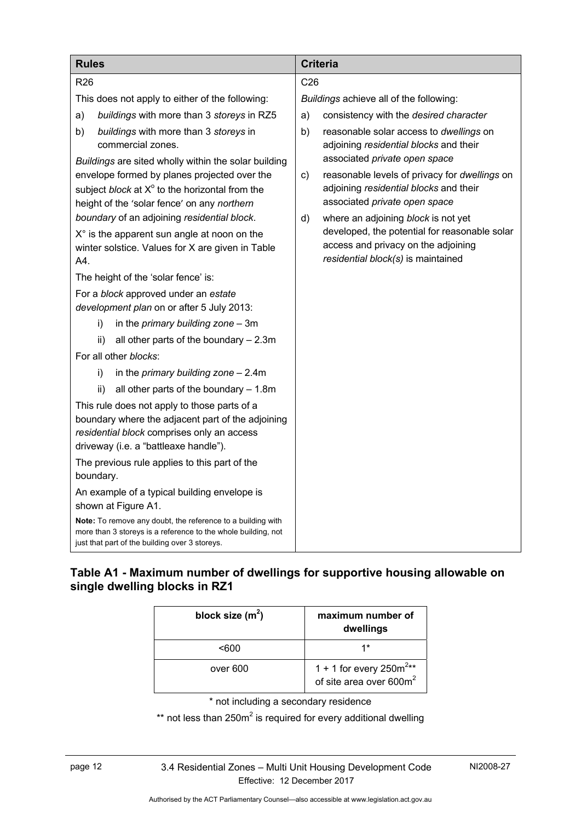| <b>Rules</b>                                                                                                                                                                             | <b>Criteria</b>                                                                         |  |
|------------------------------------------------------------------------------------------------------------------------------------------------------------------------------------------|-----------------------------------------------------------------------------------------|--|
| R <sub>26</sub>                                                                                                                                                                          | C <sub>26</sub>                                                                         |  |
| This does not apply to either of the following:                                                                                                                                          | Buildings achieve all of the following:                                                 |  |
| buildings with more than 3 storeys in RZ5<br>a)                                                                                                                                          | consistency with the desired character<br>a)                                            |  |
| buildings with more than 3 storeys in<br>b)<br>commercial zones.                                                                                                                         | b)<br>reasonable solar access to dwellings on<br>adjoining residential blocks and their |  |
| Buildings are sited wholly within the solar building                                                                                                                                     | associated private open space                                                           |  |
| envelope formed by planes projected over the                                                                                                                                             | reasonable levels of privacy for dwellings on<br>C)                                     |  |
| subject block at $X^{\circ}$ to the horizontal from the<br>height of the 'solar fence' on any northern                                                                                   | adjoining residential blocks and their<br>associated private open space                 |  |
| boundary of an adjoining residential block.                                                                                                                                              | d)<br>where an adjoining block is not yet                                               |  |
| $X°$ is the apparent sun angle at noon on the                                                                                                                                            | developed, the potential for reasonable solar                                           |  |
| winter solstice. Values for X are given in Table<br>A4.                                                                                                                                  | access and privacy on the adjoining<br>residential block(s) is maintained               |  |
| The height of the 'solar fence' is:                                                                                                                                                      |                                                                                         |  |
| For a block approved under an estate                                                                                                                                                     |                                                                                         |  |
| development plan on or after 5 July 2013:                                                                                                                                                |                                                                                         |  |
| i)<br>in the <i>primary building</i> $zone - 3m$                                                                                                                                         |                                                                                         |  |
| ii)<br>all other parts of the boundary $-2.3m$                                                                                                                                           |                                                                                         |  |
| For all other blocks:                                                                                                                                                                    |                                                                                         |  |
| i)<br>in the <i>primary building zone</i> $-2.4m$                                                                                                                                        |                                                                                         |  |
| all other parts of the boundary $-1.8m$<br>ii)                                                                                                                                           |                                                                                         |  |
| This rule does not apply to those parts of a<br>boundary where the adjacent part of the adjoining<br>residential block comprises only an access<br>driveway (i.e. a "battleaxe handle"). |                                                                                         |  |
| The previous rule applies to this part of the<br>boundary.                                                                                                                               |                                                                                         |  |
| An example of a typical building envelope is<br>shown at Figure A1.                                                                                                                      |                                                                                         |  |
| Note: To remove any doubt, the reference to a building with<br>more than 3 storeys is a reference to the whole building, not<br>just that part of the building over 3 storeys.           |                                                                                         |  |

### **Table A1 - Maximum number of dwellings for supportive housing allowable on single dwelling blocks in RZ1**

| block size $(m^2)$ | maximum number of<br>dwellings                                      |
|--------------------|---------------------------------------------------------------------|
|                    | 1*                                                                  |
| over 600           | 1 + 1 for every $250m^{2**}$<br>of site area over 600m <sup>2</sup> |

\* not including a secondary residence

 $**$  not less than 250 $m^2$  is required for every additional dwelling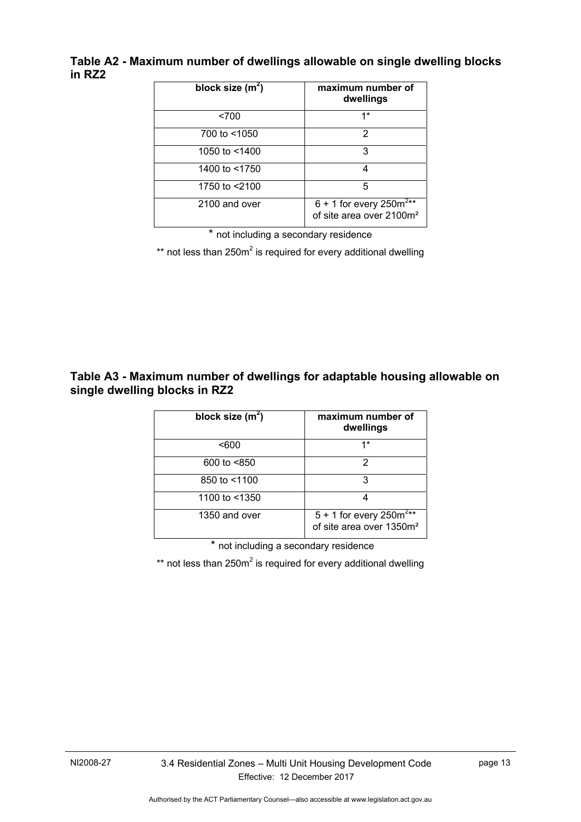### **Table A2 - Maximum number of dwellings allowable on single dwelling blocks in RZ2**

| block size $(m2)$ | maximum number of<br>dwellings                                       |
|-------------------|----------------------------------------------------------------------|
| < 700             | $1*$                                                                 |
| 700 to <1050      | 2                                                                    |
| 1050 to <1400     | 3                                                                    |
| 1400 to <1750     | Λ                                                                    |
| 1750 to <2100     | 5                                                                    |
| 2100 and over     | 6 + 1 for every $250m^{2**}$<br>of site area over 2100m <sup>2</sup> |

\* not including a secondary residence

 $**$  not less than 250 $m^2$  is required for every additional dwelling

### **Table A3 - Maximum number of dwellings for adaptable housing allowable on single dwelling blocks in RZ2**

| block size $(m2)$ | maximum number of<br>dwellings                                       |
|-------------------|----------------------------------------------------------------------|
| < 600             | 1*                                                                   |
| $600$ to $<850$   | 2                                                                    |
| 850 to $<$ 1100   | 3                                                                    |
| 1100 to <1350     |                                                                      |
| 1350 and over     | 5 + 1 for every $250m^{2**}$<br>of site area over 1350m <sup>2</sup> |

\* not including a secondary residence

 $**$  not less than 250 $m^2$  is required for every additional dwelling

Authorised by the ACT Parliamentary Counsel—also accessible at www.legislation.act.gov.au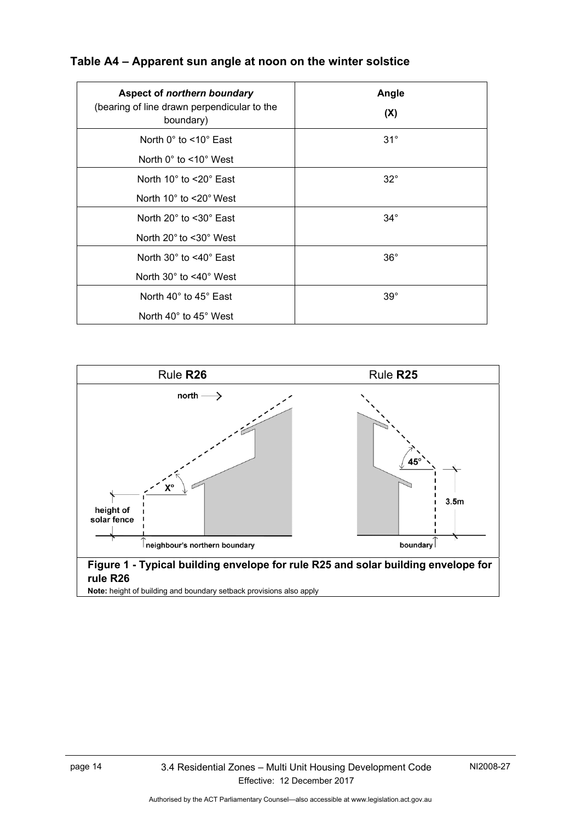| Aspect of northern boundary<br>(bearing of line drawn perpendicular to the<br>boundary) | Angle<br>(X) |
|-----------------------------------------------------------------------------------------|--------------|
| North $0^{\circ}$ to $\leq 10^{\circ}$ East                                             | $31^\circ$   |
| North $0^\circ$ to $\leq 10^\circ$ West                                                 |              |
| North 10° to <20° East                                                                  | $32^{\circ}$ |
| North $10^{\circ}$ to $\leq 20^{\circ}$ West                                            |              |
| North 20 $\degree$ to <30 $\degree$ East                                                | $34^\circ$   |
| North $20^{\circ}$ to $\leq 30^{\circ}$ West                                            |              |
| North 30 $^{\circ}$ to <40 $^{\circ}$ East                                              | $36^{\circ}$ |
| North $30^\circ$ to $\leq 40^\circ$ West                                                |              |
| North 40° to 45° East                                                                   | $39^\circ$   |
| North 40° to 45° West                                                                   |              |

## **Table A4 – Apparent sun angle at noon on the winter solstice**



**Note:** height of building and boundary setback provisions also apply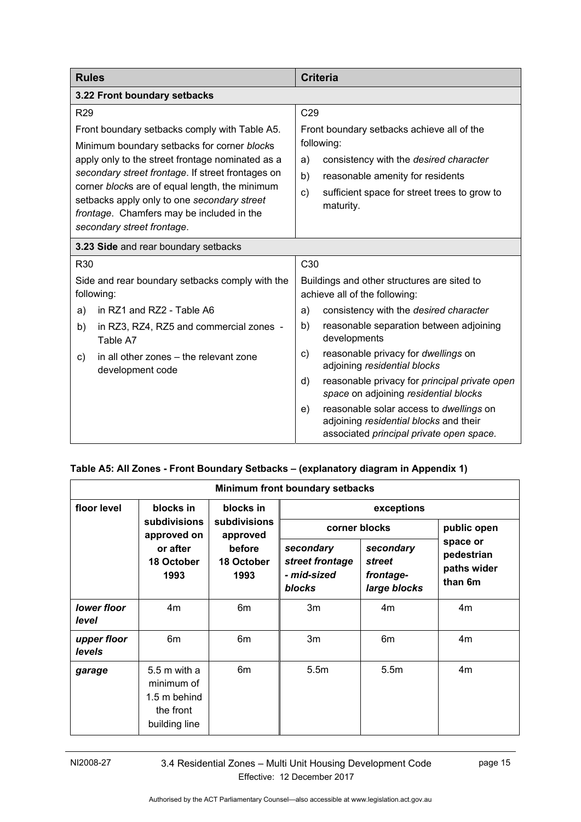<span id="page-18-1"></span><span id="page-18-0"></span>

| <b>Rules</b>                                                                                                                                                                                                                                                                      | <b>Criteria</b>                                                                                                                                           |  |
|-----------------------------------------------------------------------------------------------------------------------------------------------------------------------------------------------------------------------------------------------------------------------------------|-----------------------------------------------------------------------------------------------------------------------------------------------------------|--|
| 3.22 Front boundary setbacks                                                                                                                                                                                                                                                      |                                                                                                                                                           |  |
| <b>R29</b><br>Front boundary setbacks comply with Table A5.<br>Minimum boundary setbacks for corner blocks                                                                                                                                                                        | C29<br>Front boundary setbacks achieve all of the<br>following:                                                                                           |  |
| apply only to the street frontage nominated as a<br>secondary street frontage. If street frontages on<br>corner blocks are of equal length, the minimum<br>setbacks apply only to one secondary street<br>frontage. Chamfers may be included in the<br>secondary street frontage. | consistency with the desired character<br>a)<br>b)<br>reasonable amenity for residents<br>sufficient space for street trees to grow to<br>C)<br>maturity. |  |
| 3.23 Side and rear boundary setbacks                                                                                                                                                                                                                                              |                                                                                                                                                           |  |
| <b>R30</b>                                                                                                                                                                                                                                                                        | C <sub>30</sub>                                                                                                                                           |  |
| Side and rear boundary setbacks comply with the<br>following:                                                                                                                                                                                                                     | Buildings and other structures are sited to<br>achieve all of the following:                                                                              |  |
| in RZ1 and RZ2 - Table A6<br>a)                                                                                                                                                                                                                                                   | consistency with the desired character<br>a)                                                                                                              |  |
| in RZ3, RZ4, RZ5 and commercial zones -<br>b)<br>Table A7                                                                                                                                                                                                                         | reasonable separation between adjoining<br>b)<br>developments                                                                                             |  |
| in all other zones – the relevant zone<br>C)<br>development code                                                                                                                                                                                                                  | reasonable privacy for dwellings on<br>C)<br>adjoining residential blocks                                                                                 |  |
|                                                                                                                                                                                                                                                                                   | reasonable privacy for principal private open<br>d)<br>space on adjoining residential blocks                                                              |  |
|                                                                                                                                                                                                                                                                                   | reasonable solar access to dwellings on<br>e)<br>adjoining residential blocks and their<br>associated principal private open space.                       |  |

## **Table A5: All Zones - Front Boundary Setbacks – (explanatory diagram in Appendix 1)**

| Minimum front boundary setbacks |                                                                          |                              |                                                              |                                                  |                                                  |
|---------------------------------|--------------------------------------------------------------------------|------------------------------|--------------------------------------------------------------|--------------------------------------------------|--------------------------------------------------|
| floor level                     | blocks in                                                                | blocks in                    | exceptions                                                   |                                                  |                                                  |
|                                 | subdivisions<br>approved on                                              | subdivisions<br>approved     | corner blocks                                                | public open                                      |                                                  |
|                                 | or after<br>18 October<br>1993                                           | before<br>18 October<br>1993 | secondary<br>street frontage<br>- mid-sized<br><b>blocks</b> | secondary<br>street<br>frontage-<br>large blocks | space or<br>pedestrian<br>paths wider<br>than 6m |
| lower floor<br>level            | 4m                                                                       | 6m                           | 3m                                                           | 4 <sub>m</sub>                                   | 4m                                               |
| upper floor<br><b>levels</b>    | 6m                                                                       | 6m                           | 3m                                                           | 6m                                               | 4m                                               |
| garage                          | 5.5 m with a<br>minimum of<br>1.5 m behind<br>the front<br>building line | 6m                           | 5.5m                                                         | 5.5 <sub>m</sub>                                 | 4m                                               |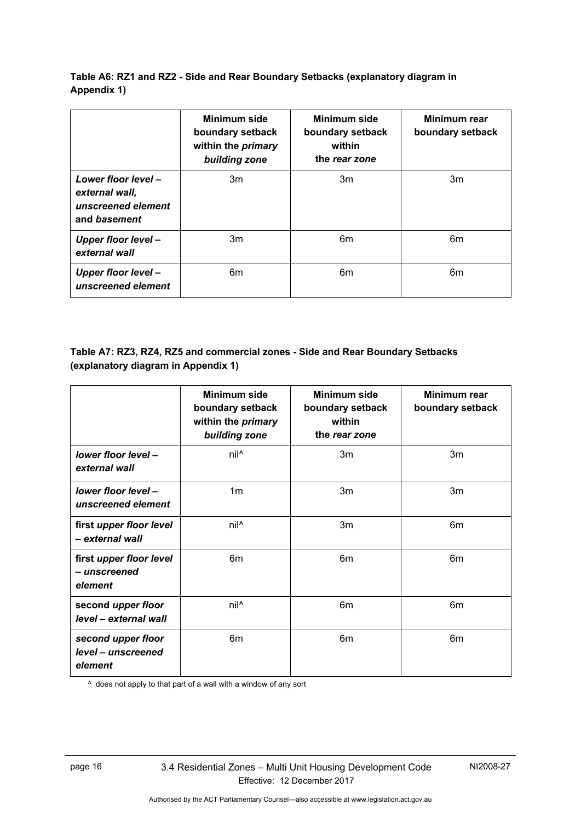**Table A6: RZ1 and RZ2 - Side and Rear Boundary Setbacks (explanatory diagram in Appendix 1)** 

|                                                                             | Minimum side<br>boundary setback<br>within the <i>primary</i><br>building zone | Minimum side<br>boundary setback<br>within<br>the rear zone | Minimum rear<br>boundary setback |
|-----------------------------------------------------------------------------|--------------------------------------------------------------------------------|-------------------------------------------------------------|----------------------------------|
| Lower floor level -<br>external wall,<br>unscreened element<br>and basement | 3m                                                                             | 3m                                                          | 3m                               |
| Upper floor level -<br>external wall                                        | 3m                                                                             | 6m                                                          | 6 <sub>m</sub>                   |
| Upper floor level -<br>unscreened element                                   | 6 <sub>m</sub>                                                                 | 6m                                                          | 6m                               |

**Table A7: RZ3, RZ4, RZ5 and commercial zones - Side and Rear Boundary Setbacks (explanatory diagram in Appendix 1)** 

|                                                           | <b>Minimum side</b><br>boundary setback<br>within the <i>primary</i><br>building zone | <b>Minimum side</b><br>boundary setback<br>within<br>the rear zone | Minimum rear<br>boundary setback |
|-----------------------------------------------------------|---------------------------------------------------------------------------------------|--------------------------------------------------------------------|----------------------------------|
| lower floor level -<br>external wall                      | nil <sup>^</sup>                                                                      | 3m                                                                 | 3 <sub>m</sub>                   |
| lower floor level -<br>unscreened element                 | 1 <sub>m</sub>                                                                        | 3m                                                                 | 3m                               |
| first upper floor level<br>- external wall                | nil <sup>^</sup>                                                                      | 3m                                                                 | 6m                               |
| first upper floor level<br><i>– unscreened</i><br>element | 6m                                                                                    | 6m                                                                 | 6m                               |
| second upper floor<br>level - external wall               | nil <sup>^</sup>                                                                      | 6m                                                                 | 6m                               |
| second upper floor<br>level - unscreened<br>element       | 6m                                                                                    | 6m                                                                 | 6m                               |

^ does not apply to that part of a wall with a window of any sort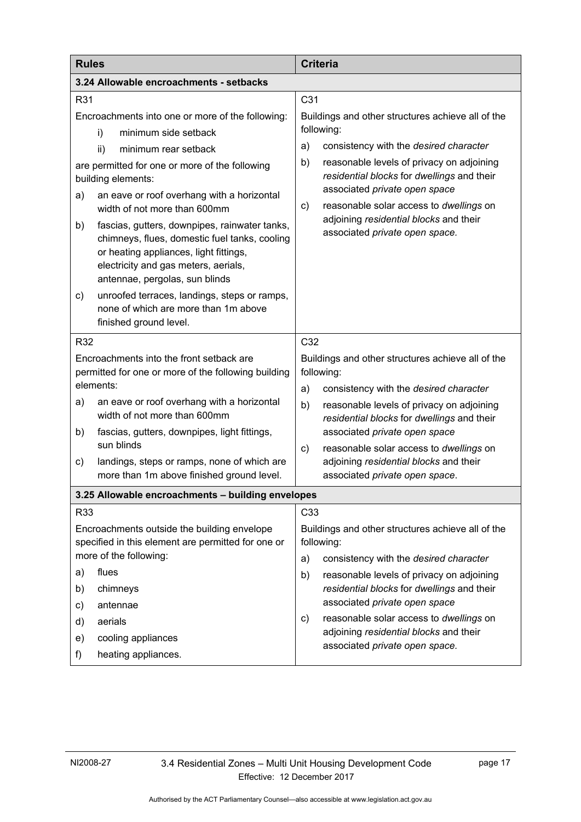<span id="page-20-1"></span><span id="page-20-0"></span>

| <b>Rules</b>                                                                                                                                                                                                             | <b>Criteria</b>                                                                                                                                                                                                           |  |  |
|--------------------------------------------------------------------------------------------------------------------------------------------------------------------------------------------------------------------------|---------------------------------------------------------------------------------------------------------------------------------------------------------------------------------------------------------------------------|--|--|
| 3.24 Allowable encroachments - setbacks                                                                                                                                                                                  |                                                                                                                                                                                                                           |  |  |
| R31                                                                                                                                                                                                                      | C <sub>31</sub>                                                                                                                                                                                                           |  |  |
| Encroachments into one or more of the following:<br>minimum side setback<br>i)                                                                                                                                           | Buildings and other structures achieve all of the<br>following:<br>a)<br>consistency with the desired character                                                                                                           |  |  |
| ii)<br>minimum rear setback<br>are permitted for one or more of the following<br>building elements:<br>a)<br>an eave or roof overhang with a horizontal<br>width of not more than 600mm                                  | b)<br>reasonable levels of privacy on adjoining<br>residential blocks for dwellings and their<br>associated private open space<br>reasonable solar access to dwellings on<br>C)<br>adjoining residential blocks and their |  |  |
| fascias, gutters, downpipes, rainwater tanks,<br>b)<br>chimneys, flues, domestic fuel tanks, cooling<br>or heating appliances, light fittings,<br>electricity and gas meters, aerials,<br>antennae, pergolas, sun blinds | associated private open space.                                                                                                                                                                                            |  |  |
| unroofed terraces, landings, steps or ramps,<br>C)<br>none of which are more than 1m above<br>finished ground level.                                                                                                     |                                                                                                                                                                                                                           |  |  |
| R32                                                                                                                                                                                                                      | C32                                                                                                                                                                                                                       |  |  |
| Encroachments into the front setback are<br>permitted for one or more of the following building                                                                                                                          | Buildings and other structures achieve all of the<br>following:                                                                                                                                                           |  |  |
| elements:                                                                                                                                                                                                                | a)<br>consistency with the desired character                                                                                                                                                                              |  |  |
| an eave or roof overhang with a horizontal<br>a)<br>width of not more than 600mm                                                                                                                                         | reasonable levels of privacy on adjoining<br>b)<br>residential blocks for dwellings and their                                                                                                                             |  |  |
| fascias, gutters, downpipes, light fittings,<br>b)<br>sun blinds                                                                                                                                                         | associated private open space                                                                                                                                                                                             |  |  |
| landings, steps or ramps, none of which are<br>C)<br>more than 1m above finished ground level.                                                                                                                           | reasonable solar access to dwellings on<br>C)<br>adjoining residential blocks and their<br>associated private open space.                                                                                                 |  |  |
| 3.25 Allowable encroachments - building envelopes                                                                                                                                                                        |                                                                                                                                                                                                                           |  |  |
| R33                                                                                                                                                                                                                      | C33                                                                                                                                                                                                                       |  |  |
| Encroachments outside the building envelope<br>specified in this element are permitted for one or                                                                                                                        | Buildings and other structures achieve all of the<br>following:                                                                                                                                                           |  |  |
| more of the following:                                                                                                                                                                                                   | consistency with the desired character<br>a)                                                                                                                                                                              |  |  |
| flues<br>a)                                                                                                                                                                                                              | b)<br>reasonable levels of privacy on adjoining                                                                                                                                                                           |  |  |
| chimneys<br>b)<br>antennae                                                                                                                                                                                               | residential blocks for dwellings and their<br>associated private open space                                                                                                                                               |  |  |
| c)<br>d)<br>aerials                                                                                                                                                                                                      | reasonable solar access to dwellings on<br>c)                                                                                                                                                                             |  |  |
| e)<br>cooling appliances                                                                                                                                                                                                 | adjoining residential blocks and their                                                                                                                                                                                    |  |  |
| heating appliances.<br>f)                                                                                                                                                                                                | associated private open space.                                                                                                                                                                                            |  |  |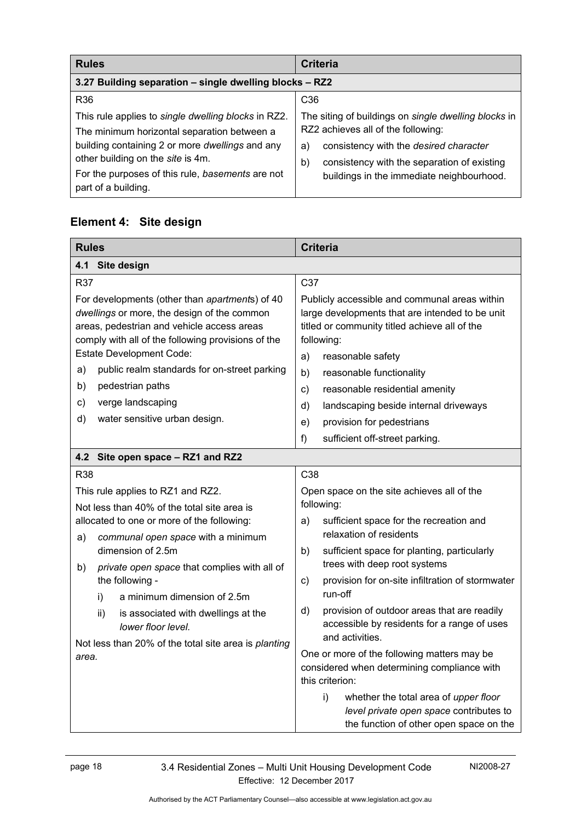<span id="page-21-0"></span>

| <b>Rules</b>                                                                                                                                                                                                                                                          | <b>Criteria</b>                                                                                                                                                                                                                              |
|-----------------------------------------------------------------------------------------------------------------------------------------------------------------------------------------------------------------------------------------------------------------------|----------------------------------------------------------------------------------------------------------------------------------------------------------------------------------------------------------------------------------------------|
| 3.27 Building separation - single dwelling blocks - RZ2                                                                                                                                                                                                               |                                                                                                                                                                                                                                              |
| R36                                                                                                                                                                                                                                                                   | C <sub>36</sub>                                                                                                                                                                                                                              |
| This rule applies to single dwelling blocks in RZ2.<br>The minimum horizontal separation between a<br>building containing 2 or more dwellings and any<br>other building on the site is 4m.<br>For the purposes of this rule, basements are not<br>part of a building. | The siting of buildings on single dwelling blocks in<br>RZ2 achieves all of the following:<br>consistency with the desired character<br>a)<br>consistency with the separation of existing<br>b)<br>buildings in the immediate neighbourhood. |

# <span id="page-21-1"></span>**Element 4: Site design**

<span id="page-21-3"></span><span id="page-21-2"></span>

| <b>Rules</b>                                                                                                                                                                                                                                                                                                                                                                                                                                       | <b>Criteria</b>                                                                                                                                                                                                                                                                                                                                                                                                                                                                                                                                                                                  |  |
|----------------------------------------------------------------------------------------------------------------------------------------------------------------------------------------------------------------------------------------------------------------------------------------------------------------------------------------------------------------------------------------------------------------------------------------------------|--------------------------------------------------------------------------------------------------------------------------------------------------------------------------------------------------------------------------------------------------------------------------------------------------------------------------------------------------------------------------------------------------------------------------------------------------------------------------------------------------------------------------------------------------------------------------------------------------|--|
| 4.1<br>Site design                                                                                                                                                                                                                                                                                                                                                                                                                                 |                                                                                                                                                                                                                                                                                                                                                                                                                                                                                                                                                                                                  |  |
| <b>R37</b>                                                                                                                                                                                                                                                                                                                                                                                                                                         | C37                                                                                                                                                                                                                                                                                                                                                                                                                                                                                                                                                                                              |  |
| For developments (other than apartments) of 40<br>dwellings or more, the design of the common<br>areas, pedestrian and vehicle access areas<br>comply with all of the following provisions of the<br><b>Estate Development Code:</b><br>public realm standards for on-street parking<br>a)<br>b)<br>pedestrian paths<br>c)<br>verge landscaping<br>d)<br>water sensitive urban design.                                                             | Publicly accessible and communal areas within<br>large developments that are intended to be unit<br>titled or community titled achieve all of the<br>following:<br>a)<br>reasonable safety<br>b)<br>reasonable functionality<br>c)<br>reasonable residential amenity<br>d)<br>landscaping beside internal driveways<br>e)<br>provision for pedestrians                                                                                                                                                                                                                                           |  |
|                                                                                                                                                                                                                                                                                                                                                                                                                                                    | sufficient off-street parking.<br>f                                                                                                                                                                                                                                                                                                                                                                                                                                                                                                                                                              |  |
| 4.2 Site open space - RZ1 and RZ2                                                                                                                                                                                                                                                                                                                                                                                                                  |                                                                                                                                                                                                                                                                                                                                                                                                                                                                                                                                                                                                  |  |
| <b>R38</b>                                                                                                                                                                                                                                                                                                                                                                                                                                         | C38                                                                                                                                                                                                                                                                                                                                                                                                                                                                                                                                                                                              |  |
| This rule applies to RZ1 and RZ2.<br>Not less than 40% of the total site area is<br>allocated to one or more of the following:<br>communal open space with a minimum<br>a)<br>dimension of 2.5m<br>private open space that complies with all of<br>b)<br>the following -<br>a minimum dimension of 2.5m<br>i)<br>ii)<br>is associated with dwellings at the<br>lower floor level.<br>Not less than 20% of the total site area is planting<br>area. | Open space on the site achieves all of the<br>following:<br>sufficient space for the recreation and<br>a)<br>relaxation of residents<br>b)<br>sufficient space for planting, particularly<br>trees with deep root systems<br>provision for on-site infiltration of stormwater<br>$\mathsf{c})$<br>run-off<br>provision of outdoor areas that are readily<br>d)<br>accessible by residents for a range of uses<br>and activities.<br>One or more of the following matters may be<br>considered when determining compliance with<br>this criterion:<br>i)<br>whether the total area of upper floor |  |
|                                                                                                                                                                                                                                                                                                                                                                                                                                                    | level private open space contributes to<br>the function of other open space on the                                                                                                                                                                                                                                                                                                                                                                                                                                                                                                               |  |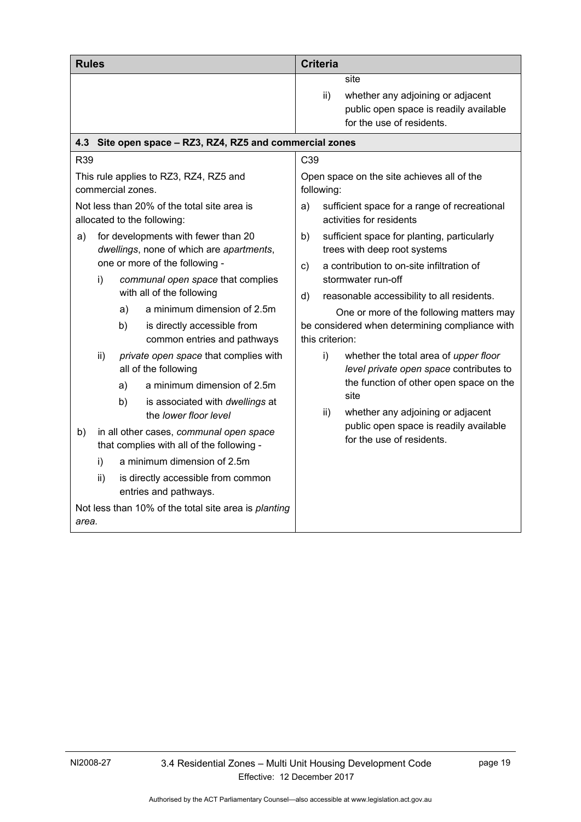<span id="page-22-0"></span>

| <b>Rules</b> |     |                   | <b>Criteria</b>                                                                      |                 |                 |                                                                                                          |
|--------------|-----|-------------------|--------------------------------------------------------------------------------------|-----------------|-----------------|----------------------------------------------------------------------------------------------------------|
|              |     |                   |                                                                                      |                 |                 | site                                                                                                     |
|              |     |                   |                                                                                      |                 | ii)             | whether any adjoining or adjacent<br>public open space is readily available<br>for the use of residents. |
|              |     |                   | 4.3 Site open space - RZ3, RZ4, RZ5 and commercial zones                             |                 |                 |                                                                                                          |
| R39          |     |                   |                                                                                      | C <sub>39</sub> |                 |                                                                                                          |
|              |     | commercial zones. | This rule applies to RZ3, RZ4, RZ5 and                                               |                 | following:      | Open space on the site achieves all of the                                                               |
|              |     |                   | Not less than 20% of the total site area is<br>allocated to the following:           | a)              |                 | sufficient space for a range of recreational<br>activities for residents                                 |
| a)           |     |                   | for developments with fewer than 20<br>dwellings, none of which are apartments,      | b)              |                 | sufficient space for planting, particularly<br>trees with deep root systems                              |
|              |     |                   | one or more of the following -                                                       | c)              |                 | a contribution to on-site infiltration of                                                                |
|              | i)  |                   | communal open space that complies<br>with all of the following                       |                 |                 | stormwater run-off                                                                                       |
|              |     | a)                | a minimum dimension of 2.5m                                                          | d)              |                 | reasonable accessibility to all residents.                                                               |
|              |     | b)                | is directly accessible from<br>common entries and pathways                           |                 | this criterion: | One or more of the following matters may<br>be considered when determining compliance with               |
|              | ii) |                   | private open space that complies with<br>all of the following                        |                 | i)              | whether the total area of upper floor<br>level private open space contributes to                         |
|              |     | a)                | a minimum dimension of 2.5m                                                          |                 |                 | the function of other open space on the                                                                  |
|              |     | b)                | is associated with dwellings at<br>the lower floor level                             |                 | ii)             | site<br>whether any adjoining or adjacent                                                                |
| b)           |     |                   | in all other cases, communal open space<br>that complies with all of the following - |                 |                 | public open space is readily available<br>for the use of residents.                                      |
|              | i)  |                   | a minimum dimension of 2.5m                                                          |                 |                 |                                                                                                          |
|              | ii) |                   | is directly accessible from common<br>entries and pathways.                          |                 |                 |                                                                                                          |
| area.        |     |                   | Not less than 10% of the total site area is planting                                 |                 |                 |                                                                                                          |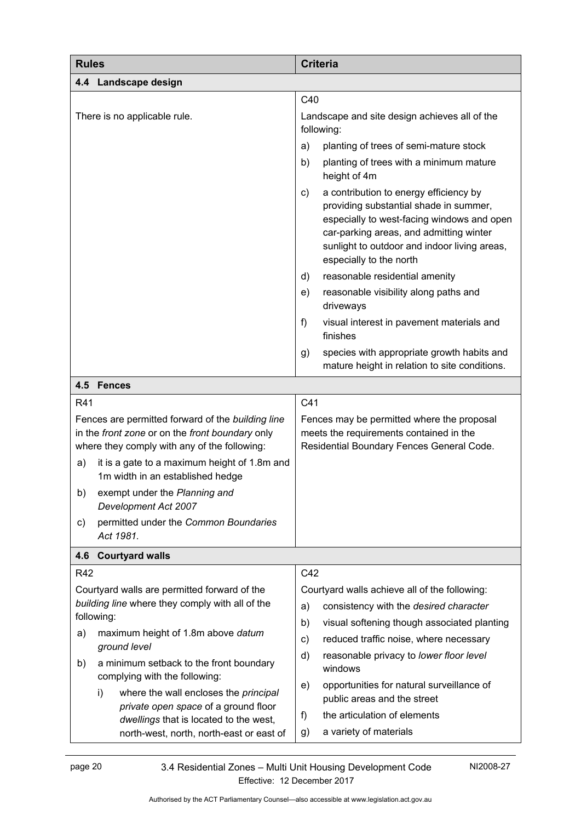<span id="page-23-2"></span><span id="page-23-1"></span><span id="page-23-0"></span>

| <b>Rules</b>                                                                                                                                         | <b>Criteria</b>                                                                                                                                                                                                                                            |  |
|------------------------------------------------------------------------------------------------------------------------------------------------------|------------------------------------------------------------------------------------------------------------------------------------------------------------------------------------------------------------------------------------------------------------|--|
| 4.4 Landscape design                                                                                                                                 |                                                                                                                                                                                                                                                            |  |
|                                                                                                                                                      | C40                                                                                                                                                                                                                                                        |  |
| There is no applicable rule.                                                                                                                         | Landscape and site design achieves all of the<br>following:                                                                                                                                                                                                |  |
|                                                                                                                                                      | planting of trees of semi-mature stock<br>a)                                                                                                                                                                                                               |  |
|                                                                                                                                                      | b)<br>planting of trees with a minimum mature<br>height of 4m                                                                                                                                                                                              |  |
|                                                                                                                                                      | a contribution to energy efficiency by<br>c)<br>providing substantial shade in summer,<br>especially to west-facing windows and open<br>car-parking areas, and admitting winter<br>sunlight to outdoor and indoor living areas,<br>especially to the north |  |
|                                                                                                                                                      | reasonable residential amenity<br>d)                                                                                                                                                                                                                       |  |
|                                                                                                                                                      | reasonable visibility along paths and<br>e)<br>driveways                                                                                                                                                                                                   |  |
|                                                                                                                                                      | f)<br>visual interest in pavement materials and<br>finishes                                                                                                                                                                                                |  |
|                                                                                                                                                      | species with appropriate growth habits and<br>g)<br>mature height in relation to site conditions.                                                                                                                                                          |  |
| 4.5 Fences                                                                                                                                           |                                                                                                                                                                                                                                                            |  |
| R41                                                                                                                                                  | C41                                                                                                                                                                                                                                                        |  |
| Fences are permitted forward of the building line<br>in the front zone or on the front boundary only<br>where they comply with any of the following: | Fences may be permitted where the proposal<br>meets the requirements contained in the<br>Residential Boundary Fences General Code.                                                                                                                         |  |
| it is a gate to a maximum height of 1.8m and<br>a)<br>1m width in an established hedge                                                               |                                                                                                                                                                                                                                                            |  |
| exempt under the Planning and<br>b)<br>Development Act 2007                                                                                          |                                                                                                                                                                                                                                                            |  |
| permitted under the Common Boundaries<br>C)<br>Act 1981.                                                                                             |                                                                                                                                                                                                                                                            |  |
| 4.6<br><b>Courtyard walls</b>                                                                                                                        |                                                                                                                                                                                                                                                            |  |
| R42                                                                                                                                                  | C42                                                                                                                                                                                                                                                        |  |
| Courtyard walls are permitted forward of the<br>building line where they comply with all of the<br>following:                                        | Courtyard walls achieve all of the following:<br>a)<br>consistency with the desired character<br>b)<br>visual softening though associated planting                                                                                                         |  |
| a)<br>maximum height of 1.8m above datum<br>ground level                                                                                             | reduced traffic noise, where necessary<br>c)                                                                                                                                                                                                               |  |
| a minimum setback to the front boundary<br>b)<br>complying with the following:                                                                       | d)<br>reasonable privacy to lower floor level<br>windows                                                                                                                                                                                                   |  |
| where the wall encloses the principal<br>i)<br>private open space of a ground floor                                                                  | opportunities for natural surveillance of<br>e)<br>public areas and the street                                                                                                                                                                             |  |
| dwellings that is located to the west,                                                                                                               | the articulation of elements<br>f)                                                                                                                                                                                                                         |  |
| north-west, north, north-east or east of                                                                                                             | a variety of materials<br>g)                                                                                                                                                                                                                               |  |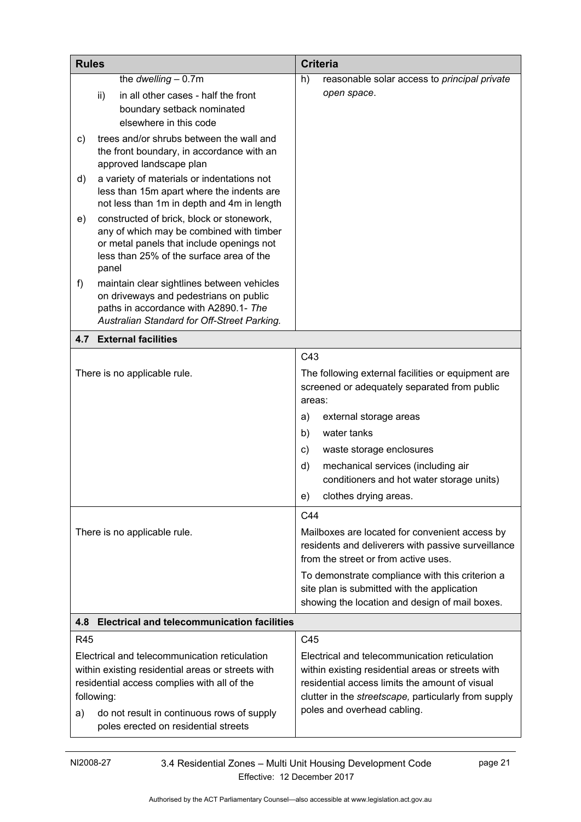<span id="page-24-1"></span><span id="page-24-0"></span>

| <b>Rules</b>                                                                                                                                                                                                        |                                                                                                                                                                                         | <b>Criteria</b>                                                                                                                                                                                                                             |
|---------------------------------------------------------------------------------------------------------------------------------------------------------------------------------------------------------------------|-----------------------------------------------------------------------------------------------------------------------------------------------------------------------------------------|---------------------------------------------------------------------------------------------------------------------------------------------------------------------------------------------------------------------------------------------|
|                                                                                                                                                                                                                     | the dwelling $-0.7m$<br>ii)<br>in all other cases - half the front<br>boundary setback nominated                                                                                        | h)<br>reasonable solar access to principal private<br>open space.                                                                                                                                                                           |
| C)                                                                                                                                                                                                                  | elsewhere in this code<br>trees and/or shrubs between the wall and<br>the front boundary, in accordance with an<br>approved landscape plan                                              |                                                                                                                                                                                                                                             |
| d)                                                                                                                                                                                                                  | a variety of materials or indentations not<br>less than 15m apart where the indents are<br>not less than 1m in depth and 4m in length                                                   |                                                                                                                                                                                                                                             |
| e)                                                                                                                                                                                                                  | constructed of brick, block or stonework,<br>any of which may be combined with timber<br>or metal panels that include openings not<br>less than 25% of the surface area of the<br>panel |                                                                                                                                                                                                                                             |
| f)                                                                                                                                                                                                                  | maintain clear sightlines between vehicles<br>on driveways and pedestrians on public<br>paths in accordance with A2890.1- The<br>Australian Standard for Off-Street Parking.            |                                                                                                                                                                                                                                             |
| 4.7                                                                                                                                                                                                                 | <b>External facilities</b>                                                                                                                                                              |                                                                                                                                                                                                                                             |
|                                                                                                                                                                                                                     |                                                                                                                                                                                         | C43                                                                                                                                                                                                                                         |
|                                                                                                                                                                                                                     | There is no applicable rule.                                                                                                                                                            | The following external facilities or equipment are<br>screened or adequately separated from public<br>areas:                                                                                                                                |
|                                                                                                                                                                                                                     |                                                                                                                                                                                         | external storage areas<br>a)                                                                                                                                                                                                                |
|                                                                                                                                                                                                                     |                                                                                                                                                                                         | water tanks<br>b)                                                                                                                                                                                                                           |
|                                                                                                                                                                                                                     |                                                                                                                                                                                         | waste storage enclosures<br>C)                                                                                                                                                                                                              |
|                                                                                                                                                                                                                     |                                                                                                                                                                                         | d)<br>mechanical services (including air<br>conditioners and hot water storage units)                                                                                                                                                       |
|                                                                                                                                                                                                                     |                                                                                                                                                                                         | clothes drying areas.<br>e)                                                                                                                                                                                                                 |
|                                                                                                                                                                                                                     |                                                                                                                                                                                         | C44                                                                                                                                                                                                                                         |
| There is no applicable rule.                                                                                                                                                                                        |                                                                                                                                                                                         | Mailboxes are located for convenient access by<br>residents and deliverers with passive surveillance<br>from the street or from active uses.                                                                                                |
|                                                                                                                                                                                                                     |                                                                                                                                                                                         | To demonstrate compliance with this criterion a<br>site plan is submitted with the application<br>showing the location and design of mail boxes.                                                                                            |
| 4.8                                                                                                                                                                                                                 | <b>Electrical and telecommunication facilities</b>                                                                                                                                      |                                                                                                                                                                                                                                             |
| <b>R45</b>                                                                                                                                                                                                          |                                                                                                                                                                                         | C45                                                                                                                                                                                                                                         |
| Electrical and telecommunication reticulation<br>within existing residential areas or streets with<br>residential access complies with all of the<br>following:<br>do not result in continuous rows of supply<br>a) |                                                                                                                                                                                         | Electrical and telecommunication reticulation<br>within existing residential areas or streets with<br>residential access limits the amount of visual<br>clutter in the streetscape, particularly from supply<br>poles and overhead cabling. |
|                                                                                                                                                                                                                     | poles erected on residential streets                                                                                                                                                    |                                                                                                                                                                                                                                             |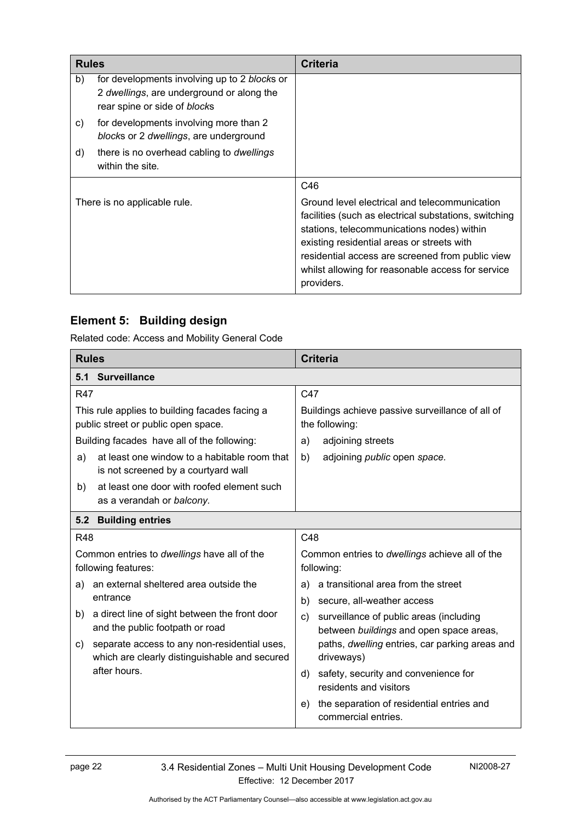| <b>Rules</b>                 |                                                                                                                           | Criteria                                                                                                                                                                                                                                                                                                                  |
|------------------------------|---------------------------------------------------------------------------------------------------------------------------|---------------------------------------------------------------------------------------------------------------------------------------------------------------------------------------------------------------------------------------------------------------------------------------------------------------------------|
| b)                           | for developments involving up to 2 blocks or<br>2 dwellings, are underground or along the<br>rear spine or side of blocks |                                                                                                                                                                                                                                                                                                                           |
| C)                           | for developments involving more than 2<br>blocks or 2 dwellings, are underground                                          |                                                                                                                                                                                                                                                                                                                           |
| d)                           | there is no overhead cabling to <i>dwellings</i><br>within the site.                                                      |                                                                                                                                                                                                                                                                                                                           |
|                              |                                                                                                                           | C46                                                                                                                                                                                                                                                                                                                       |
| There is no applicable rule. |                                                                                                                           | Ground level electrical and telecommunication<br>facilities (such as electrical substations, switching<br>stations, telecommunications nodes) within<br>existing residential areas or streets with<br>residential access are screened from public view<br>whilst allowing for reasonable access for service<br>providers. |

# <span id="page-25-0"></span>**Element 5: Building design**

Related code: Access and Mobility General Code

<span id="page-25-2"></span><span id="page-25-1"></span>

| <b>Rules</b>                                                                                        | <b>Criteria</b>                                                                          |  |
|-----------------------------------------------------------------------------------------------------|------------------------------------------------------------------------------------------|--|
| 5.1 Surveillance                                                                                    |                                                                                          |  |
| <b>R47</b>                                                                                          | C47                                                                                      |  |
| This rule applies to building facades facing a<br>public street or public open space.               | Buildings achieve passive surveillance of all of<br>the following:                       |  |
| Building facades have all of the following:                                                         | adjoining streets<br>a)                                                                  |  |
| at least one window to a habitable room that<br>a)<br>is not screened by a courtyard wall           | adjoining <i>public</i> open space.<br>b)                                                |  |
| at least one door with roofed element such<br>b)<br>as a verandah or balcony.                       |                                                                                          |  |
| <b>Building entries</b><br>5.2                                                                      |                                                                                          |  |
| <b>R48</b>                                                                                          | C48                                                                                      |  |
| Common entries to dwellings have all of the<br>following features:                                  | Common entries to dwellings achieve all of the<br>following:                             |  |
| an external sheltered area outside the<br>a)                                                        | a transitional area from the street<br>a)                                                |  |
| entrance                                                                                            | b)<br>secure, all-weather access                                                         |  |
| a direct line of sight between the front door<br>b)<br>and the public footpath or road              | surveillance of public areas (including<br>C)<br>between buildings and open space areas, |  |
| separate access to any non-residential uses,<br>C)<br>which are clearly distinguishable and secured | paths, dwelling entries, car parking areas and<br>driveways)                             |  |
| after hours.                                                                                        | d) safety, security and convenience for<br>residents and visitors                        |  |
|                                                                                                     | the separation of residential entries and<br>e)<br>commercial entries.                   |  |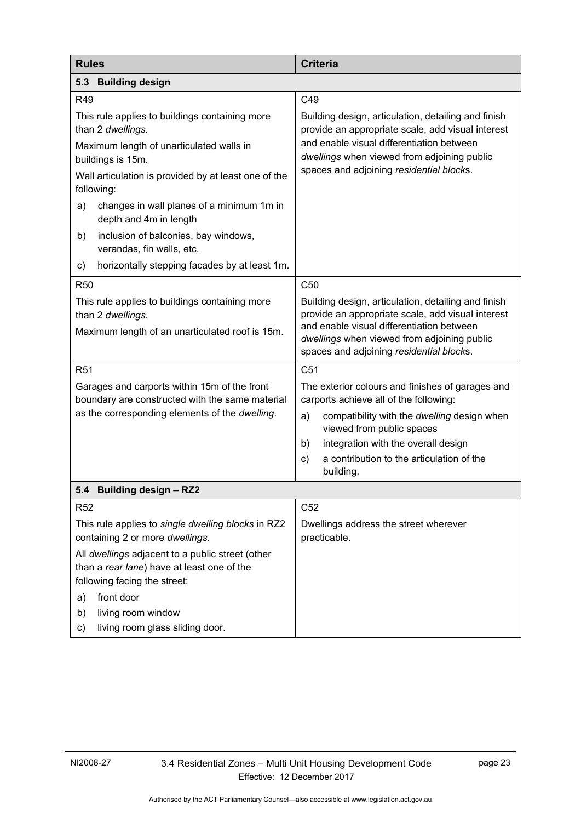<span id="page-26-1"></span><span id="page-26-0"></span>

| <b>Rules</b>                                                                                                                   | <b>Criteria</b>                                                                                                                                                                                      |
|--------------------------------------------------------------------------------------------------------------------------------|------------------------------------------------------------------------------------------------------------------------------------------------------------------------------------------------------|
| <b>Building design</b><br>5.3                                                                                                  |                                                                                                                                                                                                      |
| R49                                                                                                                            | C49                                                                                                                                                                                                  |
| This rule applies to buildings containing more<br>than 2 dwellings.<br>Maximum length of unarticulated walls in                | Building design, articulation, detailing and finish<br>provide an appropriate scale, add visual interest<br>and enable visual differentiation between                                                |
| buildings is 15m.                                                                                                              | dwellings when viewed from adjoining public                                                                                                                                                          |
| Wall articulation is provided by at least one of the<br>following:                                                             | spaces and adjoining residential blocks.                                                                                                                                                             |
| changes in wall planes of a minimum 1m in<br>a)<br>depth and 4m in length                                                      |                                                                                                                                                                                                      |
| inclusion of balconies, bay windows,<br>b)<br>verandas, fin walls, etc.                                                        |                                                                                                                                                                                                      |
| horizontally stepping facades by at least 1m.<br>C)                                                                            |                                                                                                                                                                                                      |
| <b>R50</b>                                                                                                                     | C <sub>50</sub>                                                                                                                                                                                      |
| This rule applies to buildings containing more<br>than 2 dwellings.<br>Maximum length of an unarticulated roof is 15m.         | Building design, articulation, detailing and finish<br>provide an appropriate scale, add visual interest<br>and enable visual differentiation between<br>dwellings when viewed from adjoining public |
|                                                                                                                                | spaces and adjoining residential blocks.                                                                                                                                                             |
| R <sub>51</sub>                                                                                                                | C51                                                                                                                                                                                                  |
| Garages and carports within 15m of the front<br>boundary are constructed with the same material                                | The exterior colours and finishes of garages and<br>carports achieve all of the following:                                                                                                           |
| as the corresponding elements of the dwelling.                                                                                 | compatibility with the dwelling design when<br>a)<br>viewed from public spaces                                                                                                                       |
|                                                                                                                                | integration with the overall design<br>b)                                                                                                                                                            |
|                                                                                                                                | a contribution to the articulation of the<br>c)<br>building.                                                                                                                                         |
| 5.4 Building design - RZ2                                                                                                      |                                                                                                                                                                                                      |
| <b>R52</b>                                                                                                                     | C <sub>52</sub>                                                                                                                                                                                      |
| This rule applies to single dwelling blocks in RZ2<br>containing 2 or more dwellings.                                          | Dwellings address the street wherever<br>practicable.                                                                                                                                                |
| All dwellings adjacent to a public street (other<br>than a rear lane) have at least one of the<br>following facing the street: |                                                                                                                                                                                                      |
| front door<br>a)                                                                                                               |                                                                                                                                                                                                      |
| living room window<br>b)                                                                                                       |                                                                                                                                                                                                      |
| living room glass sliding door.<br>C)                                                                                          |                                                                                                                                                                                                      |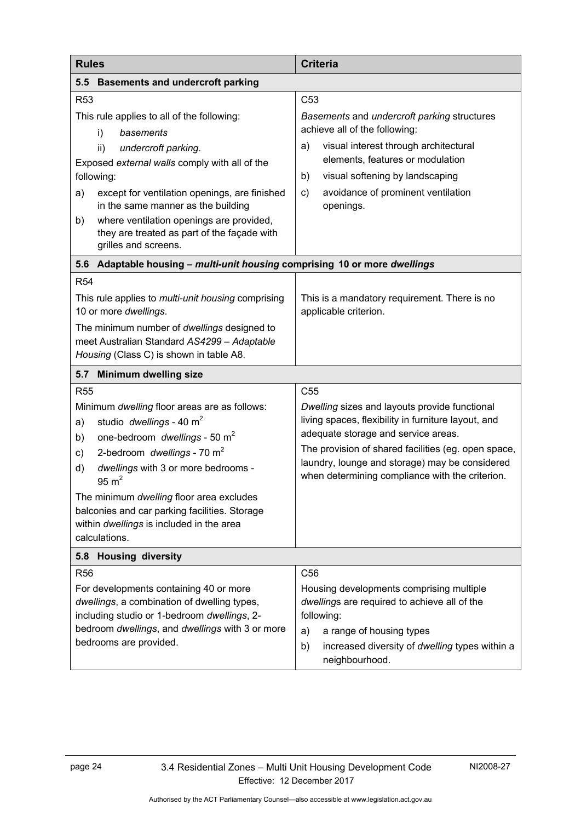<span id="page-27-3"></span><span id="page-27-2"></span><span id="page-27-1"></span><span id="page-27-0"></span>

| <b>Rules</b>                                                                                                                                                                                                                                                                                                                                                                                                 | <b>Criteria</b>                                                                                                                                                                                                                                                                                         |  |
|--------------------------------------------------------------------------------------------------------------------------------------------------------------------------------------------------------------------------------------------------------------------------------------------------------------------------------------------------------------------------------------------------------------|---------------------------------------------------------------------------------------------------------------------------------------------------------------------------------------------------------------------------------------------------------------------------------------------------------|--|
| <b>Basements and undercroft parking</b><br>$5.5^{\circ}$                                                                                                                                                                                                                                                                                                                                                     |                                                                                                                                                                                                                                                                                                         |  |
| R <sub>53</sub>                                                                                                                                                                                                                                                                                                                                                                                              | C <sub>53</sub>                                                                                                                                                                                                                                                                                         |  |
| This rule applies to all of the following:<br>i)<br>basements<br>ii)<br>undercroft parking.<br>Exposed external walls comply with all of the<br>following:<br>except for ventilation openings, are finished<br>a)<br>in the same manner as the building<br>where ventilation openings are provided,<br>b)<br>they are treated as part of the façade with<br>grilles and screens.                             | Basements and undercroft parking structures<br>achieve all of the following:<br>visual interest through architectural<br>a)<br>elements, features or modulation<br>visual softening by landscaping<br>b)<br>avoidance of prominent ventilation<br>c)<br>openings.                                       |  |
| Adaptable housing - multi-unit housing comprising 10 or more dwellings<br>5.6                                                                                                                                                                                                                                                                                                                                |                                                                                                                                                                                                                                                                                                         |  |
| <b>R54</b><br>This rule applies to <i>multi-unit housing</i> comprising<br>10 or more dwellings.<br>The minimum number of dwellings designed to<br>meet Australian Standard AS4299 - Adaptable<br>Housing (Class C) is shown in table A8.<br>5.7 Minimum dwelling size                                                                                                                                       | This is a mandatory requirement. There is no<br>applicable criterion.                                                                                                                                                                                                                                   |  |
| <b>R55</b>                                                                                                                                                                                                                                                                                                                                                                                                   | C <sub>55</sub>                                                                                                                                                                                                                                                                                         |  |
| Minimum dwelling floor areas are as follows:<br>studio <i>dwellings</i> - 40 m <sup>2</sup><br>a)<br>one-bedroom dwellings - 50 $m2$<br>b)<br>2-bedroom dwellings - 70 $m2$<br>c)<br>d)<br>dwellings with 3 or more bedrooms -<br>$95 \text{ m}^2$<br>The minimum dwelling floor area excludes<br>balconies and car parking facilities. Storage<br>within dwellings is included in the area<br>calculations. | Dwelling sizes and layouts provide functional<br>living spaces, flexibility in furniture layout, and<br>adequate storage and service areas.<br>The provision of shared facilities (eg. open space,<br>laundry, lounge and storage) may be considered<br>when determining compliance with the criterion. |  |
| <b>Housing diversity</b><br>5.8                                                                                                                                                                                                                                                                                                                                                                              |                                                                                                                                                                                                                                                                                                         |  |
| <b>R56</b><br>For developments containing 40 or more<br>dwellings, a combination of dwelling types,<br>including studio or 1-bedroom dwellings, 2-<br>bedroom dwellings, and dwellings with 3 or more<br>bedrooms are provided.                                                                                                                                                                              | C56<br>Housing developments comprising multiple<br>dwellings are required to achieve all of the<br>following:<br>a range of housing types<br>a)<br>b)<br>increased diversity of dwelling types within a<br>neighbourhood.                                                                               |  |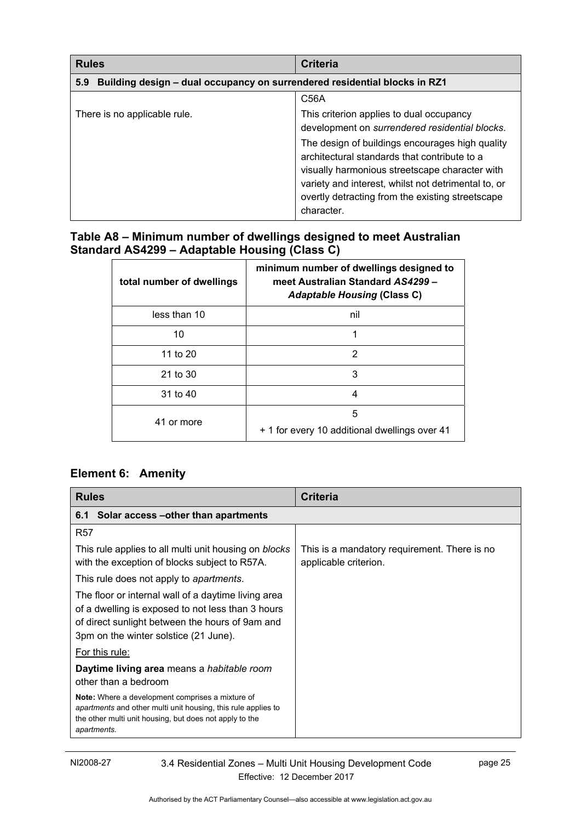<span id="page-28-0"></span>

| <b>Rules</b>                                                                     | <b>Criteria</b>                                                                                                                                                                                                                                                            |  |
|----------------------------------------------------------------------------------|----------------------------------------------------------------------------------------------------------------------------------------------------------------------------------------------------------------------------------------------------------------------------|--|
| Building design - dual occupancy on surrendered residential blocks in RZ1<br>5.9 |                                                                                                                                                                                                                                                                            |  |
|                                                                                  | C56A                                                                                                                                                                                                                                                                       |  |
| There is no applicable rule.                                                     | This criterion applies to dual occupancy<br>development on surrendered residential blocks.                                                                                                                                                                                 |  |
|                                                                                  | The design of buildings encourages high quality<br>architectural standards that contribute to a<br>visually harmonious streetscape character with<br>variety and interest, whilst not detrimental to, or<br>overtly detracting from the existing streetscape<br>character. |  |

### **Table A8 – Minimum number of dwellings designed to meet Australian Standard AS4299 – Adaptable Housing (Class C)**

| total number of dwellings | minimum number of dwellings designed to<br>meet Australian Standard AS4299 -<br><b>Adaptable Housing (Class C)</b> |
|---------------------------|--------------------------------------------------------------------------------------------------------------------|
| less than 10              | nil                                                                                                                |
| 10                        |                                                                                                                    |
| 11 to 20                  | 2                                                                                                                  |
| 21 to 30                  | 3                                                                                                                  |
| 31 to 40                  | 4                                                                                                                  |
| 41 or more                | 5<br>+ 1 for every 10 additional dwellings over 41                                                                 |

## <span id="page-28-1"></span>**Element 6: Amenity**

<span id="page-28-2"></span>

| <b>Rules</b>                                                                                                                                                                                         | <b>Criteria</b>                                                       |
|------------------------------------------------------------------------------------------------------------------------------------------------------------------------------------------------------|-----------------------------------------------------------------------|
| Solar access - other than apartments<br>6.1                                                                                                                                                          |                                                                       |
| <b>R57</b>                                                                                                                                                                                           |                                                                       |
| This rule applies to all multi unit housing on blocks<br>with the exception of blocks subject to R57A.                                                                                               | This is a mandatory requirement. There is no<br>applicable criterion. |
| This rule does not apply to apartments.                                                                                                                                                              |                                                                       |
| The floor or internal wall of a daytime living area<br>of a dwelling is exposed to not less than 3 hours<br>of direct sunlight between the hours of 9am and<br>3pm on the winter solstice (21 June). |                                                                       |
| For this rule:                                                                                                                                                                                       |                                                                       |
| Daytime living area means a habitable room<br>other than a bedroom                                                                                                                                   |                                                                       |
| Note: Where a development comprises a mixture of<br><i>apartments</i> and other multi unit housing, this rule applies to<br>the other multi unit housing, but does not apply to the<br>apartments.   |                                                                       |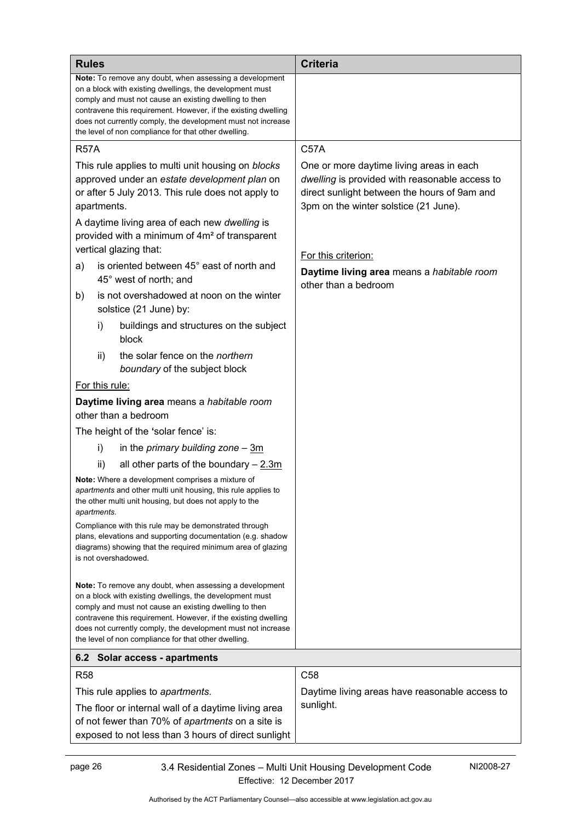<span id="page-29-0"></span>

| <b>Rules</b>                                                                                                                                                                                                                                                                                                                                                            | <b>Criteria</b>                                                                                                                                                                     |
|-------------------------------------------------------------------------------------------------------------------------------------------------------------------------------------------------------------------------------------------------------------------------------------------------------------------------------------------------------------------------|-------------------------------------------------------------------------------------------------------------------------------------------------------------------------------------|
| Note: To remove any doubt, when assessing a development<br>on a block with existing dwellings, the development must<br>comply and must not cause an existing dwelling to then<br>contravene this requirement. However, if the existing dwelling<br>does not currently comply, the development must not increase<br>the level of non compliance for that other dwelling. |                                                                                                                                                                                     |
| <b>R57A</b>                                                                                                                                                                                                                                                                                                                                                             | <b>C57A</b>                                                                                                                                                                         |
| This rule applies to multi unit housing on blocks<br>approved under an estate development plan on<br>or after 5 July 2013. This rule does not apply to<br>apartments.                                                                                                                                                                                                   | One or more daytime living areas in each<br>dwelling is provided with reasonable access to<br>direct sunlight between the hours of 9am and<br>3pm on the winter solstice (21 June). |
| A daytime living area of each new dwelling is<br>provided with a minimum of 4m <sup>2</sup> of transparent<br>vertical glazing that:                                                                                                                                                                                                                                    | For this criterion:                                                                                                                                                                 |
| is oriented between 45° east of north and<br>a)<br>45° west of north; and                                                                                                                                                                                                                                                                                               | Daytime living area means a habitable room<br>other than a bedroom                                                                                                                  |
| is not overshadowed at noon on the winter<br>b)<br>solstice (21 June) by:                                                                                                                                                                                                                                                                                               |                                                                                                                                                                                     |
| buildings and structures on the subject<br>i)<br>block                                                                                                                                                                                                                                                                                                                  |                                                                                                                                                                                     |
| the solar fence on the <i>northern</i><br>ii)<br>boundary of the subject block                                                                                                                                                                                                                                                                                          |                                                                                                                                                                                     |
| For this rule:                                                                                                                                                                                                                                                                                                                                                          |                                                                                                                                                                                     |
| Daytime living area means a habitable room<br>other than a bedroom                                                                                                                                                                                                                                                                                                      |                                                                                                                                                                                     |
| The height of the 'solar fence' is:                                                                                                                                                                                                                                                                                                                                     |                                                                                                                                                                                     |
| i)<br>in the <i>primary building zone</i> $-3m$                                                                                                                                                                                                                                                                                                                         |                                                                                                                                                                                     |
| ii)<br>all other parts of the boundary $-2.3m$                                                                                                                                                                                                                                                                                                                          |                                                                                                                                                                                     |
| Note: Where a development comprises a mixture of<br>apartments and other multi unit housing, this rule applies to<br>the other multi unit housing, but does not apply to the<br>apartments.                                                                                                                                                                             |                                                                                                                                                                                     |
| Compliance with this rule may be demonstrated through<br>plans, elevations and supporting documentation (e.g. shadow<br>diagrams) showing that the required minimum area of glazing<br>is not overshadowed.                                                                                                                                                             |                                                                                                                                                                                     |
| Note: To remove any doubt, when assessing a development<br>on a block with existing dwellings, the development must<br>comply and must not cause an existing dwelling to then<br>contravene this requirement. However, if the existing dwelling<br>does not currently comply, the development must not increase<br>the level of non compliance for that other dwelling. |                                                                                                                                                                                     |
| 6.2 Solar access - apartments                                                                                                                                                                                                                                                                                                                                           |                                                                                                                                                                                     |
| <b>R58</b>                                                                                                                                                                                                                                                                                                                                                              | C <sub>58</sub>                                                                                                                                                                     |
| This rule applies to apartments.                                                                                                                                                                                                                                                                                                                                        | Daytime living areas have reasonable access to                                                                                                                                      |
| The floor or internal wall of a daytime living area<br>of not fewer than 70% of apartments on a site is<br>exposed to not less than 3 hours of direct sunlight                                                                                                                                                                                                          | sunlight.                                                                                                                                                                           |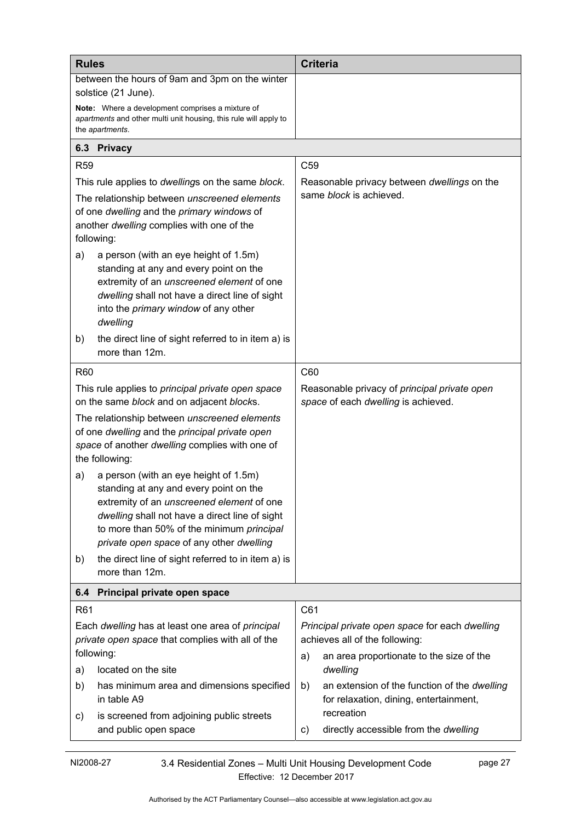<span id="page-30-1"></span><span id="page-30-0"></span>

| <b>Rules</b>                                                                                                         |                                                                                             |                                              | <b>Criteria</b>                                                                        |
|----------------------------------------------------------------------------------------------------------------------|---------------------------------------------------------------------------------------------|----------------------------------------------|----------------------------------------------------------------------------------------|
| between the hours of 9am and 3pm on the winter                                                                       |                                                                                             |                                              |                                                                                        |
| solstice (21 June).                                                                                                  |                                                                                             |                                              |                                                                                        |
| Note: Where a development comprises a mixture of<br>apartments and other multi unit housing, this rule will apply to |                                                                                             |                                              |                                                                                        |
|                                                                                                                      | the apartments.                                                                             |                                              |                                                                                        |
|                                                                                                                      | 6.3 Privacy                                                                                 |                                              |                                                                                        |
| <b>R59</b>                                                                                                           |                                                                                             | C59                                          |                                                                                        |
|                                                                                                                      | This rule applies to dwellings on the same block.                                           |                                              | Reasonable privacy between dwellings on the                                            |
|                                                                                                                      | The relationship between unscreened elements                                                |                                              | same block is achieved.                                                                |
|                                                                                                                      | of one dwelling and the primary windows of                                                  |                                              |                                                                                        |
| following:                                                                                                           | another dwelling complies with one of the                                                   |                                              |                                                                                        |
| a)                                                                                                                   | a person (with an eye height of 1.5m)                                                       |                                              |                                                                                        |
|                                                                                                                      | standing at any and every point on the                                                      |                                              |                                                                                        |
|                                                                                                                      | extremity of an <i>unscreened element</i> of one                                            |                                              |                                                                                        |
|                                                                                                                      | dwelling shall not have a direct line of sight                                              |                                              |                                                                                        |
|                                                                                                                      | into the <i>primary window</i> of any other<br>dwelling                                     |                                              |                                                                                        |
| b)                                                                                                                   | the direct line of sight referred to in item a) is                                          |                                              |                                                                                        |
|                                                                                                                      | more than 12m.                                                                              |                                              |                                                                                        |
| <b>R60</b>                                                                                                           |                                                                                             | C60                                          |                                                                                        |
| This rule applies to <i>principal private open space</i>                                                             |                                                                                             | Reasonable privacy of principal private open |                                                                                        |
| on the same block and on adjacent blocks.                                                                            |                                                                                             |                                              | space of each dwelling is achieved.                                                    |
|                                                                                                                      | The relationship between unscreened elements                                                |                                              |                                                                                        |
| of one dwelling and the principal private open<br>space of another dwelling complies with one of                     |                                                                                             |                                              |                                                                                        |
| the following:                                                                                                       |                                                                                             |                                              |                                                                                        |
| a)                                                                                                                   | a person (with an eye height of 1.5m)                                                       |                                              |                                                                                        |
|                                                                                                                      | standing at any and every point on the                                                      |                                              |                                                                                        |
|                                                                                                                      | extremity of an unscreened element of one                                                   |                                              |                                                                                        |
|                                                                                                                      | dwelling shall not have a direct line of sight<br>to more than 50% of the minimum principal |                                              |                                                                                        |
|                                                                                                                      | private open space of any other dwelling                                                    |                                              |                                                                                        |
| b)                                                                                                                   | the direct line of sight referred to in item a) is                                          |                                              |                                                                                        |
|                                                                                                                      | more than 12m.                                                                              |                                              |                                                                                        |
| 6.4                                                                                                                  | Principal private open space                                                                |                                              |                                                                                        |
| R61                                                                                                                  |                                                                                             | C61                                          |                                                                                        |
|                                                                                                                      | Each dwelling has at least one area of principal                                            |                                              | Principal private open space for each dwelling                                         |
| private open space that complies with all of the                                                                     |                                                                                             |                                              | achieves all of the following:                                                         |
| following:                                                                                                           |                                                                                             | a)                                           | an area proportionate to the size of the                                               |
| a)                                                                                                                   | located on the site                                                                         |                                              | dwelling                                                                               |
| b)                                                                                                                   | has minimum area and dimensions specified<br>in table A9                                    | b)                                           | an extension of the function of the dwelling<br>for relaxation, dining, entertainment, |
| c)                                                                                                                   | is screened from adjoining public streets                                                   |                                              | recreation                                                                             |
|                                                                                                                      | and public open space                                                                       | C)                                           | directly accessible from the dwelling                                                  |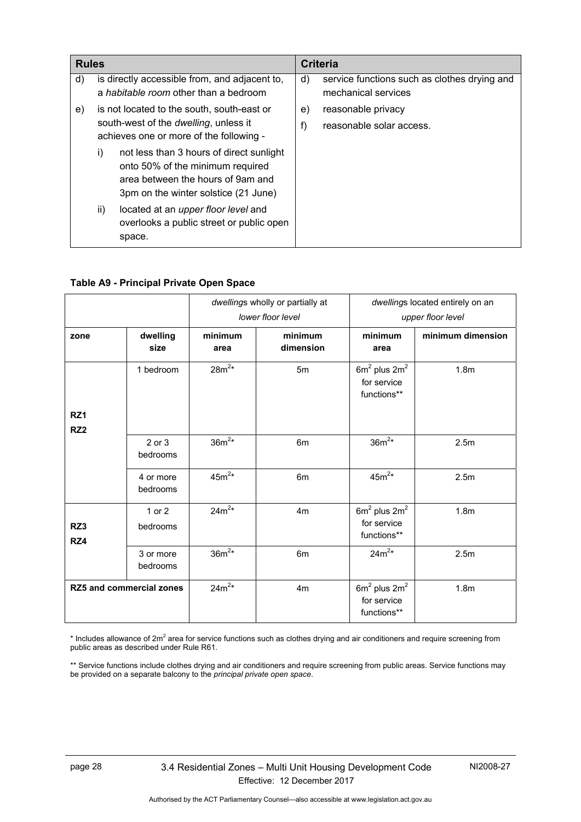| <b>Rules</b> |                                                                                                                                        |                                                                                                                                                           | <b>Criteria</b> |                                                                     |
|--------------|----------------------------------------------------------------------------------------------------------------------------------------|-----------------------------------------------------------------------------------------------------------------------------------------------------------|-----------------|---------------------------------------------------------------------|
| d)           |                                                                                                                                        | is directly accessible from, and adjacent to,<br>a habitable room other than a bedroom                                                                    | d)              | service functions such as clothes drying and<br>mechanical services |
| e)           | is not located to the south, south-east or<br>south-west of the <i>dwelling</i> , unless it<br>achieves one or more of the following - |                                                                                                                                                           | e)<br>f)        | reasonable privacy<br>reasonable solar access.                      |
|              | i)                                                                                                                                     | not less than 3 hours of direct sunlight<br>onto 50% of the minimum required<br>area between the hours of 9am and<br>3pm on the winter solstice (21 June) |                 |                                                                     |
|              | ii)                                                                                                                                    | located at an <i>upper floor level</i> and<br>overlooks a public street or public open<br>space.                                                          |                 |                                                                     |

#### **Table A9 - Principal Private Open Space**

|                        |                          |                   | dwellings wholly or partially at |                                                | dwellings located entirely on an |
|------------------------|--------------------------|-------------------|----------------------------------|------------------------------------------------|----------------------------------|
|                        |                          | lower floor level |                                  | upper floor level                              |                                  |
| zone                   | dwelling<br>size         | minimum<br>area   | minimum<br>dimension             | minimum<br>area                                | minimum dimension                |
|                        | 1 bedroom                | $28m^{2*}$        | 5m                               | $6m2$ plus $2m2$<br>for service<br>functions** | 1.8 <sub>m</sub>                 |
| RZ1<br>RZ <sub>2</sub> |                          |                   |                                  |                                                |                                  |
|                        | 2 or 3<br>bedrooms       | $36m^{2*}$        | 6m                               | $36m2*$                                        | 2.5m                             |
|                        | 4 or more<br>bedrooms    | $45m^{2*}$        | 6m                               | $45m^{2*}$                                     | 2.5m                             |
| RZ3<br>RZ4             | 1 or 2<br>bedrooms       | $24m^{2*}$        | 4m                               | $6m2$ plus $2m2$<br>for service<br>functions** | 1.8 <sub>m</sub>                 |
|                        | 3 or more<br>bedrooms    | $36m^2*$          | 6m                               | $24m^{2*}$                                     | 2.5m                             |
|                        | RZ5 and commercial zones | $24m^{2*}$        | 4 <sub>m</sub>                   | $6m2$ plus $2m2$<br>for service<br>functions** | 1.8 <sub>m</sub>                 |

 $*$  Includes allowance of 2m<sup>2</sup> area for service functions such as clothes drying and air conditioners and require screening from public areas as described under Rule R61.

\*\* Service functions include clothes drying and air conditioners and require screening from public areas. Service functions may be provided on a separate balcony to the *principal private open space*.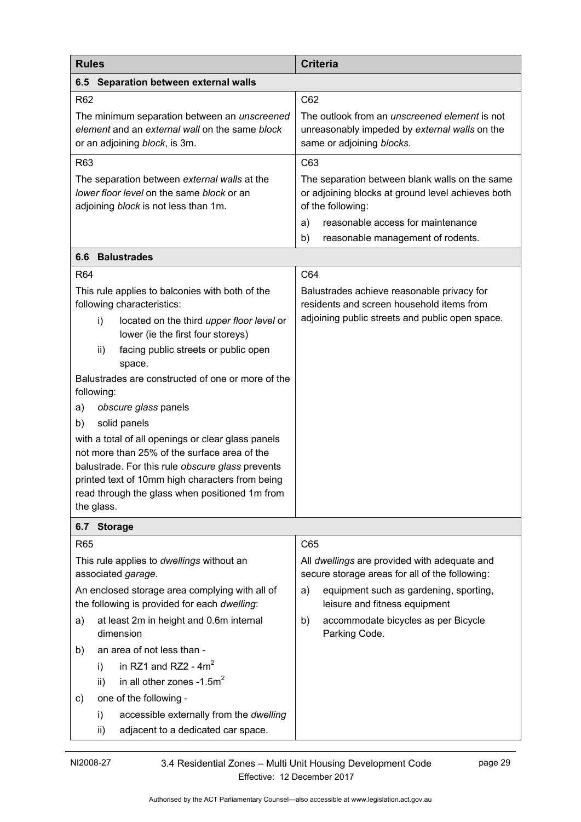<span id="page-32-2"></span><span id="page-32-1"></span><span id="page-32-0"></span>

| <b>Rules</b>                                                                                                                                                                                                                                                                                                                                                                                                                                                                                                                                                                                                                       | <b>Criteria</b>                                                                                                                                                                                                              |
|------------------------------------------------------------------------------------------------------------------------------------------------------------------------------------------------------------------------------------------------------------------------------------------------------------------------------------------------------------------------------------------------------------------------------------------------------------------------------------------------------------------------------------------------------------------------------------------------------------------------------------|------------------------------------------------------------------------------------------------------------------------------------------------------------------------------------------------------------------------------|
| Separation between external walls<br>6.5                                                                                                                                                                                                                                                                                                                                                                                                                                                                                                                                                                                           |                                                                                                                                                                                                                              |
| <b>R62</b>                                                                                                                                                                                                                                                                                                                                                                                                                                                                                                                                                                                                                         | C62                                                                                                                                                                                                                          |
| The minimum separation between an <i>unscreened</i><br>element and an external wall on the same block<br>or an adjoining block, is 3m.                                                                                                                                                                                                                                                                                                                                                                                                                                                                                             | The outlook from an <i>unscreened element</i> is not<br>unreasonably impeded by external walls on the<br>same or adjoining blocks.                                                                                           |
| R63                                                                                                                                                                                                                                                                                                                                                                                                                                                                                                                                                                                                                                | C63                                                                                                                                                                                                                          |
| The separation between external walls at the<br>lower floor level on the same block or an<br>adjoining block is not less than 1m.                                                                                                                                                                                                                                                                                                                                                                                                                                                                                                  | The separation between blank walls on the same<br>or adjoining blocks at ground level achieves both<br>of the following:                                                                                                     |
|                                                                                                                                                                                                                                                                                                                                                                                                                                                                                                                                                                                                                                    | reasonable access for maintenance<br>a)<br>b)<br>reasonable management of rodents.                                                                                                                                           |
| <b>Balustrades</b><br>6.6                                                                                                                                                                                                                                                                                                                                                                                                                                                                                                                                                                                                          |                                                                                                                                                                                                                              |
| R64                                                                                                                                                                                                                                                                                                                                                                                                                                                                                                                                                                                                                                | C64                                                                                                                                                                                                                          |
| This rule applies to balconies with both of the<br>following characteristics:<br>located on the third upper floor level or<br>i)<br>lower (ie the first four storeys)<br>facing public streets or public open<br>ii)<br>space.<br>Balustrades are constructed of one or more of the<br>following:<br>obscure glass panels<br>a)<br>solid panels<br>b)<br>with a total of all openings or clear glass panels<br>not more than 25% of the surface area of the<br>balustrade. For this rule obscure glass prevents<br>printed text of 10mm high characters from being<br>read through the glass when positioned 1m from<br>the glass. | Balustrades achieve reasonable privacy for<br>residents and screen household items from<br>adjoining public streets and public open space.                                                                                   |
| <b>Storage</b><br>6.7                                                                                                                                                                                                                                                                                                                                                                                                                                                                                                                                                                                                              |                                                                                                                                                                                                                              |
| R65                                                                                                                                                                                                                                                                                                                                                                                                                                                                                                                                                                                                                                | C65                                                                                                                                                                                                                          |
| This rule applies to dwellings without an<br>associated garage.<br>An enclosed storage area complying with all of<br>the following is provided for each dwelling:<br>at least 2m in height and 0.6m internal<br>a)                                                                                                                                                                                                                                                                                                                                                                                                                 | All dwellings are provided with adequate and<br>secure storage areas for all of the following:<br>equipment such as gardening, sporting,<br>a)<br>leisure and fitness equipment<br>accommodate bicycles as per Bicycle<br>b) |
| dimension                                                                                                                                                                                                                                                                                                                                                                                                                                                                                                                                                                                                                          | Parking Code.                                                                                                                                                                                                                |
| an area of not less than -<br>b)<br>in RZ1 and RZ2 - $4m2$<br>i)<br>in all other zones -1.5 $m2$<br>$\mathsf{ii}$<br>one of the following -<br>c)<br>accessible externally from the dwelling<br>i)<br>adjacent to a dedicated car space.<br>ii)                                                                                                                                                                                                                                                                                                                                                                                    |                                                                                                                                                                                                                              |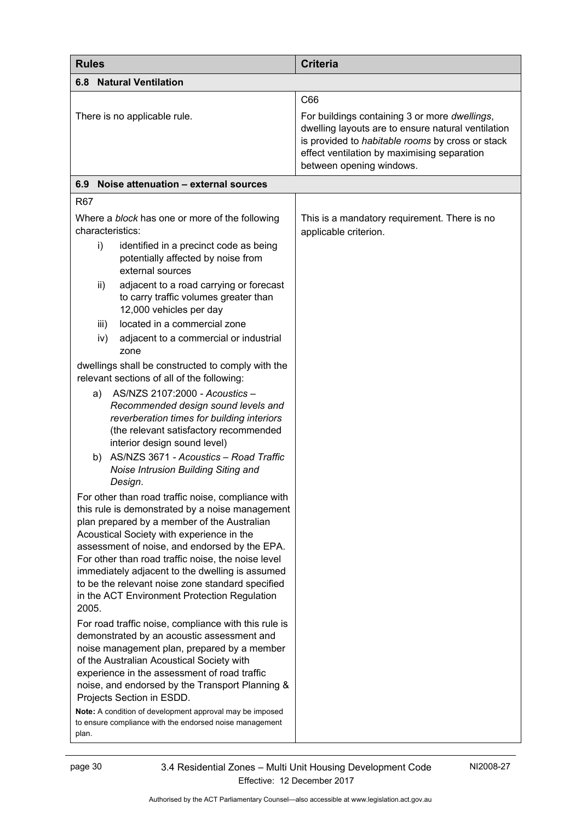<span id="page-33-1"></span><span id="page-33-0"></span>

| <b>Rules</b>                                                                                                                                                                                                                                                                                                                                                                                                                                                             | <b>Criteria</b>                                                                                                                                                                                                                           |
|--------------------------------------------------------------------------------------------------------------------------------------------------------------------------------------------------------------------------------------------------------------------------------------------------------------------------------------------------------------------------------------------------------------------------------------------------------------------------|-------------------------------------------------------------------------------------------------------------------------------------------------------------------------------------------------------------------------------------------|
| <b>Natural Ventilation</b><br>6.8                                                                                                                                                                                                                                                                                                                                                                                                                                        |                                                                                                                                                                                                                                           |
| There is no applicable rule.                                                                                                                                                                                                                                                                                                                                                                                                                                             | C66<br>For buildings containing 3 or more dwellings,<br>dwelling layouts are to ensure natural ventilation<br>is provided to habitable rooms by cross or stack<br>effect ventilation by maximising separation<br>between opening windows. |
| Noise attenuation - external sources<br>6.9                                                                                                                                                                                                                                                                                                                                                                                                                              |                                                                                                                                                                                                                                           |
| <b>R67</b>                                                                                                                                                                                                                                                                                                                                                                                                                                                               |                                                                                                                                                                                                                                           |
| Where a block has one or more of the following<br>characteristics:                                                                                                                                                                                                                                                                                                                                                                                                       | This is a mandatory requirement. There is no<br>applicable criterion.                                                                                                                                                                     |
| identified in a precinct code as being<br>i)<br>potentially affected by noise from<br>external sources<br>adjacent to a road carrying or forecast<br>ii)<br>to carry traffic volumes greater than                                                                                                                                                                                                                                                                        |                                                                                                                                                                                                                                           |
| 12,000 vehicles per day<br>located in a commercial zone<br>iii)<br>adjacent to a commercial or industrial<br>iv)<br>zone                                                                                                                                                                                                                                                                                                                                                 |                                                                                                                                                                                                                                           |
| dwellings shall be constructed to comply with the<br>relevant sections of all of the following:<br>AS/NZS 2107:2000 - Acoustics -<br>a)<br>Recommended design sound levels and<br>reverberation times for building interiors<br>(the relevant satisfactory recommended<br>interior design sound level)<br>AS/NZS 3671 - Acoustics - Road Traffic<br>b)<br>Noise Intrusion Building Siting and<br>Design.                                                                 |                                                                                                                                                                                                                                           |
| For other than road traffic noise, compliance with<br>this rule is demonstrated by a noise management<br>plan prepared by a member of the Australian<br>Acoustical Society with experience in the<br>assessment of noise, and endorsed by the EPA.<br>For other than road traffic noise, the noise level<br>immediately adjacent to the dwelling is assumed<br>to be the relevant noise zone standard specified<br>in the ACT Environment Protection Regulation<br>2005. |                                                                                                                                                                                                                                           |
| For road traffic noise, compliance with this rule is<br>demonstrated by an acoustic assessment and<br>noise management plan, prepared by a member<br>of the Australian Acoustical Society with<br>experience in the assessment of road traffic<br>noise, and endorsed by the Transport Planning &<br>Projects Section in ESDD.<br>Note: A condition of development approval may be imposed<br>to ensure compliance with the endorsed noise management<br>plan.           |                                                                                                                                                                                                                                           |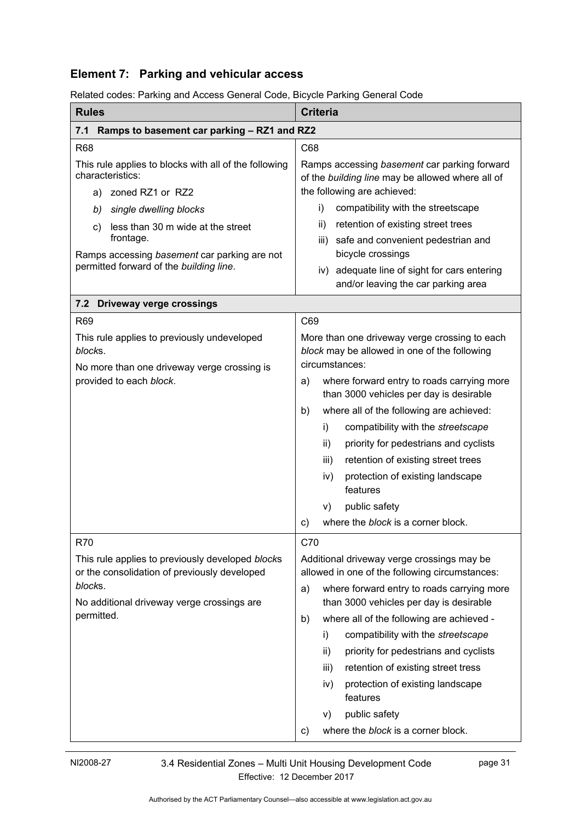## <span id="page-34-0"></span>**Element 7: Parking and vehicular access**

<span id="page-34-2"></span><span id="page-34-1"></span>

| <b>Rules</b>                                                                                          | <b>Criteria</b>                                                                                                 |  |
|-------------------------------------------------------------------------------------------------------|-----------------------------------------------------------------------------------------------------------------|--|
| Ramps to basement car parking - RZ1 and RZ2<br>7.1                                                    |                                                                                                                 |  |
| <b>R68</b>                                                                                            | C68                                                                                                             |  |
| This rule applies to blocks with all of the following<br>characteristics:                             | Ramps accessing basement car parking forward<br>of the building line may be allowed where all of                |  |
| a) zoned RZ1 or RZ2                                                                                   | the following are achieved:                                                                                     |  |
| single dwelling blocks<br>b)                                                                          | compatibility with the streetscape<br>i)                                                                        |  |
| less than 30 m wide at the street<br>C)                                                               | retention of existing street trees<br>ii)                                                                       |  |
| frontage.<br>Ramps accessing basement car parking are not                                             | safe and convenient pedestrian and<br>iii)<br>bicycle crossings                                                 |  |
| permitted forward of the building line.                                                               | iv) adequate line of sight for cars entering<br>and/or leaving the car parking area                             |  |
| <b>Driveway verge crossings</b><br>7.2                                                                |                                                                                                                 |  |
| R <sub>69</sub>                                                                                       | C69                                                                                                             |  |
| This rule applies to previously undeveloped<br>blocks.<br>No more than one driveway verge crossing is | More than one driveway verge crossing to each<br>block may be allowed in one of the following<br>circumstances: |  |
| provided to each block.                                                                               | where forward entry to roads carrying more<br>a)<br>than 3000 vehicles per day is desirable                     |  |
|                                                                                                       | where all of the following are achieved:<br>b)                                                                  |  |
|                                                                                                       | i)<br>compatibility with the streetscape                                                                        |  |
|                                                                                                       | ii)<br>priority for pedestrians and cyclists                                                                    |  |
|                                                                                                       | retention of existing street trees<br>iii)                                                                      |  |
|                                                                                                       | protection of existing landscape<br>iv)<br>features                                                             |  |
|                                                                                                       | public safety<br>V)                                                                                             |  |
|                                                                                                       | where the block is a corner block.<br>C)                                                                        |  |
| R70                                                                                                   | C70                                                                                                             |  |
| This rule applies to previously developed blocks<br>or the consolidation of previously developed      | Additional driveway verge crossings may be<br>allowed in one of the following circumstances:                    |  |
| blocks.<br>No additional driveway verge crossings are                                                 | where forward entry to roads carrying more<br>a)<br>than 3000 vehicles per day is desirable                     |  |
| permitted.                                                                                            | where all of the following are achieved -<br>b)                                                                 |  |
|                                                                                                       | compatibility with the streetscape<br>i)                                                                        |  |
|                                                                                                       | priority for pedestrians and cyclists<br>ii)                                                                    |  |
|                                                                                                       | iii)<br>retention of existing street tress                                                                      |  |
|                                                                                                       | protection of existing landscape<br>iv)<br>features                                                             |  |
|                                                                                                       | public safety<br>V)                                                                                             |  |
|                                                                                                       | where the block is a corner block.<br>C)                                                                        |  |

Related codes: Parking and Access General Code, Bicycle Parking General Code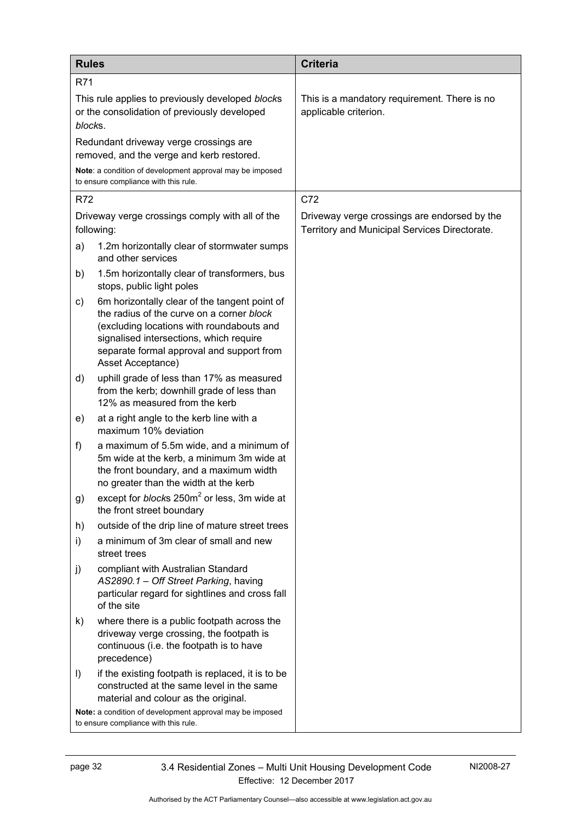| <b>Rules</b>                                                                                                |                                                                                                                                                                                                                                                      | <b>Criteria</b>                                                                               |
|-------------------------------------------------------------------------------------------------------------|------------------------------------------------------------------------------------------------------------------------------------------------------------------------------------------------------------------------------------------------------|-----------------------------------------------------------------------------------------------|
| R71                                                                                                         |                                                                                                                                                                                                                                                      |                                                                                               |
| This rule applies to previously developed blocks<br>or the consolidation of previously developed<br>blocks. |                                                                                                                                                                                                                                                      | This is a mandatory requirement. There is no<br>applicable criterion.                         |
|                                                                                                             | Redundant driveway verge crossings are<br>removed, and the verge and kerb restored.                                                                                                                                                                  |                                                                                               |
|                                                                                                             | Note: a condition of development approval may be imposed<br>to ensure compliance with this rule.                                                                                                                                                     |                                                                                               |
| <b>R72</b>                                                                                                  |                                                                                                                                                                                                                                                      | C72                                                                                           |
|                                                                                                             | Driveway verge crossings comply with all of the<br>following:                                                                                                                                                                                        | Driveway verge crossings are endorsed by the<br>Territory and Municipal Services Directorate. |
| a)                                                                                                          | 1.2m horizontally clear of stormwater sumps<br>and other services                                                                                                                                                                                    |                                                                                               |
| b)                                                                                                          | 1.5m horizontally clear of transformers, bus<br>stops, public light poles                                                                                                                                                                            |                                                                                               |
| C)                                                                                                          | 6m horizontally clear of the tangent point of<br>the radius of the curve on a corner block<br>(excluding locations with roundabouts and<br>signalised intersections, which require<br>separate formal approval and support from<br>Asset Acceptance) |                                                                                               |
| d)                                                                                                          | uphill grade of less than 17% as measured<br>from the kerb; downhill grade of less than<br>12% as measured from the kerb                                                                                                                             |                                                                                               |
| e)                                                                                                          | at a right angle to the kerb line with a<br>maximum 10% deviation                                                                                                                                                                                    |                                                                                               |
| f)                                                                                                          | a maximum of 5.5m wide, and a minimum of<br>5m wide at the kerb, a minimum 3m wide at<br>the front boundary, and a maximum width<br>no greater than the width at the kerb                                                                            |                                                                                               |
| g)                                                                                                          | except for blocks 250m <sup>2</sup> or less, 3m wide at<br>the front street boundary                                                                                                                                                                 |                                                                                               |
| h)                                                                                                          | outside of the drip line of mature street trees                                                                                                                                                                                                      |                                                                                               |
| i)                                                                                                          | a minimum of 3m clear of small and new<br>street trees                                                                                                                                                                                               |                                                                                               |
| j)                                                                                                          | compliant with Australian Standard<br>AS2890.1 - Off Street Parking, having<br>particular regard for sightlines and cross fall<br>of the site                                                                                                        |                                                                                               |
| k)                                                                                                          | where there is a public footpath across the<br>driveway verge crossing, the footpath is<br>continuous (i.e. the footpath is to have<br>precedence)                                                                                                   |                                                                                               |
| I)                                                                                                          | if the existing footpath is replaced, it is to be<br>constructed at the same level in the same<br>material and colour as the original.                                                                                                               |                                                                                               |
|                                                                                                             | Note: a condition of development approval may be imposed<br>to ensure compliance with this rule.                                                                                                                                                     |                                                                                               |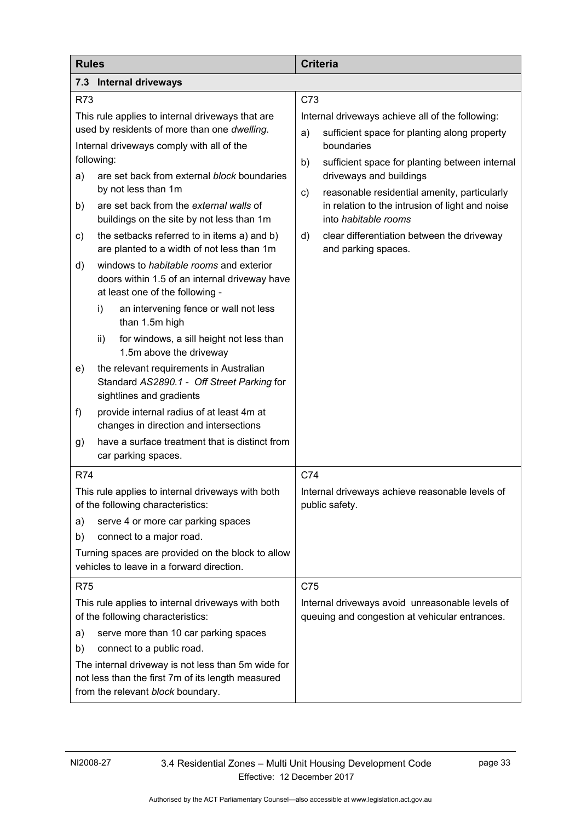<span id="page-36-0"></span>

| <b>Rules</b>                                                                                            |                                                                                                                                               | <b>Criteria</b>                                                                                                      |  |
|---------------------------------------------------------------------------------------------------------|-----------------------------------------------------------------------------------------------------------------------------------------------|----------------------------------------------------------------------------------------------------------------------|--|
| 7.3                                                                                                     | <b>Internal driveways</b>                                                                                                                     |                                                                                                                      |  |
| R73                                                                                                     |                                                                                                                                               | C73                                                                                                                  |  |
|                                                                                                         | This rule applies to internal driveways that are<br>used by residents of more than one dwelling.<br>Internal driveways comply with all of the | Internal driveways achieve all of the following:<br>a)<br>sufficient space for planting along property<br>boundaries |  |
|                                                                                                         | following:                                                                                                                                    | sufficient space for planting between internal<br>b)                                                                 |  |
| a)                                                                                                      | are set back from external block boundaries<br>by not less than 1m                                                                            | driveways and buildings<br>reasonable residential amenity, particularly<br>C)                                        |  |
| b)                                                                                                      | are set back from the external walls of<br>buildings on the site by not less than 1m                                                          | in relation to the intrusion of light and noise<br>into <i>habitable rooms</i>                                       |  |
| c)                                                                                                      | the setbacks referred to in items a) and b)<br>are planted to a width of not less than 1m                                                     | clear differentiation between the driveway<br>d)<br>and parking spaces.                                              |  |
| d)                                                                                                      | windows to <i>habitable rooms</i> and exterior<br>doors within 1.5 of an internal driveway have<br>at least one of the following -            |                                                                                                                      |  |
|                                                                                                         | an intervening fence or wall not less<br>i)<br>than 1.5m high                                                                                 |                                                                                                                      |  |
|                                                                                                         | for windows, a sill height not less than<br>ii)<br>1.5m above the driveway                                                                    |                                                                                                                      |  |
| e)                                                                                                      | the relevant requirements in Australian<br>Standard AS2890.1 - Off Street Parking for<br>sightlines and gradients                             |                                                                                                                      |  |
| f)                                                                                                      | provide internal radius of at least 4m at<br>changes in direction and intersections                                                           |                                                                                                                      |  |
| g)                                                                                                      | have a surface treatment that is distinct from<br>car parking spaces.                                                                         |                                                                                                                      |  |
| <b>R74</b>                                                                                              |                                                                                                                                               | C74                                                                                                                  |  |
|                                                                                                         | This rule applies to internal driveways with both<br>of the following characteristics:                                                        | Internal driveways achieve reasonable levels of<br>public safety.                                                    |  |
| a)                                                                                                      | serve 4 or more car parking spaces                                                                                                            |                                                                                                                      |  |
| b)                                                                                                      | connect to a major road.                                                                                                                      |                                                                                                                      |  |
|                                                                                                         | Turning spaces are provided on the block to allow<br>vehicles to leave in a forward direction.                                                |                                                                                                                      |  |
| R75                                                                                                     |                                                                                                                                               | C75                                                                                                                  |  |
| This rule applies to internal driveways with both                                                       |                                                                                                                                               | Internal driveways avoid unreasonable levels of<br>queuing and congestion at vehicular entrances.                    |  |
| of the following characteristics:<br>serve more than 10 car parking spaces<br>a)                        |                                                                                                                                               |                                                                                                                      |  |
| connect to a public road.<br>b)                                                                         |                                                                                                                                               |                                                                                                                      |  |
| The internal driveway is not less than 5m wide for<br>not less than the first 7m of its length measured |                                                                                                                                               |                                                                                                                      |  |
| from the relevant block boundary.                                                                       |                                                                                                                                               |                                                                                                                      |  |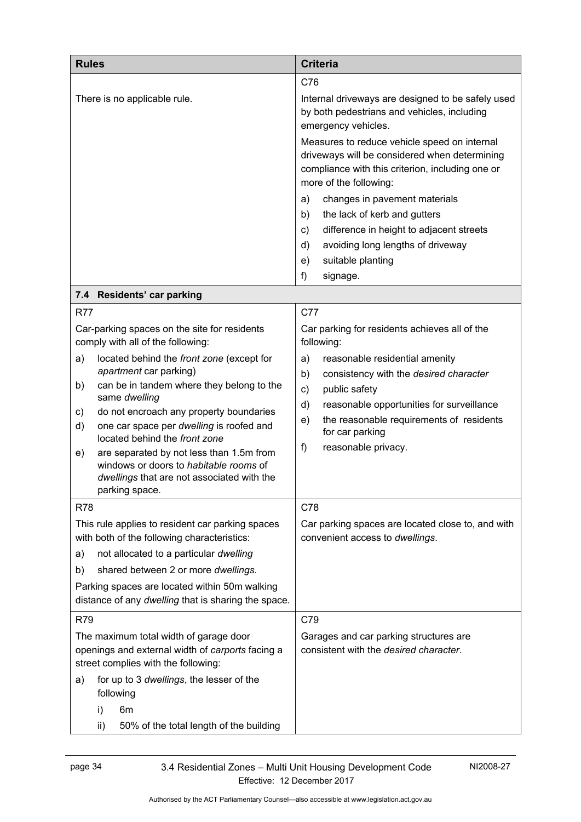<span id="page-37-0"></span>

| <b>Rules</b>                                                                                                                      |                                                                                                                                                    | <b>Criteria</b>                                                                                                                                                             |  |
|-----------------------------------------------------------------------------------------------------------------------------------|----------------------------------------------------------------------------------------------------------------------------------------------------|-----------------------------------------------------------------------------------------------------------------------------------------------------------------------------|--|
|                                                                                                                                   |                                                                                                                                                    | C76                                                                                                                                                                         |  |
| There is no applicable rule.                                                                                                      |                                                                                                                                                    | Internal driveways are designed to be safely used<br>by both pedestrians and vehicles, including<br>emergency vehicles.                                                     |  |
|                                                                                                                                   |                                                                                                                                                    | Measures to reduce vehicle speed on internal<br>driveways will be considered when determining<br>compliance with this criterion, including one or<br>more of the following: |  |
|                                                                                                                                   |                                                                                                                                                    | changes in pavement materials<br>a)                                                                                                                                         |  |
|                                                                                                                                   |                                                                                                                                                    | the lack of kerb and gutters<br>b)                                                                                                                                          |  |
|                                                                                                                                   |                                                                                                                                                    | difference in height to adjacent streets<br>c)                                                                                                                              |  |
|                                                                                                                                   |                                                                                                                                                    | avoiding long lengths of driveway<br>d)                                                                                                                                     |  |
|                                                                                                                                   |                                                                                                                                                    | suitable planting<br>e)                                                                                                                                                     |  |
|                                                                                                                                   |                                                                                                                                                    | f)<br>signage.                                                                                                                                                              |  |
|                                                                                                                                   | 7.4 Residents' car parking                                                                                                                         |                                                                                                                                                                             |  |
| <b>R77</b>                                                                                                                        |                                                                                                                                                    | C77                                                                                                                                                                         |  |
|                                                                                                                                   | Car-parking spaces on the site for residents<br>comply with all of the following:                                                                  | Car parking for residents achieves all of the<br>following:                                                                                                                 |  |
| a)                                                                                                                                | located behind the front zone (except for                                                                                                          | reasonable residential amenity<br>a)                                                                                                                                        |  |
|                                                                                                                                   | apartment car parking)                                                                                                                             | b)<br>consistency with the desired character                                                                                                                                |  |
| b)                                                                                                                                | can be in tandem where they belong to the<br>same dwelling                                                                                         | public safety<br>c)                                                                                                                                                         |  |
| c)                                                                                                                                | do not encroach any property boundaries                                                                                                            | d)<br>reasonable opportunities for surveillance                                                                                                                             |  |
| d)                                                                                                                                | one car space per dwelling is roofed and<br>located behind the front zone                                                                          | the reasonable requirements of residents<br>e)<br>for car parking                                                                                                           |  |
| e)                                                                                                                                | are separated by not less than 1.5m from<br>windows or doors to habitable rooms of<br>dwellings that are not associated with the<br>parking space. | reasonable privacy.<br>f)                                                                                                                                                   |  |
| <b>R78</b>                                                                                                                        |                                                                                                                                                    | C78                                                                                                                                                                         |  |
|                                                                                                                                   | This rule applies to resident car parking spaces<br>with both of the following characteristics:                                                    | Car parking spaces are located close to, and with<br>convenient access to dwellings.                                                                                        |  |
| a)                                                                                                                                | not allocated to a particular dwelling                                                                                                             |                                                                                                                                                                             |  |
| b)                                                                                                                                | shared between 2 or more dwellings.                                                                                                                |                                                                                                                                                                             |  |
| Parking spaces are located within 50m walking<br>distance of any dwelling that is sharing the space.                              |                                                                                                                                                    |                                                                                                                                                                             |  |
| <b>R79</b>                                                                                                                        |                                                                                                                                                    | C79                                                                                                                                                                         |  |
| The maximum total width of garage door<br>openings and external width of carports facing a<br>street complies with the following: |                                                                                                                                                    | Garages and car parking structures are<br>consistent with the desired character.                                                                                            |  |
| a)                                                                                                                                | for up to 3 dwellings, the lesser of the<br>following                                                                                              |                                                                                                                                                                             |  |
|                                                                                                                                   | i)<br>6m                                                                                                                                           |                                                                                                                                                                             |  |
|                                                                                                                                   | 50% of the total length of the building<br>ii)                                                                                                     |                                                                                                                                                                             |  |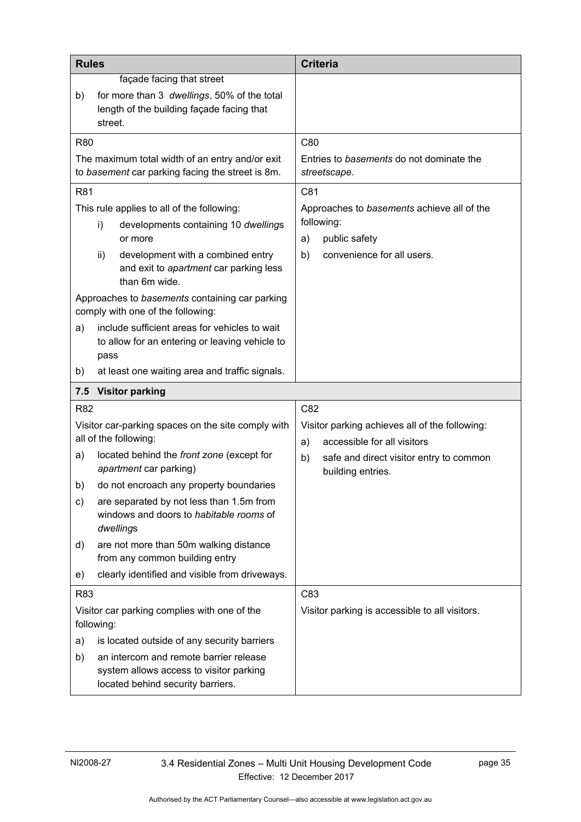<span id="page-38-0"></span>

| <b>Rules</b>                                                                                                                 | <b>Criteria</b>                                                                     |
|------------------------------------------------------------------------------------------------------------------------------|-------------------------------------------------------------------------------------|
| façade facing that street                                                                                                    |                                                                                     |
| for more than 3 dwellings, 50% of the total<br>b)<br>length of the building façade facing that<br>street.                    |                                                                                     |
| <b>R80</b>                                                                                                                   | C80                                                                                 |
| The maximum total width of an entry and/or exit<br>to basement car parking facing the street is 8m.                          | Entries to <i>basements</i> do not dominate the<br>streetscape.                     |
| R81                                                                                                                          | C81                                                                                 |
| This rule applies to all of the following:                                                                                   | Approaches to basements achieve all of the                                          |
| developments containing 10 dwellings<br>i)<br>or more                                                                        | following:<br>public safety<br>a)                                                   |
| development with a combined entry<br>ii)<br>and exit to apartment car parking less<br>than 6m wide.                          | convenience for all users.<br>b)                                                    |
| Approaches to basements containing car parking<br>comply with one of the following:                                          |                                                                                     |
| include sufficient areas for vehicles to wait<br>a)<br>to allow for an entering or leaving vehicle to<br>pass                |                                                                                     |
| at least one waiting area and traffic signals.<br>b)                                                                         |                                                                                     |
| <b>Visitor parking</b><br>7.5                                                                                                |                                                                                     |
| <b>R82</b>                                                                                                                   | C82                                                                                 |
| Visitor car-parking spaces on the site comply with<br>all of the following:                                                  | Visitor parking achieves all of the following:<br>accessible for all visitors<br>a) |
| located behind the front zone (except for<br>a)<br>apartment car parking)                                                    | b)<br>safe and direct visitor entry to common<br>building entries.                  |
| do not encroach any property boundaries<br>b)                                                                                |                                                                                     |
| are separated by not less than 1.5m from<br>c)<br>windows and doors to habitable rooms of<br>dwellings                       |                                                                                     |
| are not more than 50m walking distance<br>d)<br>from any common building entry                                               |                                                                                     |
| clearly identified and visible from driveways.<br>e)                                                                         |                                                                                     |
| R83                                                                                                                          | C83                                                                                 |
| Visitor car parking complies with one of the<br>following:                                                                   | Visitor parking is accessible to all visitors.                                      |
| is located outside of any security barriers<br>a)                                                                            |                                                                                     |
| an intercom and remote barrier release<br>b)<br>system allows access to visitor parking<br>located behind security barriers. |                                                                                     |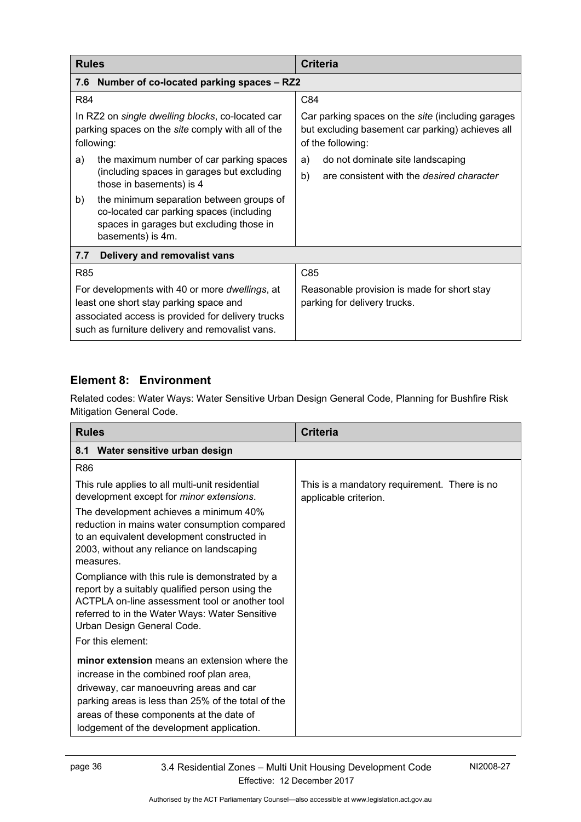<span id="page-39-0"></span>

| <b>Rules</b>                                                                                                                                                                                     |                                                                                                                                                       | <b>Criteria</b>                                                                                                            |  |  |
|--------------------------------------------------------------------------------------------------------------------------------------------------------------------------------------------------|-------------------------------------------------------------------------------------------------------------------------------------------------------|----------------------------------------------------------------------------------------------------------------------------|--|--|
| 7.6                                                                                                                                                                                              | Number of co-located parking spaces - RZ2                                                                                                             |                                                                                                                            |  |  |
| R84                                                                                                                                                                                              |                                                                                                                                                       | C84                                                                                                                        |  |  |
| In RZ2 on single dwelling blocks, co-located car<br>parking spaces on the <i>site</i> comply with all of the<br>following:                                                                       |                                                                                                                                                       | Car parking spaces on the site (including garages<br>but excluding basement car parking) achieves all<br>of the following: |  |  |
| a)                                                                                                                                                                                               | the maximum number of car parking spaces                                                                                                              | do not dominate site landscaping<br>a)                                                                                     |  |  |
|                                                                                                                                                                                                  | (including spaces in garages but excluding<br>those in basements) is 4                                                                                | b)<br>are consistent with the desired character                                                                            |  |  |
| b)                                                                                                                                                                                               | the minimum separation between groups of<br>co-located car parking spaces (including<br>spaces in garages but excluding those in<br>basements) is 4m. |                                                                                                                            |  |  |
| Delivery and removalist vans<br>7.7                                                                                                                                                              |                                                                                                                                                       |                                                                                                                            |  |  |
| <b>R85</b>                                                                                                                                                                                       |                                                                                                                                                       | C85                                                                                                                        |  |  |
| For developments with 40 or more dwellings, at<br>least one short stay parking space and<br>associated access is provided for delivery trucks<br>such as furniture delivery and removalist vans. |                                                                                                                                                       | Reasonable provision is made for short stay<br>parking for delivery trucks.                                                |  |  |

# <span id="page-39-2"></span><span id="page-39-1"></span>**Element 8: Environment**

Related codes: Water Ways: Water Sensitive Urban Design General Code, Planning for Bushfire Risk Mitigation General Code.

<span id="page-39-3"></span>

| <b>Rules</b>                                                                                                                                                                                                                                                                                                                                                                                         | <b>Criteria</b>                                                       |
|------------------------------------------------------------------------------------------------------------------------------------------------------------------------------------------------------------------------------------------------------------------------------------------------------------------------------------------------------------------------------------------------------|-----------------------------------------------------------------------|
| 8.1 Water sensitive urban design                                                                                                                                                                                                                                                                                                                                                                     |                                                                       |
| R86                                                                                                                                                                                                                                                                                                                                                                                                  |                                                                       |
| This rule applies to all multi-unit residential<br>development except for minor extensions.<br>The development achieves a minimum 40%<br>reduction in mains water consumption compared<br>to an equivalent development constructed in<br>2003, without any reliance on landscaping<br>measures.<br>Compliance with this rule is demonstrated by a<br>report by a suitably qualified person using the | This is a mandatory requirement. There is no<br>applicable criterion. |
| ACTPLA on-line assessment tool or another tool<br>referred to in the Water Ways: Water Sensitive<br>Urban Design General Code.<br>For this element:                                                                                                                                                                                                                                                  |                                                                       |
| minor extension means an extension where the<br>increase in the combined roof plan area,<br>driveway, car manoeuvring areas and car<br>parking areas is less than 25% of the total of the<br>areas of these components at the date of<br>lodgement of the development application.                                                                                                                   |                                                                       |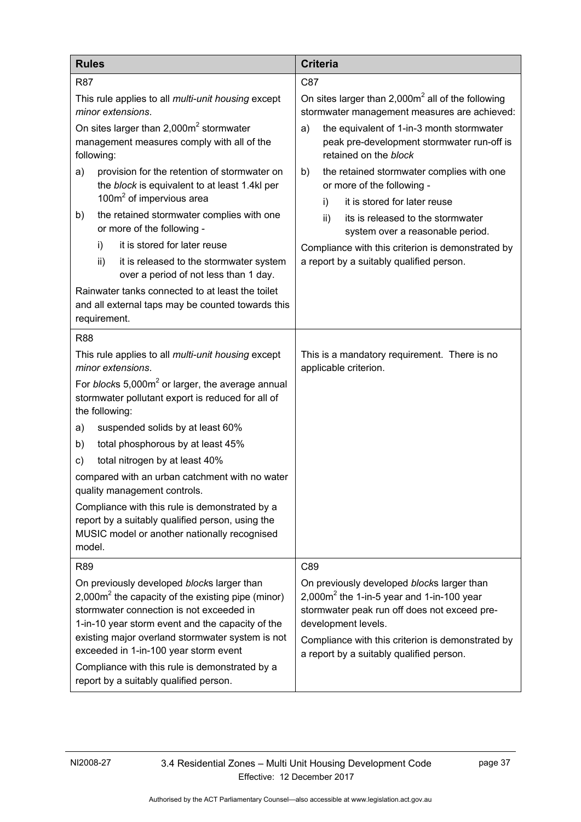| <b>Rules</b>                                                                                                                                                                                                                                                                                   | <b>Criteria</b>                                                                                                                                                                                                                                                    |
|------------------------------------------------------------------------------------------------------------------------------------------------------------------------------------------------------------------------------------------------------------------------------------------------|--------------------------------------------------------------------------------------------------------------------------------------------------------------------------------------------------------------------------------------------------------------------|
| <b>R87</b>                                                                                                                                                                                                                                                                                     | C87                                                                                                                                                                                                                                                                |
| This rule applies to all <i>multi-unit housing</i> except<br>minor extensions.<br>On sites larger than 2,000m <sup>2</sup> stormwater                                                                                                                                                          | On sites larger than $2,000m^2$ all of the following<br>stormwater management measures are achieved:<br>the equivalent of 1-in-3 month stormwater<br>a)                                                                                                            |
| management measures comply with all of the<br>following:                                                                                                                                                                                                                                       | peak pre-development stormwater run-off is<br>retained on the block                                                                                                                                                                                                |
| provision for the retention of stormwater on<br>a)<br>the block is equivalent to at least 1.4kl per<br>100m <sup>2</sup> of impervious area                                                                                                                                                    | the retained stormwater complies with one<br>b)<br>or more of the following -<br>it is stored for later reuse<br>i)                                                                                                                                                |
| the retained stormwater complies with one<br>b)<br>or more of the following -                                                                                                                                                                                                                  | its is released to the stormwater<br>ii)<br>system over a reasonable period.                                                                                                                                                                                       |
| it is stored for later reuse<br>i)<br>it is released to the stormwater system<br>ii)<br>over a period of not less than 1 day.                                                                                                                                                                  | Compliance with this criterion is demonstrated by<br>a report by a suitably qualified person.                                                                                                                                                                      |
| Rainwater tanks connected to at least the toilet<br>and all external taps may be counted towards this<br>requirement.                                                                                                                                                                          |                                                                                                                                                                                                                                                                    |
| <b>R88</b>                                                                                                                                                                                                                                                                                     |                                                                                                                                                                                                                                                                    |
| This rule applies to all multi-unit housing except<br>minor extensions.                                                                                                                                                                                                                        | This is a mandatory requirement. There is no<br>applicable criterion.                                                                                                                                                                                              |
| For blocks 5,000m <sup>2</sup> or larger, the average annual<br>stormwater pollutant export is reduced for all of<br>the following:                                                                                                                                                            |                                                                                                                                                                                                                                                                    |
| suspended solids by at least 60%<br>a)                                                                                                                                                                                                                                                         |                                                                                                                                                                                                                                                                    |
| total phosphorous by at least 45%<br>b)                                                                                                                                                                                                                                                        |                                                                                                                                                                                                                                                                    |
| total nitrogen by at least 40%<br>C)                                                                                                                                                                                                                                                           |                                                                                                                                                                                                                                                                    |
| compared with an urban catchment with no water<br>quality management controls.                                                                                                                                                                                                                 |                                                                                                                                                                                                                                                                    |
| Compliance with this rule is demonstrated by a<br>report by a suitably qualified person, using the<br>MUSIC model or another nationally recognised<br>model.                                                                                                                                   |                                                                                                                                                                                                                                                                    |
| R89                                                                                                                                                                                                                                                                                            | C89                                                                                                                                                                                                                                                                |
| On previously developed blocks larger than<br>$2,000m2$ the capacity of the existing pipe (minor)<br>stormwater connection is not exceeded in<br>1-in-10 year storm event and the capacity of the<br>existing major overland stormwater system is not<br>exceeded in 1-in-100 year storm event | On previously developed blocks larger than<br>2,000 $m2$ the 1-in-5 year and 1-in-100 year<br>stormwater peak run off does not exceed pre-<br>development levels.<br>Compliance with this criterion is demonstrated by<br>a report by a suitably qualified person. |
| Compliance with this rule is demonstrated by a<br>report by a suitably qualified person.                                                                                                                                                                                                       |                                                                                                                                                                                                                                                                    |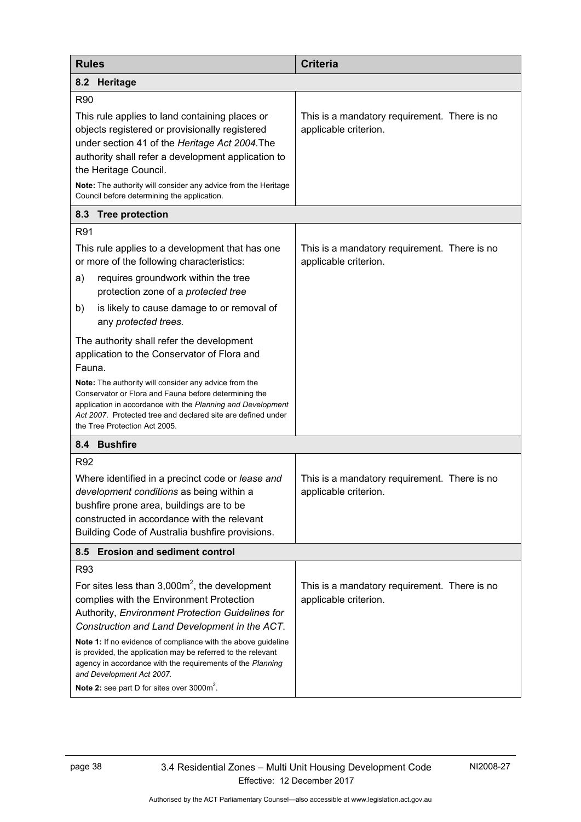<span id="page-41-3"></span><span id="page-41-2"></span><span id="page-41-1"></span><span id="page-41-0"></span>

| <b>Rules</b>                                                                                                                                                                                                                                                                   | <b>Criteria</b>                                                       |
|--------------------------------------------------------------------------------------------------------------------------------------------------------------------------------------------------------------------------------------------------------------------------------|-----------------------------------------------------------------------|
| 8.2 Heritage                                                                                                                                                                                                                                                                   |                                                                       |
| R90                                                                                                                                                                                                                                                                            |                                                                       |
| This rule applies to land containing places or<br>objects registered or provisionally registered<br>under section 41 of the Heritage Act 2004. The<br>authority shall refer a development application to<br>the Heritage Council.                                              | This is a mandatory requirement. There is no<br>applicable criterion. |
| Note: The authority will consider any advice from the Heritage<br>Council before determining the application.                                                                                                                                                                  |                                                                       |
| 8.3 Tree protection                                                                                                                                                                                                                                                            |                                                                       |
| R91                                                                                                                                                                                                                                                                            |                                                                       |
| This rule applies to a development that has one<br>or more of the following characteristics:                                                                                                                                                                                   | This is a mandatory requirement. There is no<br>applicable criterion. |
| requires groundwork within the tree<br>a)<br>protection zone of a protected tree                                                                                                                                                                                               |                                                                       |
| is likely to cause damage to or removal of<br>b)<br>any protected trees.                                                                                                                                                                                                       |                                                                       |
| The authority shall refer the development<br>application to the Conservator of Flora and<br>Fauna.                                                                                                                                                                             |                                                                       |
| Note: The authority will consider any advice from the<br>Conservator or Flora and Fauna before determining the<br>application in accordance with the Planning and Development<br>Act 2007. Protected tree and declared site are defined under<br>the Tree Protection Act 2005. |                                                                       |
| 8.4 Bushfire                                                                                                                                                                                                                                                                   |                                                                       |
| R <sub>92</sub>                                                                                                                                                                                                                                                                |                                                                       |
| Where identified in a precinct code or lease and<br>development conditions as being within a<br>bushfire prone area, buildings are to be<br>constructed in accordance with the relevant<br>Building Code of Australia bushfire provisions.                                     | This is a mandatory requirement. There is no<br>applicable criterion. |
| <b>Erosion and sediment control</b><br>8.5                                                                                                                                                                                                                                     |                                                                       |
| R93                                                                                                                                                                                                                                                                            |                                                                       |
| For sites less than $3,000m^2$ , the development<br>complies with the Environment Protection<br>Authority, Environment Protection Guidelines for<br>Construction and Land Development in the ACT.                                                                              | This is a mandatory requirement. There is no<br>applicable criterion. |
| Note 1: If no evidence of compliance with the above guideline<br>is provided, the application may be referred to the relevant<br>agency in accordance with the requirements of the Planning<br>and Development Act 2007.                                                       |                                                                       |
| Note 2: see part D for sites over 3000m <sup>2</sup> .                                                                                                                                                                                                                         |                                                                       |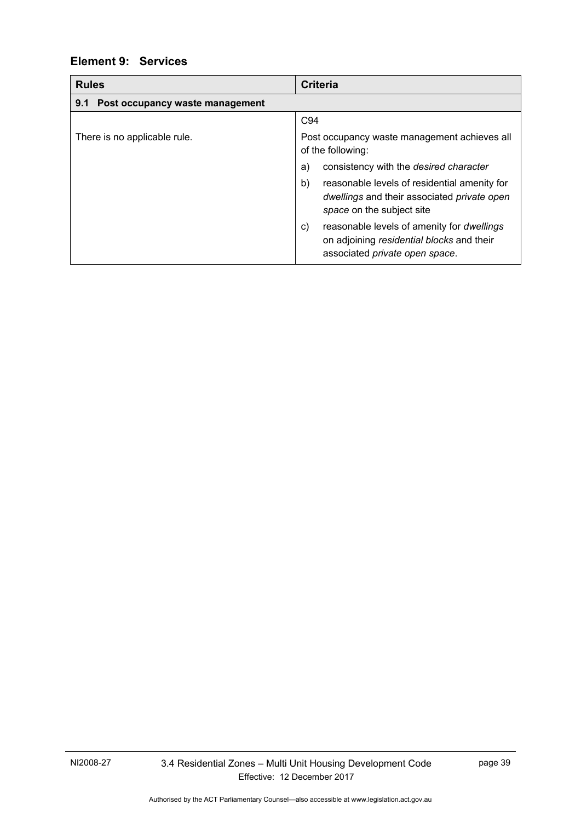# <span id="page-42-0"></span>**Element 9: Services**

<span id="page-42-1"></span>

| <b>Rules</b>                           | <b>Criteria</b>                                                                                                                 |
|----------------------------------------|---------------------------------------------------------------------------------------------------------------------------------|
| Post occupancy waste management<br>9.1 |                                                                                                                                 |
|                                        | C <sub>94</sub>                                                                                                                 |
| There is no applicable rule.           | Post occupancy waste management achieves all<br>of the following:                                                               |
|                                        | consistency with the desired character<br>a)                                                                                    |
|                                        | b)<br>reasonable levels of residential amenity for<br>dwellings and their associated private open<br>space on the subject site  |
|                                        | reasonable levels of amenity for dwellings<br>C)<br>on adjoining residential blocks and their<br>associated private open space. |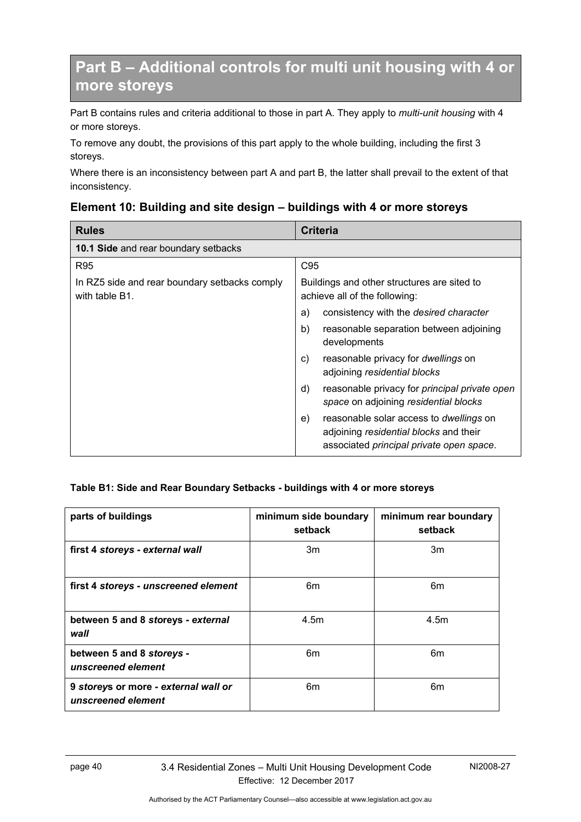# <span id="page-43-0"></span>**Part B – Additional controls for multi unit housing with 4 or more storeys**

Part B contains rules and criteria additional to those in part A. They apply to *multi-unit housing* with 4 or more storeys.

To remove any doubt, the provisions of this part apply to the whole building, including the first 3 storeys.

Where there is an inconsistency between part A and part B, the latter shall prevail to the extent of that inconsistency.

#### <span id="page-43-1"></span>**Element 10: Building and site design – buildings with 4 or more storeys**

<span id="page-43-2"></span>

| <b>Rules</b>                                                    | <b>Criteria</b>                                                                                                                            |  |
|-----------------------------------------------------------------|--------------------------------------------------------------------------------------------------------------------------------------------|--|
| 10.1 Side and rear boundary setbacks                            |                                                                                                                                            |  |
| R <sub>95</sub>                                                 | C <sub>95</sub>                                                                                                                            |  |
| In RZ5 side and rear boundary setbacks comply<br>with table B1. | Buildings and other structures are sited to<br>achieve all of the following:                                                               |  |
|                                                                 | consistency with the <i>desired character</i><br>a)                                                                                        |  |
|                                                                 | b)<br>reasonable separation between adjoining<br>developments                                                                              |  |
|                                                                 | reasonable privacy for dwellings on<br>C)<br>adjoining residential blocks                                                                  |  |
|                                                                 | reasonable privacy for principal private open<br>d)<br>space on adjoining residential blocks                                               |  |
|                                                                 | reasonable solar access to <i>dwellings</i> on<br>e)<br>adjoining residential blocks and their<br>associated principal private open space. |  |

#### **Table B1: Side and Rear Boundary Setbacks - buildings with 4 or more storeys**

| parts of buildings                                         | minimum side boundary<br>setback | minimum rear boundary<br>setback |
|------------------------------------------------------------|----------------------------------|----------------------------------|
| first 4 storeys - external wall                            | 3m                               | 3m                               |
| first 4 storeys - unscreened element                       | 6m                               | 6m                               |
| between 5 and 8 storeys - external<br>wall                 | 4.5m                             | 4.5m                             |
| between 5 and 8 storeys -<br>unscreened element            | 6m                               | 6m                               |
| 9 storeys or more - external wall or<br>unscreened element | 6m                               | 6m                               |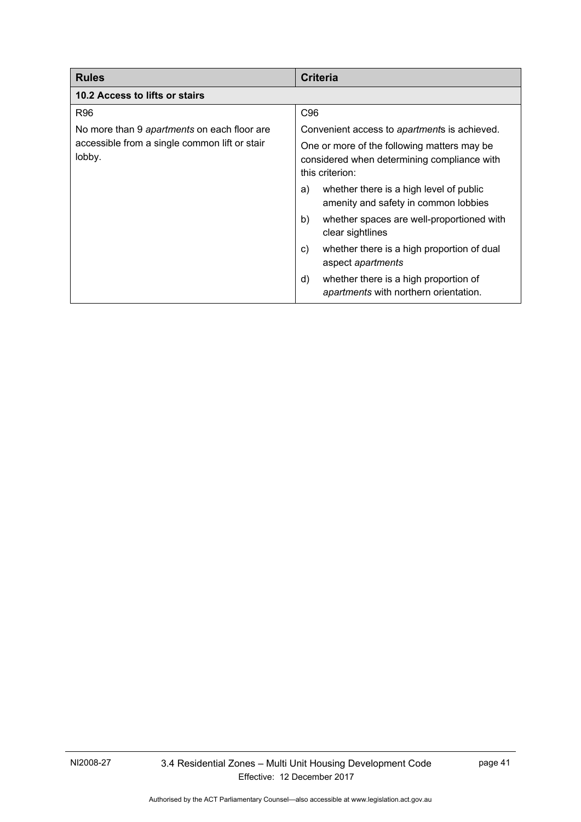<span id="page-44-0"></span>

| <b>Rules</b>                                                                                           | <b>Criteria</b>                                                                                               |
|--------------------------------------------------------------------------------------------------------|---------------------------------------------------------------------------------------------------------------|
| 10.2 Access to lifts or stairs                                                                         |                                                                                                               |
| R96                                                                                                    | C <sub>96</sub>                                                                                               |
| No more than 9 apartments on each floor are<br>accessible from a single common lift or stair<br>lobby. | Convenient access to apartments is achieved.                                                                  |
|                                                                                                        | One or more of the following matters may be<br>considered when determining compliance with<br>this criterion: |
|                                                                                                        | whether there is a high level of public<br>a)<br>amenity and safety in common lobbies                         |
|                                                                                                        | b)<br>whether spaces are well-proportioned with<br>clear sightlines                                           |
|                                                                                                        | whether there is a high proportion of dual<br>C)<br>aspect apartments                                         |
|                                                                                                        | whether there is a high proportion of<br>d)<br>apartments with northern orientation.                          |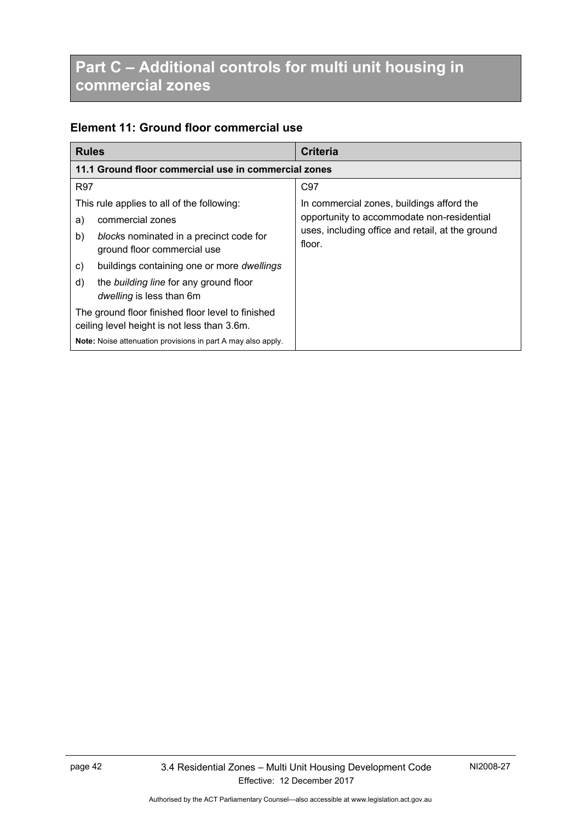# <span id="page-45-0"></span>**Part C – Additional controls for multi unit housing in commercial zones**

# <span id="page-45-1"></span>**Element 11: Ground floor commercial use**

<span id="page-45-2"></span>

| <b>Rules</b>                                                                                     | <b>Criteria</b>                                            |
|--------------------------------------------------------------------------------------------------|------------------------------------------------------------|
| 11.1 Ground floor commercial use in commercial zones                                             |                                                            |
| R97                                                                                              | C <sub>97</sub>                                            |
| This rule applies to all of the following:                                                       | In commercial zones, buildings afford the                  |
| commercial zones<br>a)                                                                           | opportunity to accommodate non-residential                 |
| blocks nominated in a precinct code for<br>b)<br>ground floor commercial use                     | uses, including office and retail, at the ground<br>floor. |
| buildings containing one or more dwellings<br>C)                                                 |                                                            |
| d)<br>the building line for any ground floor<br><i>dwelling</i> is less than 6m                  |                                                            |
| The ground floor finished floor level to finished<br>ceiling level height is not less than 3.6m. |                                                            |
| <b>Note:</b> Noise attenuation provisions in part A may also apply.                              |                                                            |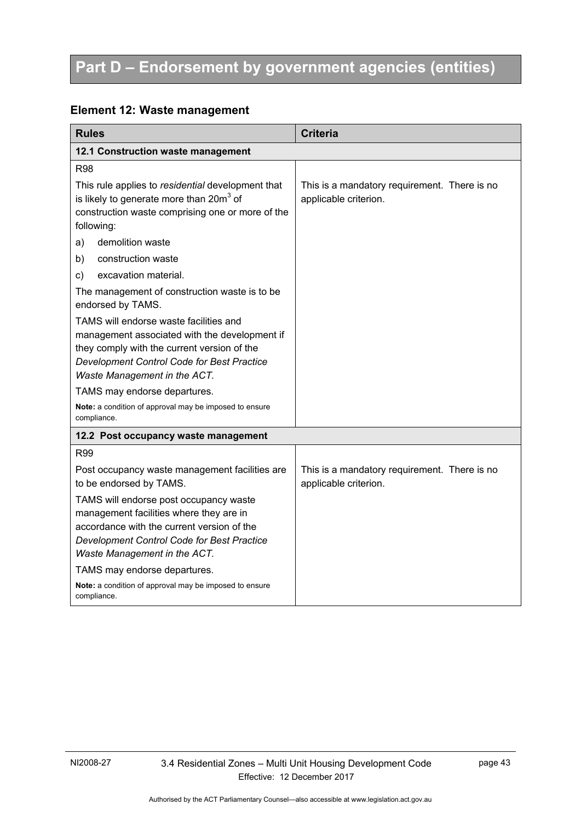# <span id="page-46-0"></span>**Part D – Endorsement by government agencies (entities)**

## <span id="page-46-1"></span>**Element 12: Waste management**

<span id="page-46-3"></span><span id="page-46-2"></span>

| <b>Rules</b>                                                                                                                                                                                                                | <b>Criteria</b>                                                       |
|-----------------------------------------------------------------------------------------------------------------------------------------------------------------------------------------------------------------------------|-----------------------------------------------------------------------|
| 12.1 Construction waste management                                                                                                                                                                                          |                                                                       |
| <b>R98</b>                                                                                                                                                                                                                  |                                                                       |
| This rule applies to residential development that<br>is likely to generate more than 20m <sup>3</sup> of<br>construction waste comprising one or more of the<br>following:                                                  | This is a mandatory requirement. There is no<br>applicable criterion. |
| demolition waste<br>a)                                                                                                                                                                                                      |                                                                       |
| construction waste<br>b)                                                                                                                                                                                                    |                                                                       |
| excavation material.<br>C)                                                                                                                                                                                                  |                                                                       |
| The management of construction waste is to be<br>endorsed by TAMS.                                                                                                                                                          |                                                                       |
| TAMS will endorse waste facilities and<br>management associated with the development if<br>they comply with the current version of the<br><b>Development Control Code for Best Practice</b><br>Waste Management in the ACT. |                                                                       |
| TAMS may endorse departures.                                                                                                                                                                                                |                                                                       |
| Note: a condition of approval may be imposed to ensure<br>compliance.                                                                                                                                                       |                                                                       |
| 12.2 Post occupancy waste management                                                                                                                                                                                        |                                                                       |
| R99                                                                                                                                                                                                                         |                                                                       |
| Post occupancy waste management facilities are<br>to be endorsed by TAMS.                                                                                                                                                   | This is a mandatory requirement. There is no<br>applicable criterion. |
| TAMS will endorse post occupancy waste<br>management facilities where they are in<br>accordance with the current version of the<br>Development Control Code for Best Practice<br>Waste Management in the ACT.               |                                                                       |
| TAMS may endorse departures.                                                                                                                                                                                                |                                                                       |
| Note: a condition of approval may be imposed to ensure<br>compliance.                                                                                                                                                       |                                                                       |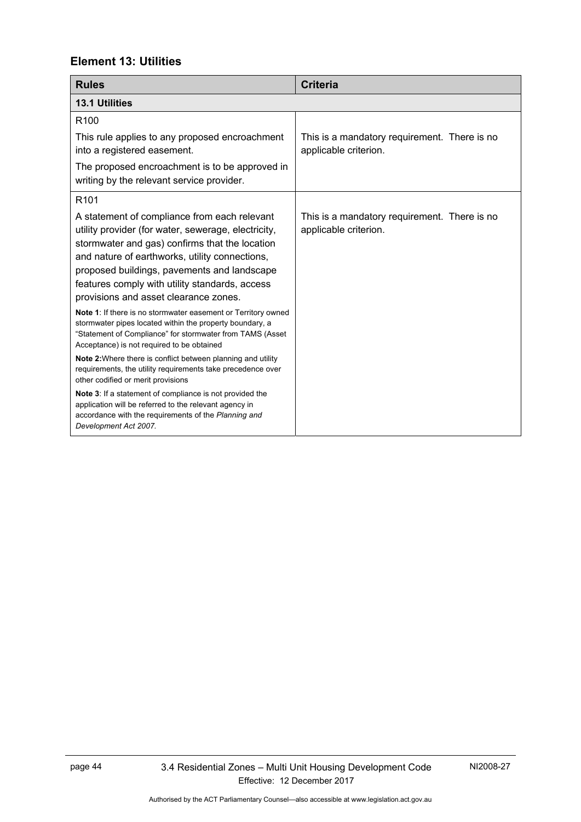# <span id="page-47-0"></span>**Element 13: Utilities**

<span id="page-47-1"></span>

| <b>Rules</b>                                                                                                                                                                                                                                                                                                                                                                                                                                                                   | <b>Criteria</b>                                                       |
|--------------------------------------------------------------------------------------------------------------------------------------------------------------------------------------------------------------------------------------------------------------------------------------------------------------------------------------------------------------------------------------------------------------------------------------------------------------------------------|-----------------------------------------------------------------------|
| <b>13.1 Utilities</b>                                                                                                                                                                                                                                                                                                                                                                                                                                                          |                                                                       |
| R <sub>100</sub>                                                                                                                                                                                                                                                                                                                                                                                                                                                               |                                                                       |
| This rule applies to any proposed encroachment<br>into a registered easement.                                                                                                                                                                                                                                                                                                                                                                                                  | This is a mandatory requirement. There is no<br>applicable criterion. |
| The proposed encroachment is to be approved in<br>writing by the relevant service provider.                                                                                                                                                                                                                                                                                                                                                                                    |                                                                       |
| R <sub>101</sub>                                                                                                                                                                                                                                                                                                                                                                                                                                                               |                                                                       |
| A statement of compliance from each relevant<br>utility provider (for water, sewerage, electricity,<br>stormwater and gas) confirms that the location<br>and nature of earthworks, utility connections,<br>proposed buildings, pavements and landscape<br>features comply with utility standards, access<br>provisions and asset clearance zones.<br>Note 1: If there is no stormwater easement or Territory owned<br>stormwater pipes located within the property boundary, a | This is a mandatory requirement. There is no<br>applicable criterion. |
| "Statement of Compliance" for stormwater from TAMS (Asset<br>Acceptance) is not required to be obtained                                                                                                                                                                                                                                                                                                                                                                        |                                                                       |
| Note 2: Where there is conflict between planning and utility<br>requirements, the utility requirements take precedence over<br>other codified or merit provisions                                                                                                                                                                                                                                                                                                              |                                                                       |
| Note 3: If a statement of compliance is not provided the<br>application will be referred to the relevant agency in<br>accordance with the requirements of the Planning and<br>Development Act 2007.                                                                                                                                                                                                                                                                            |                                                                       |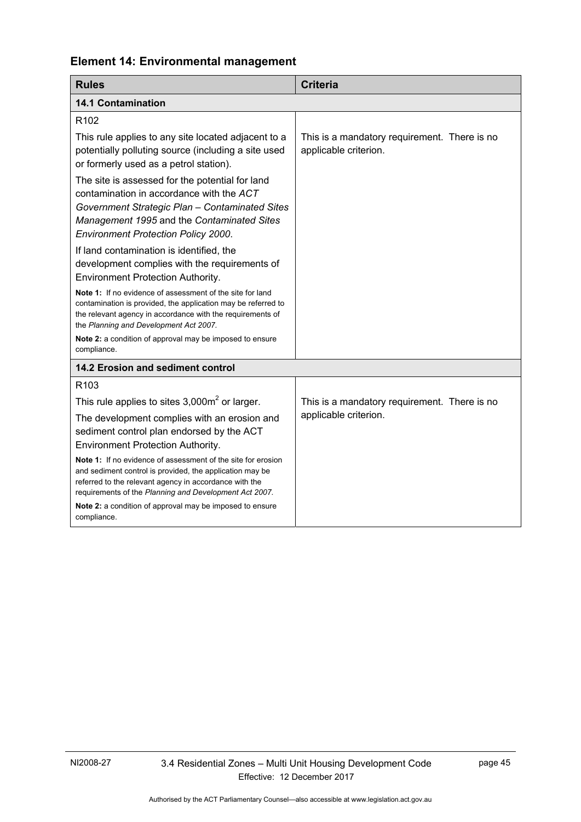# <span id="page-48-0"></span>**Element 14: Environmental management**

<span id="page-48-2"></span><span id="page-48-1"></span>

| <b>Rules</b>                                                                                                                                                                                                                                 | <b>Criteria</b>                                                       |
|----------------------------------------------------------------------------------------------------------------------------------------------------------------------------------------------------------------------------------------------|-----------------------------------------------------------------------|
| <b>14.1 Contamination</b>                                                                                                                                                                                                                    |                                                                       |
| R <sub>102</sub>                                                                                                                                                                                                                             |                                                                       |
| This rule applies to any site located adjacent to a<br>potentially polluting source (including a site used<br>or formerly used as a petrol station).                                                                                         | This is a mandatory requirement. There is no<br>applicable criterion. |
| The site is assessed for the potential for land<br>contamination in accordance with the ACT<br>Government Strategic Plan - Contaminated Sites<br>Management 1995 and the Contaminated Sites<br><b>Environment Protection Policy 2000.</b>    |                                                                       |
| If land contamination is identified, the<br>development complies with the requirements of<br><b>Environment Protection Authority.</b>                                                                                                        |                                                                       |
| <b>Note 1:</b> If no evidence of assessment of the site for land<br>contamination is provided, the application may be referred to<br>the relevant agency in accordance with the requirements of<br>the Planning and Development Act 2007.    |                                                                       |
| Note 2: a condition of approval may be imposed to ensure<br>compliance.                                                                                                                                                                      |                                                                       |
| 14.2 Erosion and sediment control                                                                                                                                                                                                            |                                                                       |
| R <sub>103</sub>                                                                                                                                                                                                                             |                                                                       |
| This rule applies to sites $3,000\,\text{m}^2$ or larger.                                                                                                                                                                                    | This is a mandatory requirement. There is no                          |
| The development complies with an erosion and<br>sediment control plan endorsed by the ACT<br>Environment Protection Authority.                                                                                                               | applicable criterion.                                                 |
| Note 1: If no evidence of assessment of the site for erosion<br>and sediment control is provided, the application may be<br>referred to the relevant agency in accordance with the<br>requirements of the Planning and Development Act 2007. |                                                                       |
| Note 2: a condition of approval may be imposed to ensure<br>compliance.                                                                                                                                                                      |                                                                       |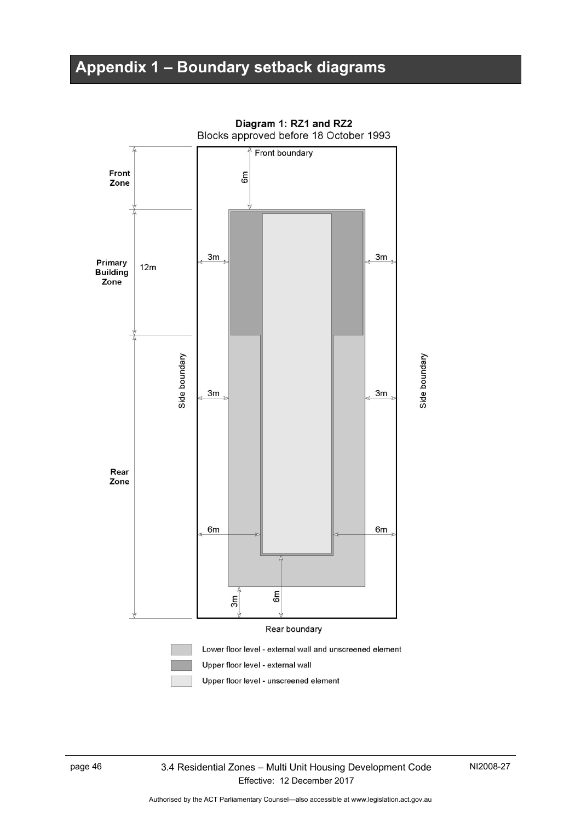# <span id="page-49-0"></span>**Appendix 1 – Boundary setback diagrams**



Diagram 1: RZ1 and RZ2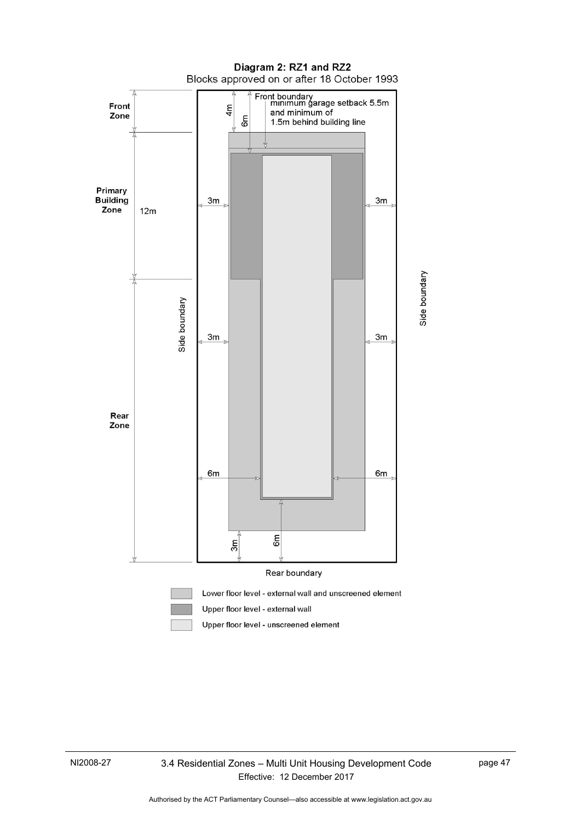